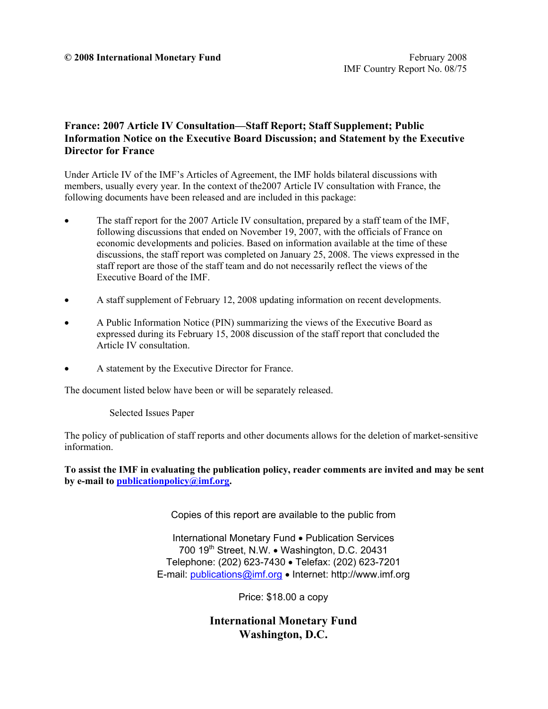#### **© 2008 International Monetary Fund** February 2008

# **France: 2007 Article IV Consultation—Staff Report; Staff Supplement; Public Information Notice on the Executive Board Discussion; and Statement by the Executive Director for France**

Under Article IV of the IMF's Articles of Agreement, the IMF holds bilateral discussions with members, usually every year. In the context of the2007 Article IV consultation with France, the following documents have been released and are included in this package:

- The staff report for the 2007 Article IV consultation, prepared by a staff team of the IMF, following discussions that ended on November 19, 2007, with the officials of France on economic developments and policies. Based on information available at the time of these discussions, the staff report was completed on January 25, 2008. The views expressed in the staff report are those of the staff team and do not necessarily reflect the views of the Executive Board of the IMF.
- A staff supplement of February 12, 2008 updating information on recent developments.
- A Public Information Notice (PIN) summarizing the views of the Executive Board as expressed during its February 15, 2008 discussion of the staff report that concluded the Article IV consultation.
- A statement by the Executive Director for France.

The document listed below have been or will be separately released.

Selected Issues Paper

The policy of publication of staff reports and other documents allows for the deletion of market-sensitive information.

**To assist the IMF in evaluating the publication policy, reader comments are invited and may be sent by e-mail to publicationpolicy@imf.org.**

Copies of this report are available to the public from

International Monetary Fund • Publication Services 700  $19<sup>th</sup>$  Street, N.W. • Washington, D.C. 20431 Telephone: (202) 623-7430 • Telefax: (202) 623-7201 E-mail: publications@imf.org • Internet: http://www.imf.org

Price: \$18.00 a copy

**International Monetary Fund Washington, D.C.**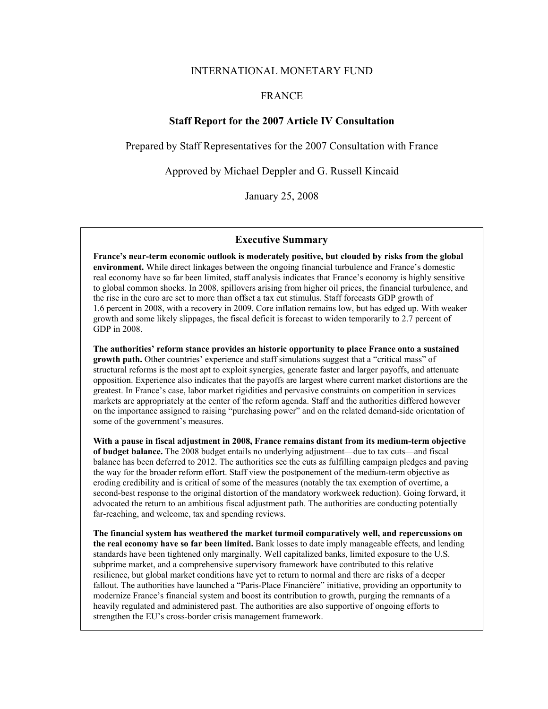#### INTERNATIONAL MONETARY FUND

#### FRANCE

#### **Staff Report for the 2007 Article IV Consultation**

Prepared by Staff Representatives for the 2007 Consultation with France

Approved by Michael Deppler and G. Russell Kincaid

January 25, 2008

#### **Executive Summary**

**France's near-term economic outlook is moderately positive, but clouded by risks from the global environment.** While direct linkages between the ongoing financial turbulence and France's domestic real economy have so far been limited, staff analysis indicates that France's economy is highly sensitive to global common shocks. In 2008, spillovers arising from higher oil prices, the financial turbulence, and the rise in the euro are set to more than offset a tax cut stimulus. Staff forecasts GDP growth of 1.6 percent in 2008, with a recovery in 2009. Core inflation remains low, but has edged up. With weaker growth and some likely slippages, the fiscal deficit is forecast to widen temporarily to 2.7 percent of GDP in 2008.

**The authorities' reform stance provides an historic opportunity to place France onto a sustained growth path.** Other countries' experience and staff simulations suggest that a "critical mass" of structural reforms is the most apt to exploit synergies, generate faster and larger payoffs, and attenuate opposition. Experience also indicates that the payoffs are largest where current market distortions are the greatest. In France's case, labor market rigidities and pervasive constraints on competition in services markets are appropriately at the center of the reform agenda. Staff and the authorities differed however on the importance assigned to raising "purchasing power" and on the related demand-side orientation of some of the government's measures.

**With a pause in fiscal adjustment in 2008, France remains distant from its medium-term objective of budget balance.** The 2008 budget entails no underlying adjustment—due to tax cuts—and fiscal balance has been deferred to 2012. The authorities see the cuts as fulfilling campaign pledges and paving the way for the broader reform effort. Staff view the postponement of the medium-term objective as eroding credibility and is critical of some of the measures (notably the tax exemption of overtime, a second-best response to the original distortion of the mandatory workweek reduction). Going forward, it advocated the return to an ambitious fiscal adjustment path. The authorities are conducting potentially far-reaching, and welcome, tax and spending reviews.

**The financial system has weathered the market turmoil comparatively well, and repercussions on the real economy have so far been limited.** Bank losses to date imply manageable effects, and lending standards have been tightened only marginally. Well capitalized banks, limited exposure to the U.S. subprime market, and a comprehensive supervisory framework have contributed to this relative resilience, but global market conditions have yet to return to normal and there are risks of a deeper fallout. The authorities have launched a "Paris-Place Financière" initiative, providing an opportunity to modernize France's financial system and boost its contribution to growth, purging the remnants of a heavily regulated and administered past. The authorities are also supportive of ongoing efforts to strengthen the EU's cross-border crisis management framework.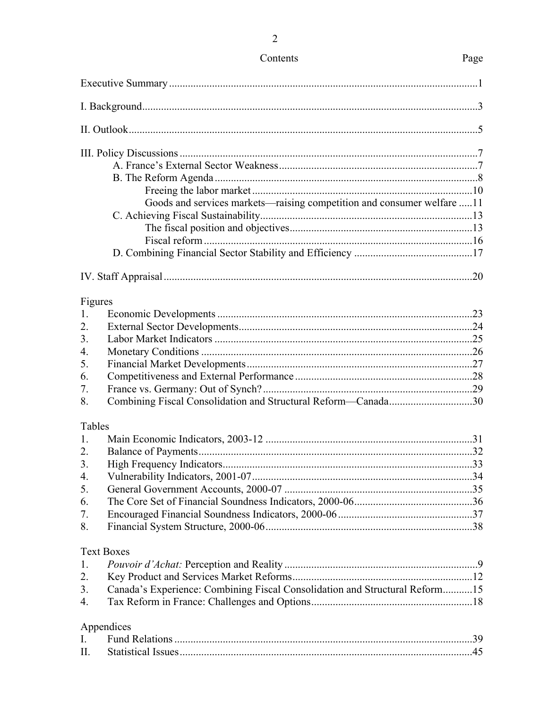| Goods and services markets—raising competition and consumer welfare 11            |  |
|-----------------------------------------------------------------------------------|--|
|                                                                                   |  |
|                                                                                   |  |
|                                                                                   |  |
|                                                                                   |  |
|                                                                                   |  |
|                                                                                   |  |
|                                                                                   |  |
| Figures                                                                           |  |
| 1.                                                                                |  |
| 2.                                                                                |  |
| 3.                                                                                |  |
| 4.                                                                                |  |
| 5.                                                                                |  |
| 6.                                                                                |  |
| 7.                                                                                |  |
| Combining Fiscal Consolidation and Structural Reform-Canada30<br>8.               |  |
| Tables                                                                            |  |
| 1.                                                                                |  |
| 2.                                                                                |  |
| 3.                                                                                |  |
| 4.                                                                                |  |
| 5.                                                                                |  |
| 6.                                                                                |  |
| 7.                                                                                |  |
| 8.                                                                                |  |
| <b>Text Boxes</b>                                                                 |  |
| 1.                                                                                |  |
| 2.                                                                                |  |
| Canada's Experience: Combining Fiscal Consolidation and Structural Reform15<br>3. |  |
| 4.                                                                                |  |
|                                                                                   |  |
| Appendices                                                                        |  |
| $\mathbf{I}$ .                                                                    |  |
| II.                                                                               |  |

# Contents

# Page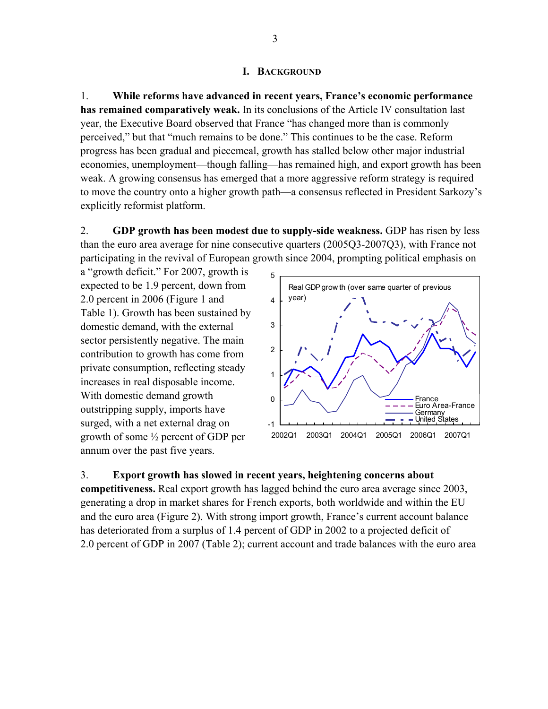#### **I. BACKGROUND**

1. **While reforms have advanced in recent years, France's economic performance has remained comparatively weak.** In its conclusions of the Article IV consultation last year, the Executive Board observed that France "has changed more than is commonly perceived," but that "much remains to be done." This continues to be the case. Reform progress has been gradual and piecemeal, growth has stalled below other major industrial economies, unemployment—though falling—has remained high, and export growth has been weak. A growing consensus has emerged that a more aggressive reform strategy is required to move the country onto a higher growth path—a consensus reflected in President Sarkozy's explicitly reformist platform.

2. **GDP growth has been modest due to supply-side weakness.** GDP has risen by less than the euro area average for nine consecutive quarters (2005Q3-2007Q3), with France not participating in the revival of European growth since 2004, prompting political emphasis on

a "growth deficit." For 2007, growth is expected to be 1.9 percent, down from 2.0 percent in 2006 (Figure 1 and Table 1). Growth has been sustained by domestic demand, with the external sector persistently negative. The main contribution to growth has come from private consumption, reflecting steady increases in real disposable income. With domestic demand growth outstripping supply, imports have surged, with a net external drag on growth of some ½ percent of GDP per annum over the past five years.



#### 3. **Export growth has slowed in recent years, heightening concerns about**

**competitiveness.** Real export growth has lagged behind the euro area average since 2003, generating a drop in market shares for French exports, both worldwide and within the EU and the euro area (Figure 2). With strong import growth, France's current account balance has deteriorated from a surplus of 1.4 percent of GDP in 2002 to a projected deficit of 2.0 percent of GDP in 2007 (Table 2); current account and trade balances with the euro area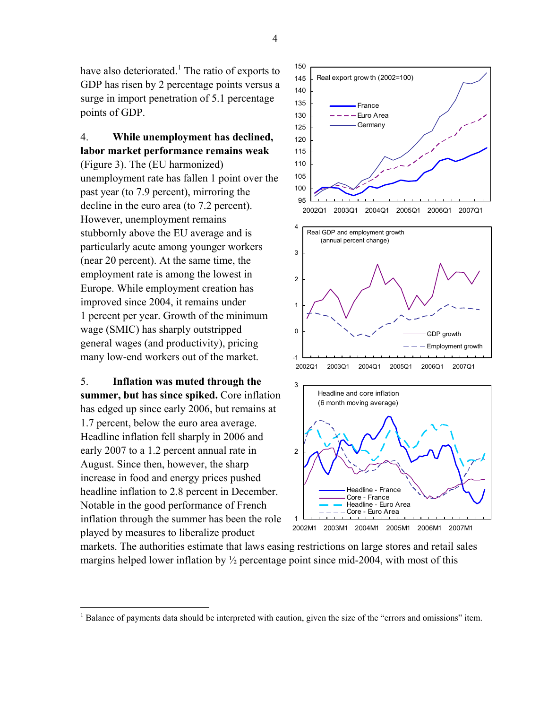have also deteriorated.<sup>1</sup> The ratio of exports to GDP has risen by 2 percentage points versus a surge in import penetration of 5.1 percentage points of GDP.

# 4. **While unemployment has declined, labor market performance remains weak**

(Figure 3). The (EU harmonized) unemployment rate has fallen 1 point over the past year (to 7.9 percent), mirroring the decline in the euro area (to 7.2 percent). However, unemployment remains stubbornly above the EU average and is particularly acute among younger workers (near 20 percent). At the same time, the employment rate is among the lowest in Europe. While employment creation has improved since 2004, it remains under 1 percent per year. Growth of the minimum wage (SMIC) has sharply outstripped general wages (and productivity), pricing many low-end workers out of the market.

5. **Inflation was muted through the summer, but has since spiked.** Core inflation has edged up since early 2006, but remains at 1.7 percent, below the euro area average. Headline inflation fell sharply in 2006 and early 2007 to a 1.2 percent annual rate in August. Since then, however, the sharp increase in food and energy prices pushed headline inflation to 2.8 percent in December. Notable in the good performance of French inflation through the summer has been the role played by measures to liberalize product

<u>.</u>





markets. The authorities estimate that laws easing restrictions on large stores and retail sales margins helped lower inflation by  $\frac{1}{2}$  percentage point since mid-2004, with most of this

4

<sup>&</sup>lt;sup>1</sup> Balance of payments data should be interpreted with caution, given the size of the "errors and omissions" item.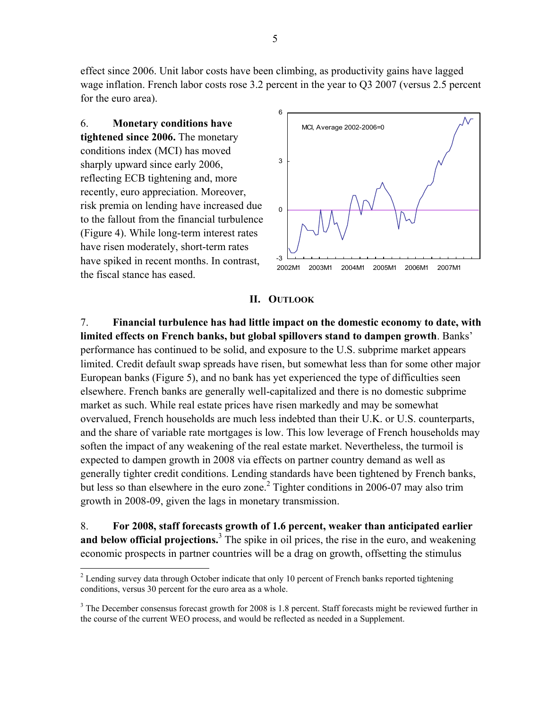effect since 2006. Unit labor costs have been climbing, as productivity gains have lagged wage inflation. French labor costs rose 3.2 percent in the year to Q3 2007 (versus 2.5 percent for the euro area).

6. **Monetary conditions have tightened since 2006.** The monetary conditions index (MCI) has moved sharply upward since early 2006, reflecting ECB tightening and, more recently, euro appreciation. Moreover, risk premia on lending have increased due to the fallout from the financial turbulence (Figure 4). While long-term interest rates have risen moderately, short-term rates have spiked in recent months. In contrast, the fiscal stance has eased.

 $\overline{a}$ 



#### **II. OUTLOOK**

7. **Financial turbulence has had little impact on the domestic economy to date, with limited effects on French banks, but global spillovers stand to dampen growth**. Banks' performance has continued to be solid, and exposure to the U.S. subprime market appears limited. Credit default swap spreads have risen, but somewhat less than for some other major European banks (Figure 5), and no bank has yet experienced the type of difficulties seen elsewhere. French banks are generally well-capitalized and there is no domestic subprime market as such. While real estate prices have risen markedly and may be somewhat overvalued, French households are much less indebted than their U.K. or U.S. counterparts, and the share of variable rate mortgages is low. This low leverage of French households may soften the impact of any weakening of the real estate market. Nevertheless, the turmoil is expected to dampen growth in 2008 via effects on partner country demand as well as generally tighter credit conditions. Lending standards have been tightened by French banks, but less so than elsewhere in the euro zone.<sup>2</sup> Tighter conditions in 2006-07 may also trim growth in 2008-09, given the lags in monetary transmission.

8. **For 2008, staff forecasts growth of 1.6 percent, weaker than anticipated earlier**  and below official projections.<sup>3</sup> The spike in oil prices, the rise in the euro, and weakening economic prospects in partner countries will be a drag on growth, offsetting the stimulus

 $2^{2}$  Lending survey data through October indicate that only 10 percent of French banks reported tightening conditions, versus 30 percent for the euro area as a whole.

 $3$  The December consensus forecast growth for 2008 is 1.8 percent. Staff forecasts might be reviewed further in the course of the current WEO process, and would be reflected as needed in a Supplement.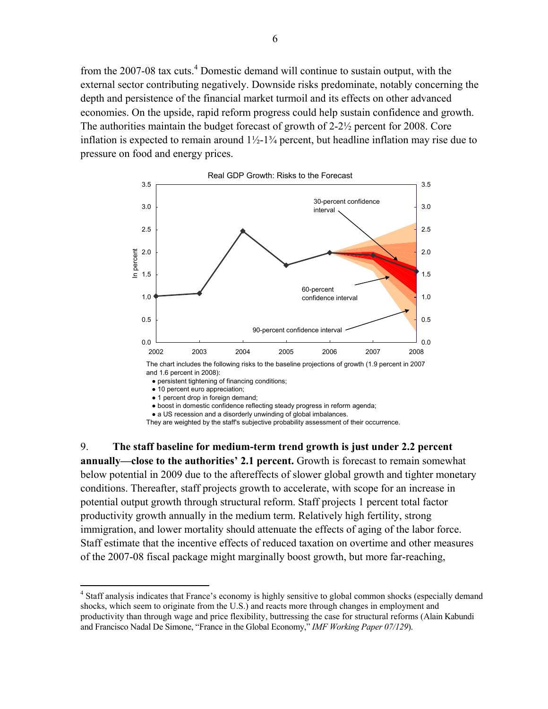from the 2007-08 tax cuts.<sup>4</sup> Domestic demand will continue to sustain output, with the external sector contributing negatively. Downside risks predominate, notably concerning the depth and persistence of the financial market turmoil and its effects on other advanced economies. On the upside, rapid reform progress could help sustain confidence and growth. The authorities maintain the budget forecast of growth of 2-2½ percent for 2008. Core inflation is expected to remain around  $1\frac{1}{2}$ -1 $\frac{3}{4}$  percent, but headline inflation may rise due to pressure on food and energy prices.



• persistent tightening of financing conditions;

● 1 percent drop in foreign demand;

 $\overline{a}$ 

- boost in domestic confidence reflecting steady progress in reform agenda;
- a US recession and a disorderly unwinding of global imbalances.

They are weighted by the staff's subjective probability assessment of their occurrence.

9. **The staff baseline for medium-term trend growth is just under 2.2 percent annually—close to the authorities' 2.1 percent.** Growth is forecast to remain somewhat below potential in 2009 due to the aftereffects of slower global growth and tighter monetary conditions. Thereafter, staff projects growth to accelerate, with scope for an increase in potential output growth through structural reform. Staff projects 1 percent total factor productivity growth annually in the medium term. Relatively high fertility, strong immigration, and lower mortality should attenuate the effects of aging of the labor force. Staff estimate that the incentive effects of reduced taxation on overtime and other measures of the 2007-08 fiscal package might marginally boost growth, but more far-reaching,

● 10 percent euro appreciation;

<sup>&</sup>lt;sup>4</sup> Staff analysis indicates that France's economy is highly sensitive to global common shocks (especially demand shocks, which seem to originate from the U.S.) and reacts more through changes in employment and productivity than through wage and price flexibility, buttressing the case for structural reforms (Alain Kabundi and Francisco Nadal De Simone, "France in the Global Economy," *IMF Working Paper 07/129*).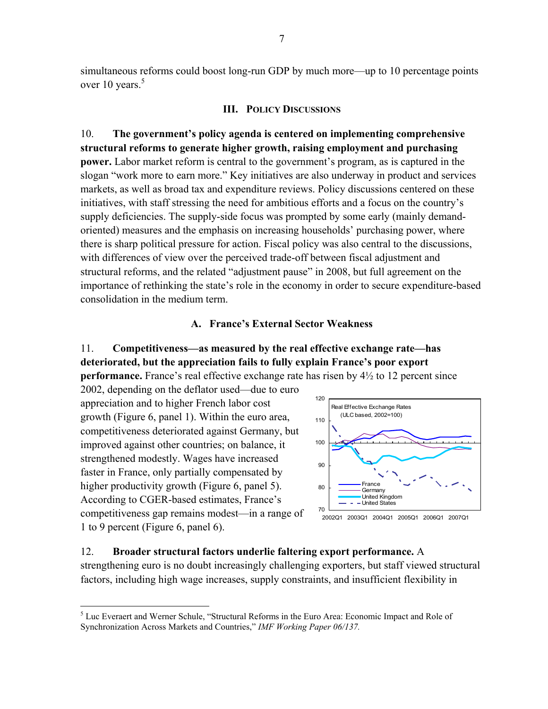simultaneous reforms could boost long-run GDP by much more—up to 10 percentage points over 10 years.<sup>5</sup>

#### **III. POLICY DISCUSSIONS**

10. **The government's policy agenda is centered on implementing comprehensive structural reforms to generate higher growth, raising employment and purchasing power.** Labor market reform is central to the government's program, as is captured in the slogan "work more to earn more." Key initiatives are also underway in product and services markets, as well as broad tax and expenditure reviews. Policy discussions centered on these initiatives, with staff stressing the need for ambitious efforts and a focus on the country's supply deficiencies. The supply-side focus was prompted by some early (mainly demandoriented) measures and the emphasis on increasing households' purchasing power, where there is sharp political pressure for action. Fiscal policy was also central to the discussions, with differences of view over the perceived trade-off between fiscal adjustment and structural reforms, and the related "adjustment pause" in 2008, but full agreement on the importance of rethinking the state's role in the economy in order to secure expenditure-based consolidation in the medium term.

#### **A. France's External Sector Weakness**

# 11. **Competitiveness—as measured by the real effective exchange rate—has deteriorated, but the appreciation fails to fully explain France's poor export performance.** France's real effective exchange rate has risen by 4½ to 12 percent since

2002, depending on the deflator used––due to euro appreciation and to higher French labor cost growth (Figure 6, panel 1). Within the euro area, competitiveness deteriorated against Germany, but improved against other countries; on balance, it strengthened modestly. Wages have increased faster in France, only partially compensated by higher productivity growth (Figure 6, panel 5). According to CGER-based estimates, France's competitiveness gap remains modest—in a range of 1 to 9 percent (Figure 6, panel 6).

<u>.</u>



#### 12. **Broader structural factors underlie faltering export performance.** A

strengthening euro is no doubt increasingly challenging exporters, but staff viewed structural factors, including high wage increases, supply constraints, and insufficient flexibility in

<sup>&</sup>lt;sup>5</sup> Luc Everaert and Werner Schule, "Structural Reforms in the Euro Area: Economic Impact and Role of Synchronization Across Markets and Countries," *IMF Working Paper 06/137.*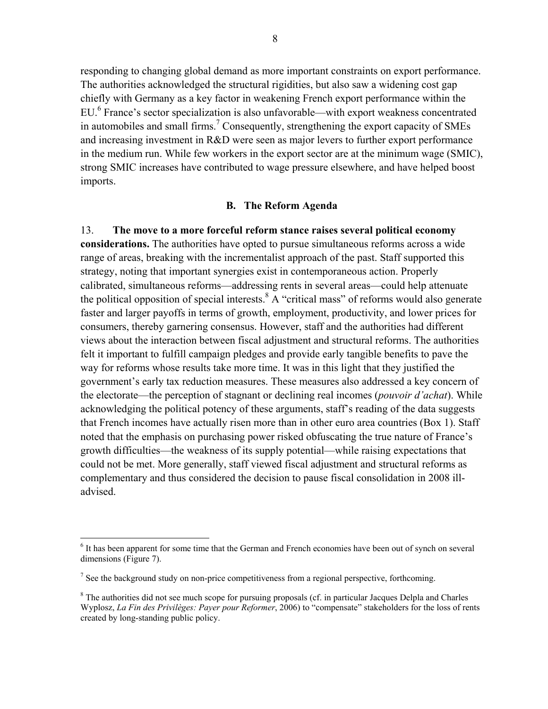responding to changing global demand as more important constraints on export performance. The authorities acknowledged the structural rigidities, but also saw a widening cost gap chiefly with Germany as a key factor in weakening French export performance within the EU.<sup>6</sup> France's sector specialization is also unfavorable—with export weakness concentrated in automobiles and small firms.<sup>7</sup> Consequently, strengthening the export capacity of SMEs and increasing investment in R&D were seen as major levers to further export performance in the medium run. While few workers in the export sector are at the minimum wage (SMIC), strong SMIC increases have contributed to wage pressure elsewhere, and have helped boost imports.

#### **B. The Reform Agenda**

13. **The move to a more forceful reform stance raises several political economy considerations.** The authorities have opted to pursue simultaneous reforms across a wide range of areas, breaking with the incrementalist approach of the past. Staff supported this strategy, noting that important synergies exist in contemporaneous action. Properly calibrated, simultaneous reforms—addressing rents in several areas—could help attenuate the political opposition of special interests.  $8 \text{ A}$  "critical mass" of reforms would also generate faster and larger payoffs in terms of growth, employment, productivity, and lower prices for consumers, thereby garnering consensus. However, staff and the authorities had different views about the interaction between fiscal adjustment and structural reforms. The authorities felt it important to fulfill campaign pledges and provide early tangible benefits to pave the way for reforms whose results take more time. It was in this light that they justified the government's early tax reduction measures. These measures also addressed a key concern of the electorate—the perception of stagnant or declining real incomes (*pouvoir d'achat*). While acknowledging the political potency of these arguments, staff's reading of the data suggests that French incomes have actually risen more than in other euro area countries (Box 1). Staff noted that the emphasis on purchasing power risked obfuscating the true nature of France's growth difficulties—the weakness of its supply potential—while raising expectations that could not be met. More generally, staff viewed fiscal adjustment and structural reforms as complementary and thus considered the decision to pause fiscal consolidation in 2008 illadvised.

1

<sup>&</sup>lt;sup>6</sup> It has been apparent for some time that the German and French economies have been out of synch on several dimensions (Figure 7).

<sup>&</sup>lt;sup>7</sup> See the background study on non-price competitiveness from a regional perspective, forthcoming.

<sup>&</sup>lt;sup>8</sup> The authorities did not see much scope for pursuing proposals (cf. in particular Jacques Delpla and Charles Wyplosz, *La Fin des Privilèges: Payer pour Reformer*, 2006) to "compensate" stakeholders for the loss of rents created by long-standing public policy.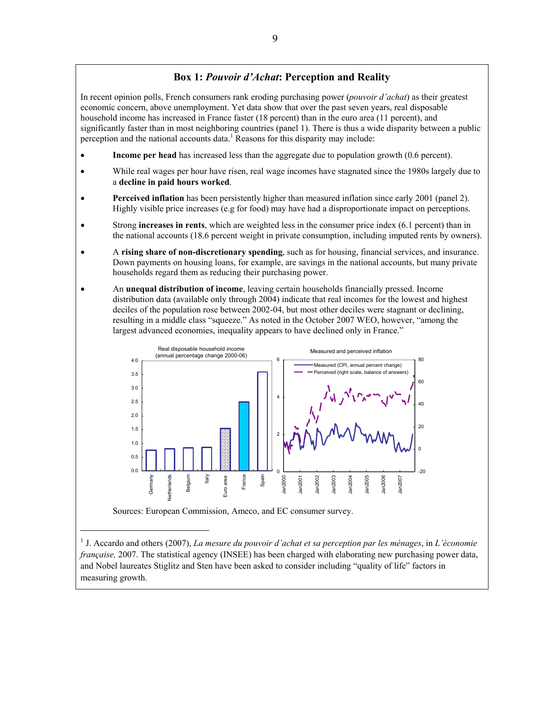## **Box 1:** *Pouvoir d'Achat***: Perception and Reality**

In recent opinion polls, French consumers rank eroding purchasing power (*pouvoir d'achat*) as their greatest economic concern, above unemployment. Yet data show that over the past seven years, real disposable household income has increased in France faster (18 percent) than in the euro area (11 percent), and significantly faster than in most neighboring countries (panel 1). There is thus a wide disparity between a public perception and the national accounts data.<sup>1</sup> Reasons for this disparity may include:

- **Income per head** has increased less than the aggregate due to population growth (0.6 percent).
- While real wages per hour have risen, real wage incomes have stagnated since the 1980s largely due to a **decline in paid hours worked**.
- **Perceived inflation** has been persistently higher than measured inflation since early 2001 (panel 2). Highly visible price increases (e.g for food) may have had a disproportionate impact on perceptions.
- Strong **increases in rents**, which are weighted less in the consumer price index (6.1 percent) than in the national accounts (18.6 percent weight in private consumption, including imputed rents by owners).
- A **rising share of non-discretionary spending**, such as for housing, financial services, and insurance. Down payments on housing loans, for example, are savings in the national accounts, but many private households regard them as reducing their purchasing power.
- An **unequal distribution of income**, leaving certain households financially pressed. Income distribution data (available only through 2004) indicate that real incomes for the lowest and highest deciles of the population rose between 2002-04, but most other deciles were stagnant or declining, resulting in a middle class "squeeze." As noted in the October 2007 WEO, however, "among the largest advanced economies, inequality appears to have declined only in France."



Sources: European Commission, Ameco, and EC consumer survey.

1 J. Accardo and others (2007), *La mesure du pouvoir d'achat et sa perception par les ménages*, in *L'économie française, 2007.* The statistical agency (INSEE) has been charged with elaborating new purchasing power data, and Nobel laureates Stiglitz and Sten have been asked to consider including "quality of life" factors in measuring growth.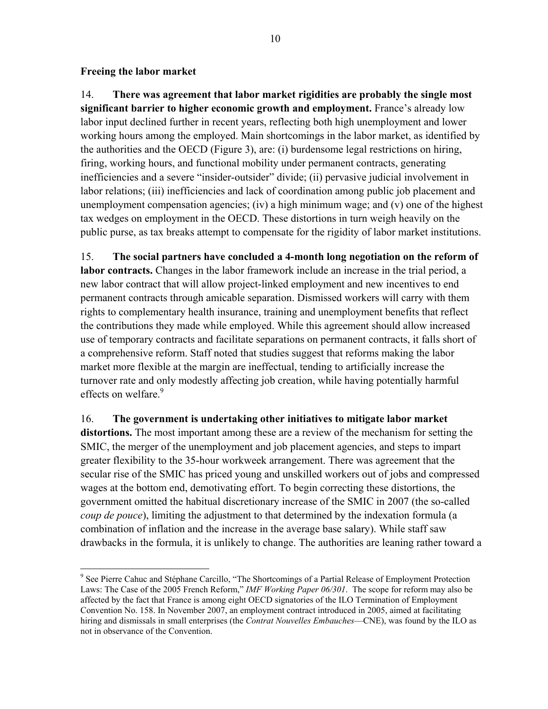### **Freeing the labor market**

 $\overline{a}$ 

14. **There was agreement that labor market rigidities are probably the single most significant barrier to higher economic growth and employment.** France's already low labor input declined further in recent years, reflecting both high unemployment and lower working hours among the employed. Main shortcomings in the labor market, as identified by the authorities and the OECD (Figure 3), are: (i) burdensome legal restrictions on hiring, firing, working hours, and functional mobility under permanent contracts, generating inefficiencies and a severe "insider-outsider" divide; (ii) pervasive judicial involvement in labor relations; (iii) inefficiencies and lack of coordination among public job placement and unemployment compensation agencies; (iv) a high minimum wage; and  $(v)$  one of the highest tax wedges on employment in the OECD. These distortions in turn weigh heavily on the public purse, as tax breaks attempt to compensate for the rigidity of labor market institutions.

15. **The social partners have concluded a 4-month long negotiation on the reform of labor contracts.** Changes in the labor framework include an increase in the trial period, a new labor contract that will allow project-linked employment and new incentives to end permanent contracts through amicable separation. Dismissed workers will carry with them rights to complementary health insurance, training and unemployment benefits that reflect the contributions they made while employed. While this agreement should allow increased use of temporary contracts and facilitate separations on permanent contracts, it falls short of a comprehensive reform. Staff noted that studies suggest that reforms making the labor market more flexible at the margin are ineffectual, tending to artificially increase the turnover rate and only modestly affecting job creation, while having potentially harmful effects on welfare.<sup>9</sup>

16. **The government is undertaking other initiatives to mitigate labor market distortions.** The most important among these are a review of the mechanism for setting the SMIC, the merger of the unemployment and job placement agencies, and steps to impart greater flexibility to the 35-hour workweek arrangement. There was agreement that the secular rise of the SMIC has priced young and unskilled workers out of jobs and compressed wages at the bottom end, demotivating effort. To begin correcting these distortions, the government omitted the habitual discretionary increase of the SMIC in 2007 (the so-called *coup de pouce*), limiting the adjustment to that determined by the indexation formula (a combination of inflation and the increase in the average base salary). While staff saw drawbacks in the formula, it is unlikely to change. The authorities are leaning rather toward a

<sup>&</sup>lt;sup>9</sup> See Pierre Cahuc and Stéphane Carcillo, "The Shortcomings of a Partial Release of Employment Protection Laws: The Case of the 2005 French Reform," *IMF Working Paper 06/301*. The scope for reform may also be affected by the fact that France is among eight OECD signatories of the ILO Termination of Employment Convention No. 158. In November 2007, an employment contract introduced in 2005, aimed at facilitating hiring and dismissals in small enterprises (the *Contrat Nouvelles Embauches*—CNE), was found by the ILO as not in observance of the Convention.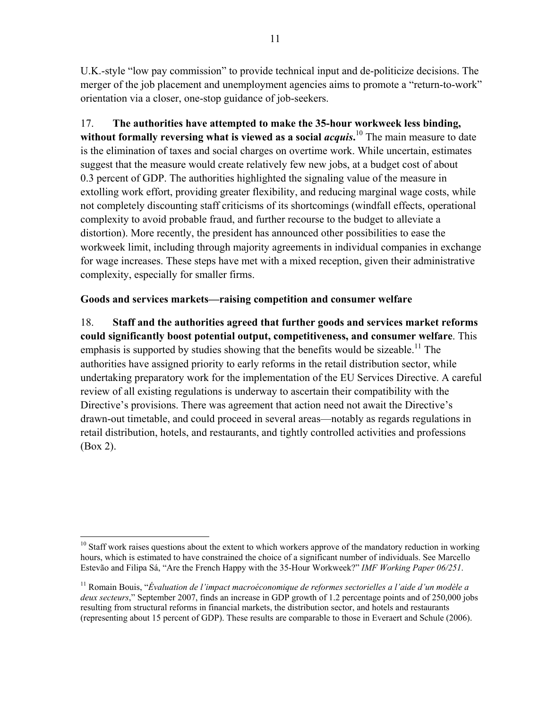U.K.-style "low pay commission" to provide technical input and de-politicize decisions. The merger of the job placement and unemployment agencies aims to promote a "return-to-work" orientation via a closer, one-stop guidance of job-seekers.

17. **The authorities have attempted to make the 35-hour workweek less binding, without formally reversing what is viewed as a social** *acquis***.** 10 The main measure to date is the elimination of taxes and social charges on overtime work. While uncertain, estimates suggest that the measure would create relatively few new jobs, at a budget cost of about 0.3 percent of GDP. The authorities highlighted the signaling value of the measure in extolling work effort, providing greater flexibility, and reducing marginal wage costs, while not completely discounting staff criticisms of its shortcomings (windfall effects, operational complexity to avoid probable fraud, and further recourse to the budget to alleviate a distortion). More recently, the president has announced other possibilities to ease the workweek limit, including through majority agreements in individual companies in exchange for wage increases. These steps have met with a mixed reception, given their administrative complexity, especially for smaller firms.

# **Goods and services markets—raising competition and consumer welfare**

18. **Staff and the authorities agreed that further goods and services market reforms could significantly boost potential output, competitiveness, and consumer welfare**. This emphasis is supported by studies showing that the benefits would be sizeable.<sup>11</sup> The authorities have assigned priority to early reforms in the retail distribution sector, while undertaking preparatory work for the implementation of the EU Services Directive. A careful review of all existing regulations is underway to ascertain their compatibility with the Directive's provisions. There was agreement that action need not await the Directive's drawn-out timetable, and could proceed in several areas—notably as regards regulations in retail distribution, hotels, and restaurants, and tightly controlled activities and professions (Box 2).

 $\overline{a}$  $10$  Staff work raises questions about the extent to which workers approve of the mandatory reduction in working hours, which is estimated to have constrained the choice of a significant number of individuals. See Marcello Estevão and Filipa Sá, "Are the French Happy with the 35-Hour Workweek?" *IMF Working Paper 06/251*.

<sup>11</sup> Romain Bouis, "*Évaluation de l'impact macroéconomique de reformes sectorielles a l'aide d'un modèle a deux secteurs*," September 2007, finds an increase in GDP growth of 1.2 percentage points and of 250,000 jobs resulting from structural reforms in financial markets, the distribution sector, and hotels and restaurants (representing about 15 percent of GDP). These results are comparable to those in Everaert and Schule (2006).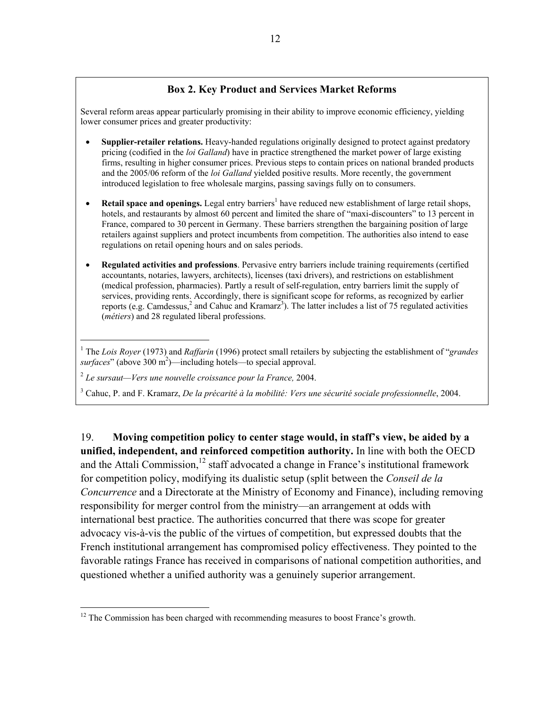# **Box 2. Key Product and Services Market Reforms**

Several reform areas appear particularly promising in their ability to improve economic efficiency, yielding lower consumer prices and greater productivity:

- **Supplier-retailer relations.** Heavy-handed regulations originally designed to protect against predatory pricing (codified in the *loi Galland*) have in practice strengthened the market power of large existing firms, resulting in higher consumer prices. Previous steps to contain prices on national branded products and the 2005/06 reform of the *loi Galland* yielded positive results. More recently, the government introduced legislation to free wholesale margins, passing savings fully on to consumers.
- Retail space and openings. Legal entry barriers<sup>1</sup> have reduced new establishment of large retail shops, hotels, and restaurants by almost 60 percent and limited the share of "maxi-discounters" to 13 percent in France, compared to 30 percent in Germany. These barriers strengthen the bargaining position of large retailers against suppliers and protect incumbents from competition. The authorities also intend to ease regulations on retail opening hours and on sales periods.
- **Regulated activities and professions**. Pervasive entry barriers include training requirements (certified accountants, notaries, lawyers, architects), licenses (taxi drivers), and restrictions on establishment (medical profession, pharmacies). Partly a result of self-regulation, entry barriers limit the supply of services, providing rents. Accordingly, there is significant scope for reforms, as recognized by earlier reports (e.g. Camdessus,<sup>2</sup> and Cahuc and Kramarz<sup>3</sup>). The latter includes a list of 75 regulated activities (*métiers*) and 28 regulated liberal professions.

<sup>1</sup> The *Lois Royer* (1973) and *Raffarin* (1996) protect small retailers by subjecting the establishment of "*grandes* surfaces" (above 300 m<sup>2</sup>)—including hotels—to special approval.

<sup>2</sup> *Le sursaut—Vers une nouvelle croissance pour la France,* 2004.

<u>.</u>

3 Cahuc, P. and F. Kramarz, *De la précarité à la mobilité: Vers une sécurité sociale professionnelle*, 2004.

19. **Moving competition policy to center stage would, in staff's view, be aided by a unified, independent, and reinforced competition authority.** In line with both the OECD and the Attali Commission, $^{12}$  staff advocated a change in France's institutional framework for competition policy, modifying its dualistic setup (split between the *Conseil de la Concurrence* and a Directorate at the Ministry of Economy and Finance), including removing responsibility for merger control from the ministry—an arrangement at odds with international best practice. The authorities concurred that there was scope for greater advocacy vis-à-vis the public of the virtues of competition, but expressed doubts that the French institutional arrangement has compromised policy effectiveness. They pointed to the favorable ratings France has received in comparisons of national competition authorities, and questioned whether a unified authority was a genuinely superior arrangement.

 $12$  The Commission has been charged with recommending measures to boost France's growth.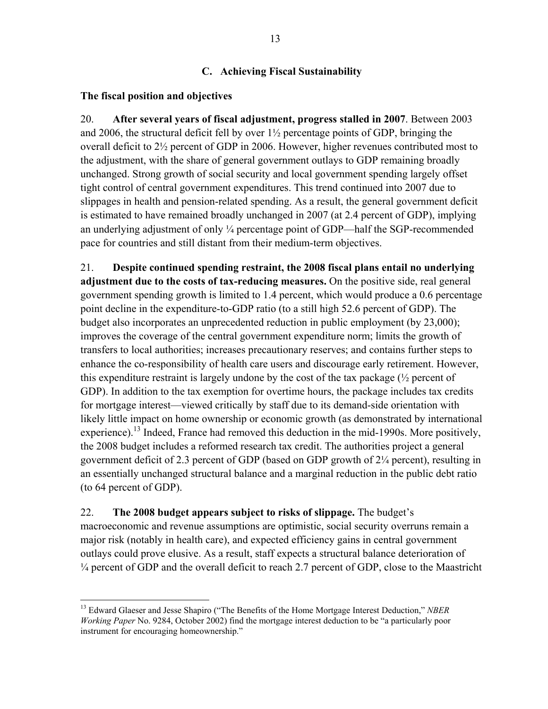# **C. Achieving Fiscal Sustainability**

## **The fiscal position and objectives**

1

20. **After several years of fiscal adjustment, progress stalled in 2007**. Between 2003 and 2006, the structural deficit fell by over 1½ percentage points of GDP, bringing the overall deficit to 2½ percent of GDP in 2006. However, higher revenues contributed most to the adjustment, with the share of general government outlays to GDP remaining broadly unchanged. Strong growth of social security and local government spending largely offset tight control of central government expenditures. This trend continued into 2007 due to slippages in health and pension-related spending. As a result, the general government deficit is estimated to have remained broadly unchanged in 2007 (at 2.4 percent of GDP), implying an underlying adjustment of only ¼ percentage point of GDP—half the SGP-recommended pace for countries and still distant from their medium-term objectives.

21. **Despite continued spending restraint, the 2008 fiscal plans entail no underlying adjustment due to the costs of tax-reducing measures.** On the positive side, real general government spending growth is limited to 1.4 percent, which would produce a 0.6 percentage point decline in the expenditure-to-GDP ratio (to a still high 52.6 percent of GDP). The budget also incorporates an unprecedented reduction in public employment (by 23,000); improves the coverage of the central government expenditure norm; limits the growth of transfers to local authorities; increases precautionary reserves; and contains further steps to enhance the co-responsibility of health care users and discourage early retirement. However, this expenditure restraint is largely undone by the cost of the tax package  $\frac{1}{2}$  percent of GDP). In addition to the tax exemption for overtime hours, the package includes tax credits for mortgage interest—viewed critically by staff due to its demand-side orientation with likely little impact on home ownership or economic growth (as demonstrated by international experience).<sup>13</sup> Indeed, France had removed this deduction in the mid-1990s. More positively, the 2008 budget includes a reformed research tax credit. The authorities project a general government deficit of 2.3 percent of GDP (based on GDP growth of 2¼ percent), resulting in an essentially unchanged structural balance and a marginal reduction in the public debt ratio (to 64 percent of GDP).

22. **The 2008 budget appears subject to risks of slippage.** The budget's macroeconomic and revenue assumptions are optimistic, social security overruns remain a major risk (notably in health care), and expected efficiency gains in central government outlays could prove elusive. As a result, staff expects a structural balance deterioration of <sup>1/4</sup> percent of GDP and the overall deficit to reach 2.7 percent of GDP, close to the Maastricht

<sup>13</sup> Edward Glaeser and Jesse Shapiro ("The Benefits of the Home Mortgage Interest Deduction," *NBER Working Paper* No. 9284, October 2002) find the mortgage interest deduction to be "a particularly poor instrument for encouraging homeownership."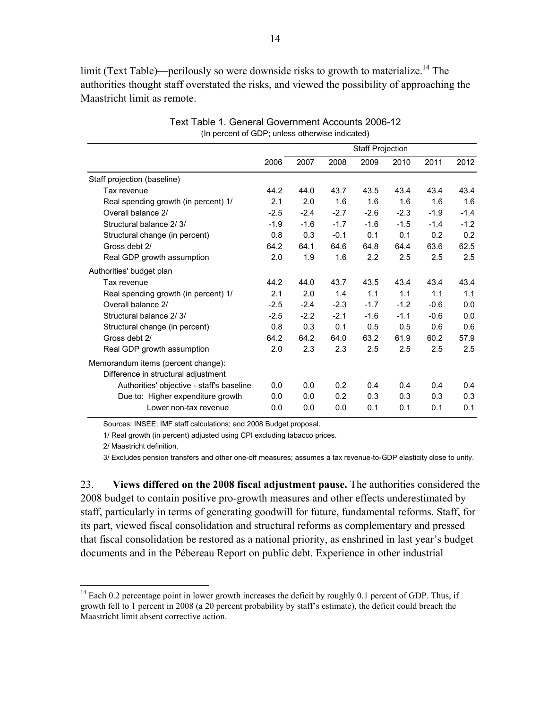limit (Text Table)—perilously so were downside risks to growth to materialize.<sup>14</sup> The authorities thought staff overstated the risks, and viewed the possibility of approaching the Maastricht limit as remote.

|                                                                           |        |        |        | <b>Staff Projection</b> |        |        |        |
|---------------------------------------------------------------------------|--------|--------|--------|-------------------------|--------|--------|--------|
|                                                                           | 2006   | 2007   | 2008   | 2009                    | 2010   | 2011   | 2012   |
| Staff projection (baseline)                                               |        |        |        |                         |        |        |        |
| Tax revenue                                                               | 44.2   | 44.0   | 43.7   | 43.5                    | 43.4   | 43.4   | 43.4   |
| Real spending growth (in percent) 1/                                      | 2.1    | 2.0    | 1.6    | 1.6                     | 1.6    | 1.6    | 1.6    |
| Overall balance 2/                                                        | $-2.5$ | $-2.4$ | $-2.7$ | $-2.6$                  | $-2.3$ | $-1.9$ | $-1.4$ |
| Structural balance 2/3/                                                   | $-1.9$ | $-1.6$ | $-1.7$ | $-1.6$                  | $-1.5$ | $-1.4$ | $-1.2$ |
| Structural change (in percent)                                            | 0.8    | 0.3    | $-0.1$ | 0.1                     | 0.1    | 0.2    | 0.2    |
| Gross debt 2/                                                             | 64.2   | 64.1   | 64.6   | 64.8                    | 64.4   | 63.6   | 62.5   |
| Real GDP growth assumption                                                | 2.0    | 1.9    | 1.6    | 2.2                     | 2.5    | 2.5    | 2.5    |
| Authorities' budget plan                                                  |        |        |        |                         |        |        |        |
| Tax revenue                                                               | 44.2   | 44.0   | 43.7   | 43.5                    | 43.4   | 43.4   | 43.4   |
| Real spending growth (in percent) 1/                                      | 2.1    | 2.0    | 1.4    | 1.1                     | 1.1    | 1.1    | 1.1    |
| Overall balance 2/                                                        | $-2.5$ | $-2.4$ | $-2.3$ | $-1.7$                  | $-1.2$ | $-0.6$ | 0.0    |
| Structural balance 2/3/                                                   | $-2.5$ | $-2.2$ | $-2.1$ | $-1.6$                  | $-1.1$ | $-0.6$ | 0.0    |
| Structural change (in percent)                                            | 0.8    | 0.3    | 0.1    | 0.5                     | 0.5    | 0.6    | 0.6    |
| Gross debt 2/                                                             | 64.2   | 64.2   | 64.0   | 63.2                    | 61.9   | 60.2   | 57.9   |
| Real GDP growth assumption                                                | 2.0    | 2.3    | 2.3    | 2.5                     | 2.5    | 2.5    | 2.5    |
| Memorandum items (percent change):<br>Difference in structural adjustment |        |        |        |                         |        |        |        |
| Authorities' objective - staff's baseline                                 | 0.0    | 0.0    | 0.2    | 0.4                     | 0.4    | 0.4    | 0.4    |
| Due to: Higher expenditure growth                                         | 0.0    | 0.0    | 0.2    | 0.3                     | 0.3    | 0.3    | 0.3    |
| Lower non-tax revenue                                                     | 0.0    | 0.0    | 0.0    | 0.1                     | 0.1    | 0.1    | 0.1    |

Text Table 1. General Government Accounts 2006-12 (In percent of GDP; unless otherwise indicated)

Sources: INSEE; IMF staff calculations; and 2008 Budget proposal.

1/ Real growth (in percent) adjusted using CPI excluding tabacco prices.

2/ Maastricht definition.

<u>.</u>

3/ Excludes pension transfers and other one-off measures; assumes a tax revenue-to-GDP elasticity close to unity.

23. **Views differed on the 2008 fiscal adjustment pause.** The authorities considered the 2008 budget to contain positive pro-growth measures and other effects underestimated by staff, particularly in terms of generating goodwill for future, fundamental reforms. Staff, for its part, viewed fiscal consolidation and structural reforms as complementary and pressed that fiscal consolidation be restored as a national priority, as enshrined in last year's budget documents and in the Pébereau Report on public debt. Experience in other industrial

<sup>&</sup>lt;sup>14</sup> Each 0.2 percentage point in lower growth increases the deficit by roughly 0.1 percent of GDP. Thus, if growth fell to 1 percent in 2008 (a 20 percent probability by staff's estimate), the deficit could breach the Maastricht limit absent corrective action.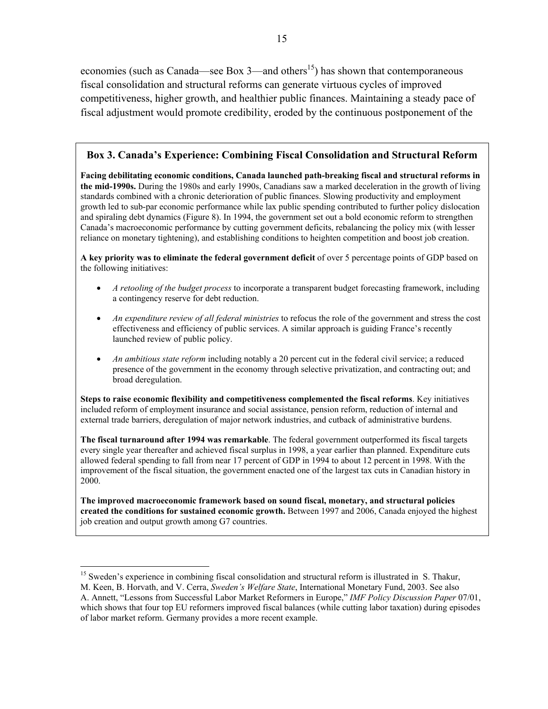economies (such as Canada—see Box 3—and others<sup>15</sup>) has shown that contemporaneous fiscal consolidation and structural reforms can generate virtuous cycles of improved competitiveness, higher growth, and healthier public finances. Maintaining a steady pace of fiscal adjustment would promote credibility, eroded by the continuous postponement of the

# **Box 3. Canada's Experience: Combining Fiscal Consolidation and Structural Reform**

**Facing debilitating economic conditions, Canada launched path-breaking fiscal and structural reforms in the mid-1990s.** During the 1980s and early 1990s, Canadians saw a marked deceleration in the growth of living standards combined with a chronic deterioration of public finances. Slowing productivity and employment growth led to sub-par economic performance while lax public spending contributed to further policy dislocation and spiraling debt dynamics (Figure 8). In 1994, the government set out a bold economic reform to strengthen Canada's macroeconomic performance by cutting government deficits, rebalancing the policy mix (with lesser reliance on monetary tightening), and establishing conditions to heighten competition and boost job creation.

**A key priority was to eliminate the federal government deficit** of over 5 percentage points of GDP based on the following initiatives:

- *A retooling of the budget process* to incorporate a transparent budget forecasting framework, including a contingency reserve for debt reduction.
- *An expenditure review of all federal ministries* to refocus the role of the government and stress the cost effectiveness and efficiency of public services. A similar approach is guiding France's recently launched review of public policy.
- *An ambitious state reform* including notably a 20 percent cut in the federal civil service; a reduced presence of the government in the economy through selective privatization, and contracting out; and broad deregulation.

**Steps to raise economic flexibility and competitiveness complemented the fiscal reforms**. Key initiatives included reform of employment insurance and social assistance, pension reform, reduction of internal and external trade barriers, deregulation of major network industries, and cutback of administrative burdens.

**The fiscal turnaround after 1994 was remarkable**. The federal government outperformed its fiscal targets every single year thereafter and achieved fiscal surplus in 1998, a year earlier than planned. Expenditure cuts allowed federal spending to fall from near 17 percent of GDP in 1994 to about 12 percent in 1998. With the improvement of the fiscal situation, the government enacted one of the largest tax cuts in Canadian history in 2000.

**The improved macroeconomic framework based on sound fiscal, monetary, and structural policies created the conditions for sustained economic growth.** Between 1997 and 2006, Canada enjoyed the highest job creation and output growth among G7 countries.

 $\overline{a}$ 

<sup>&</sup>lt;sup>15</sup> Sweden's experience in combining fiscal consolidation and structural reform is illustrated in S. Thakur, M. Keen, B. Horvath, and V. Cerra, *Sweden's Welfare State*, International Monetary Fund, 2003. See also A. Annett, "Lessons from Successful Labor Market Reformers in Europe," *IMF Policy Discussion Paper* 07/01, which shows that four top EU reformers improved fiscal balances (while cutting labor taxation) during episodes of labor market reform. Germany provides a more recent example.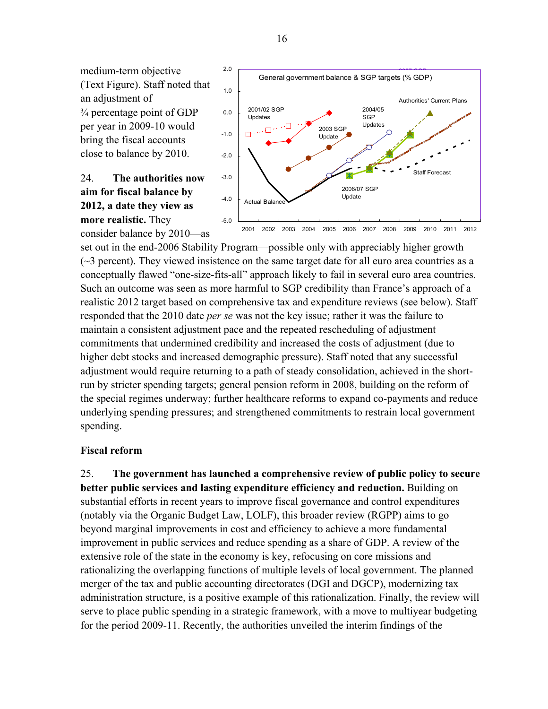medium-term objective (Text Figure). Staff noted that an adjustment of ¾ percentage point of GDP per year in 2009-10 would bring the fiscal accounts close to balance by 2010.

# 24. **The authorities now aim for fiscal balance by 2012, a date they view as more realistic.** They consider balance by 2010—as



set out in the end-2006 Stability Program—possible only with appreciably higher growth  $\sim$ 3 percent). They viewed insistence on the same target date for all euro area countries as a conceptually flawed "one-size-fits-all" approach likely to fail in several euro area countries. Such an outcome was seen as more harmful to SGP credibility than France's approach of a realistic 2012 target based on comprehensive tax and expenditure reviews (see below). Staff responded that the 2010 date *per se* was not the key issue; rather it was the failure to maintain a consistent adjustment pace and the repeated rescheduling of adjustment commitments that undermined credibility and increased the costs of adjustment (due to higher debt stocks and increased demographic pressure). Staff noted that any successful adjustment would require returning to a path of steady consolidation, achieved in the shortrun by stricter spending targets; general pension reform in 2008, building on the reform of the special regimes underway; further healthcare reforms to expand co-payments and reduce underlying spending pressures; and strengthened commitments to restrain local government spending.

# **Fiscal reform**

25. **The government has launched a comprehensive review of public policy to secure better public services and lasting expenditure efficiency and reduction.** Building on substantial efforts in recent years to improve fiscal governance and control expenditures (notably via the Organic Budget Law, LOLF), this broader review (RGPP) aims to go beyond marginal improvements in cost and efficiency to achieve a more fundamental improvement in public services and reduce spending as a share of GDP. A review of the extensive role of the state in the economy is key, refocusing on core missions and rationalizing the overlapping functions of multiple levels of local government. The planned merger of the tax and public accounting directorates (DGI and DGCP), modernizing tax administration structure, is a positive example of this rationalization. Finally, the review will serve to place public spending in a strategic framework, with a move to multiyear budgeting for the period 2009-11. Recently, the authorities unveiled the interim findings of the

16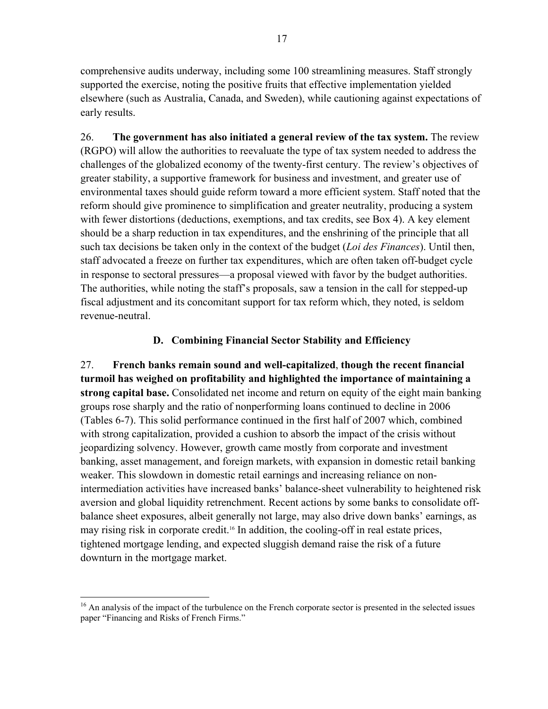comprehensive audits underway, including some 100 streamlining measures. Staff strongly supported the exercise, noting the positive fruits that effective implementation yielded elsewhere (such as Australia, Canada, and Sweden), while cautioning against expectations of early results.

26. **The government has also initiated a general review of the tax system.** The review (RGPO) will allow the authorities to reevaluate the type of tax system needed to address the challenges of the globalized economy of the twenty-first century. The review's objectives of greater stability, a supportive framework for business and investment, and greater use of environmental taxes should guide reform toward a more efficient system. Staff noted that the reform should give prominence to simplification and greater neutrality, producing a system with fewer distortions (deductions, exemptions, and tax credits, see Box 4). A key element should be a sharp reduction in tax expenditures, and the enshrining of the principle that all such tax decisions be taken only in the context of the budget (*Loi des Finances*). Until then, staff advocated a freeze on further tax expenditures, which are often taken off-budget cycle in response to sectoral pressures—a proposal viewed with favor by the budget authorities. The authorities, while noting the staff's proposals, saw a tension in the call for stepped-up fiscal adjustment and its concomitant support for tax reform which, they noted, is seldom revenue-neutral.

# **D. Combining Financial Sector Stability and Efficiency**

27. **French banks remain sound and well-capitalized**, **though the recent financial turmoil has weighed on profitability and highlighted the importance of maintaining a strong capital base.** Consolidated net income and return on equity of the eight main banking groups rose sharply and the ratio of nonperforming loans continued to decline in 2006 (Tables 6-7). This solid performance continued in the first half of 2007 which, combined with strong capitalization, provided a cushion to absorb the impact of the crisis without jeopardizing solvency. However, growth came mostly from corporate and investment banking, asset management, and foreign markets, with expansion in domestic retail banking weaker. This slowdown in domestic retail earnings and increasing reliance on nonintermediation activities have increased banks' balance-sheet vulnerability to heightened risk aversion and global liquidity retrenchment. Recent actions by some banks to consolidate offbalance sheet exposures, albeit generally not large, may also drive down banks' earnings, as may rising risk in corporate credit.16 In addition, the cooling-off in real estate prices, tightened mortgage lending, and expected sluggish demand raise the risk of a future downturn in the mortgage market.

 $\overline{a}$ 

<sup>&</sup>lt;sup>16</sup> An analysis of the impact of the turbulence on the French corporate sector is presented in the selected issues paper "Financing and Risks of French Firms."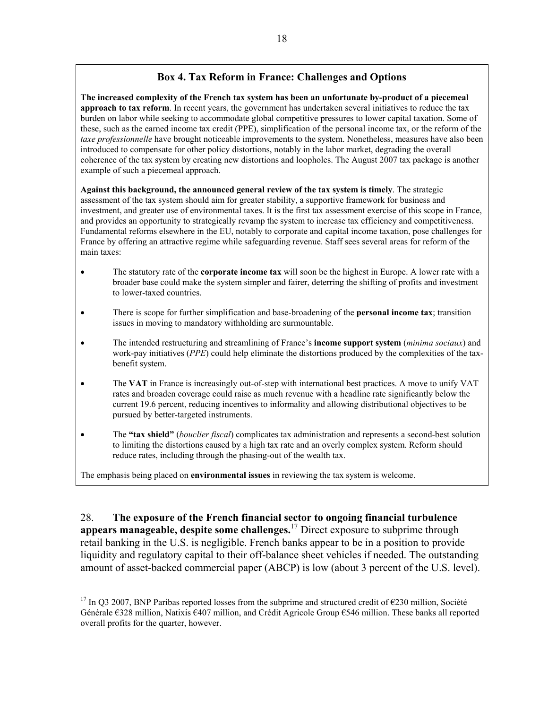# **Box 4. Tax Reform in France: Challenges and Options**

**The increased complexity of the French tax system has been an unfortunate by-product of a piecemeal approach to tax reform**. In recent years, the government has undertaken several initiatives to reduce the tax burden on labor while seeking to accommodate global competitive pressures to lower capital taxation. Some of these, such as the earned income tax credit (PPE), simplification of the personal income tax, or the reform of the *taxe professionnelle* have brought noticeable improvements to the system. Nonetheless, measures have also been introduced to compensate for other policy distortions, notably in the labor market, degrading the overall coherence of the tax system by creating new distortions and loopholes. The August 2007 tax package is another example of such a piecemeal approach.

**Against this background, the announced general review of the tax system is timely**. The strategic assessment of the tax system should aim for greater stability, a supportive framework for business and investment, and greater use of environmental taxes. It is the first tax assessment exercise of this scope in France, and provides an opportunity to strategically revamp the system to increase tax efficiency and competitiveness. Fundamental reforms elsewhere in the EU, notably to corporate and capital income taxation, pose challenges for France by offering an attractive regime while safeguarding revenue. Staff sees several areas for reform of the main taxes:

- The statutory rate of the **corporate income tax** will soon be the highest in Europe. A lower rate with a broader base could make the system simpler and fairer, deterring the shifting of profits and investment to lower-taxed countries.
- There is scope for further simplification and base-broadening of the **personal income tax**; transition issues in moving to mandatory withholding are surmountable.
- The intended restructuring and streamlining of France's **income support system** (*minima sociaux*) and work-pay initiatives (*PPE*) could help eliminate the distortions produced by the complexities of the taxbenefit system.
- The VAT in France is increasingly out-of-step with international best practices. A move to unify VAT rates and broaden coverage could raise as much revenue with a headline rate significantly below the current 19.6 percent, reducing incentives to informality and allowing distributional objectives to be pursued by better-targeted instruments.
- The **"tax shield"** (*bouclier fiscal*) complicates tax administration and represents a second-best solution to limiting the distortions caused by a high tax rate and an overly complex system. Reform should reduce rates, including through the phasing-out of the wealth tax.

The emphasis being placed on **environmental issues** in reviewing the tax system is welcome.

 $\overline{a}$ 

28. **The exposure of the French financial sector to ongoing financial turbulence appears manageable, despite some challenges.**17 Direct exposure to subprime through retail banking in the U.S. is negligible. French banks appear to be in a position to provide liquidity and regulatory capital to their off-balance sheet vehicles if needed. The outstanding amount of asset-backed commercial paper (ABCP) is low (about 3 percent of the U.S. level).

<sup>&</sup>lt;sup>17</sup> In Q3 2007, BNP Paribas reported losses from the subprime and structured credit of  $\epsilon$ 230 million, Société Générale €328 million, Natixis €407 million, and Crédit Agricole Group €546 million. These banks all reported overall profits for the quarter, however.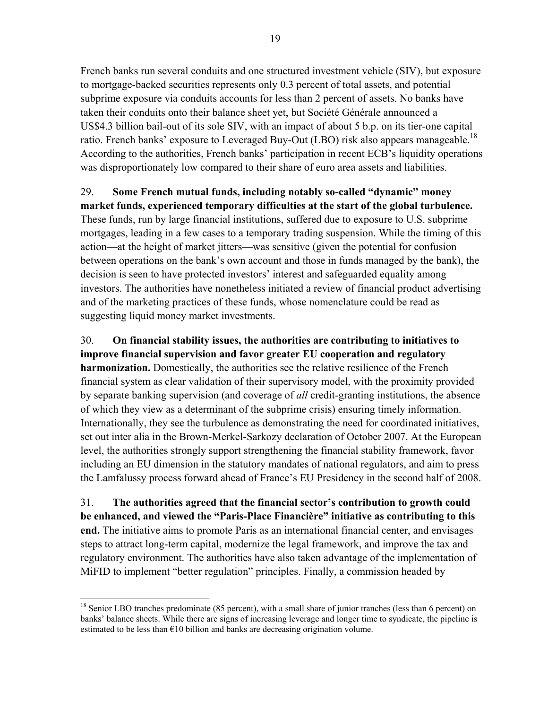French banks run several conduits and one structured investment vehicle (SIV), but exposure to mortgage-backed securities represents only 0.3 percent of total assets, and potential subprime exposure via conduits accounts for less than 2 percent of assets. No banks have taken their conduits onto their balance sheet yet, but Société Générale announced a US\$4.3 billion bail-out of its sole SIV, with an impact of about 5 b.p. on its tier-one capital ratio. French banks' exposure to Leveraged Buy-Out (LBO) risk also appears manageable.<sup>18</sup> According to the authorities, French banks' participation in recent ECB's liquidity operations was disproportionately low compared to their share of euro area assets and liabilities.

# 29. **Some French mutual funds, including notably so-called "dynamic" money**

**market funds, experienced temporary difficulties at the start of the global turbulence.**  These funds, run by large financial institutions, suffered due to exposure to U.S. subprime mortgages, leading in a few cases to a temporary trading suspension. While the timing of this action—at the height of market jitters—was sensitive (given the potential for confusion between operations on the bank's own account and those in funds managed by the bank), the decision is seen to have protected investors' interest and safeguarded equality among investors. The authorities have nonetheless initiated a review of financial product advertising and of the marketing practices of these funds, whose nomenclature could be read as suggesting liquid money market investments.

30. **On financial stability issues, the authorities are contributing to initiatives to improve financial supervision and favor greater EU cooperation and regulatory harmonization.** Domestically, the authorities see the relative resilience of the French financial system as clear validation of their supervisory model, with the proximity provided by separate banking supervision (and coverage of *all* credit-granting institutions, the absence of which they view as a determinant of the subprime crisis) ensuring timely information. Internationally, they see the turbulence as demonstrating the need for coordinated initiatives, set out inter alia in the Brown-Merkel-Sarkozy declaration of October 2007. At the European level, the authorities strongly support strengthening the financial stability framework, favor including an EU dimension in the statutory mandates of national regulators, and aim to press the Lamfalussy process forward ahead of France's EU Presidency in the second half of 2008.

31. **The authorities agreed that the financial sector's contribution to growth could be enhanced, and viewed the "Paris-Place Financière" initiative as contributing to this end.** The initiative aims to promote Paris as an international financial center, and envisages steps to attract long-term capital, modernize the legal framework, and improve the tax and regulatory environment. The authorities have also taken advantage of the implementation of MiFID to implement "better regulation" principles. Finally, a commission headed by

 $\overline{a}$  $18$  Senior LBO tranches predominate (85 percent), with a small share of junior tranches (less than 6 percent) on banks' balance sheets. While there are signs of increasing leverage and longer time to syndicate, the pipeline is estimated to be less than  $\epsilon$ 10 billion and banks are decreasing origination volume.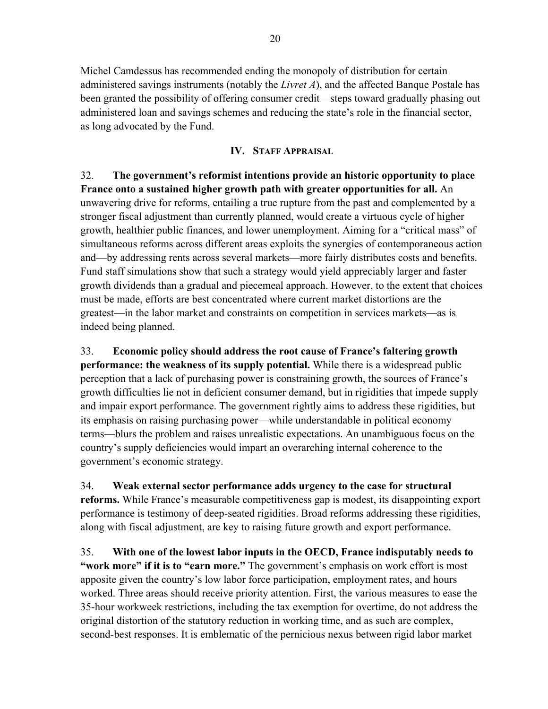Michel Camdessus has recommended ending the monopoly of distribution for certain administered savings instruments (notably the *Livret A*), and the affected Banque Postale has been granted the possibility of offering consumer credit—steps toward gradually phasing out administered loan and savings schemes and reducing the state's role in the financial sector, as long advocated by the Fund.

# **IV. STAFF APPRAISAL**

32. **The government's reformist intentions provide an historic opportunity to place France onto a sustained higher growth path with greater opportunities for all.** An unwavering drive for reforms, entailing a true rupture from the past and complemented by a stronger fiscal adjustment than currently planned, would create a virtuous cycle of higher growth, healthier public finances, and lower unemployment. Aiming for a "critical mass" of simultaneous reforms across different areas exploits the synergies of contemporaneous action and—by addressing rents across several markets—more fairly distributes costs and benefits. Fund staff simulations show that such a strategy would yield appreciably larger and faster growth dividends than a gradual and piecemeal approach. However, to the extent that choices must be made, efforts are best concentrated where current market distortions are the greatest—in the labor market and constraints on competition in services markets—as is indeed being planned.

33. **Economic policy should address the root cause of France's faltering growth performance: the weakness of its supply potential.** While there is a widespread public perception that a lack of purchasing power is constraining growth, the sources of France's growth difficulties lie not in deficient consumer demand, but in rigidities that impede supply and impair export performance. The government rightly aims to address these rigidities, but its emphasis on raising purchasing power—while understandable in political economy terms—blurs the problem and raises unrealistic expectations. An unambiguous focus on the country's supply deficiencies would impart an overarching internal coherence to the government's economic strategy.

34. **Weak external sector performance adds urgency to the case for structural reforms.** While France's measurable competitiveness gap is modest, its disappointing export performance is testimony of deep-seated rigidities. Broad reforms addressing these rigidities, along with fiscal adjustment, are key to raising future growth and export performance.

35. **With one of the lowest labor inputs in the OECD, France indisputably needs to "work more" if it is to "earn more."** The government's emphasis on work effort is most apposite given the country's low labor force participation, employment rates, and hours worked. Three areas should receive priority attention. First, the various measures to ease the 35-hour workweek restrictions, including the tax exemption for overtime, do not address the original distortion of the statutory reduction in working time, and as such are complex, second-best responses. It is emblematic of the pernicious nexus between rigid labor market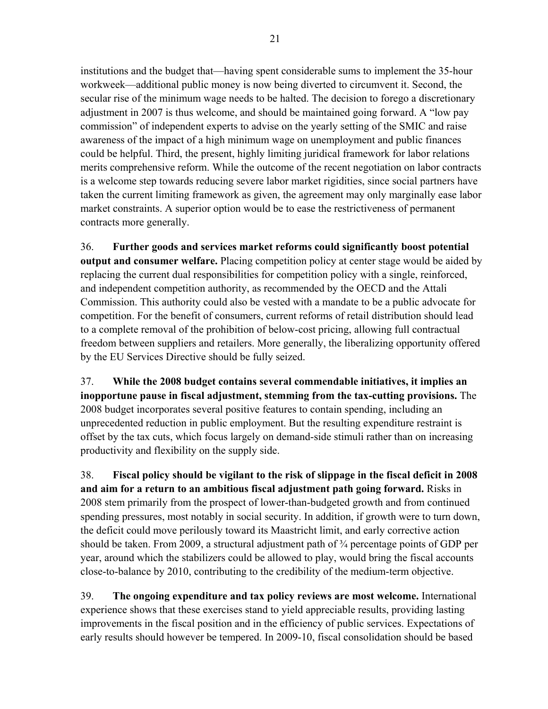institutions and the budget that—having spent considerable sums to implement the 35-hour workweek—additional public money is now being diverted to circumvent it. Second, the secular rise of the minimum wage needs to be halted. The decision to forego a discretionary adjustment in 2007 is thus welcome, and should be maintained going forward. A "low pay commission" of independent experts to advise on the yearly setting of the SMIC and raise awareness of the impact of a high minimum wage on unemployment and public finances could be helpful. Third, the present, highly limiting juridical framework for labor relations merits comprehensive reform. While the outcome of the recent negotiation on labor contracts is a welcome step towards reducing severe labor market rigidities, since social partners have taken the current limiting framework as given, the agreement may only marginally ease labor market constraints. A superior option would be to ease the restrictiveness of permanent contracts more generally.

36. **Further goods and services market reforms could significantly boost potential output and consumer welfare.** Placing competition policy at center stage would be aided by replacing the current dual responsibilities for competition policy with a single, reinforced, and independent competition authority, as recommended by the OECD and the Attali Commission. This authority could also be vested with a mandate to be a public advocate for competition. For the benefit of consumers, current reforms of retail distribution should lead to a complete removal of the prohibition of below-cost pricing, allowing full contractual freedom between suppliers and retailers. More generally, the liberalizing opportunity offered by the EU Services Directive should be fully seized.

37. **While the 2008 budget contains several commendable initiatives, it implies an inopportune pause in fiscal adjustment, stemming from the tax-cutting provisions.** The 2008 budget incorporates several positive features to contain spending, including an unprecedented reduction in public employment. But the resulting expenditure restraint is offset by the tax cuts, which focus largely on demand-side stimuli rather than on increasing productivity and flexibility on the supply side.

38. **Fiscal policy should be vigilant to the risk of slippage in the fiscal deficit in 2008 and aim for a return to an ambitious fiscal adjustment path going forward.** Risks in 2008 stem primarily from the prospect of lower-than-budgeted growth and from continued spending pressures, most notably in social security. In addition, if growth were to turn down, the deficit could move perilously toward its Maastricht limit, and early corrective action should be taken. From 2009, a structural adjustment path of  $\frac{3}{4}$  percentage points of GDP per year, around which the stabilizers could be allowed to play, would bring the fiscal accounts close-to-balance by 2010, contributing to the credibility of the medium-term objective.

39. **The ongoing expenditure and tax policy reviews are most welcome.** International experience shows that these exercises stand to yield appreciable results, providing lasting improvements in the fiscal position and in the efficiency of public services. Expectations of early results should however be tempered. In 2009-10, fiscal consolidation should be based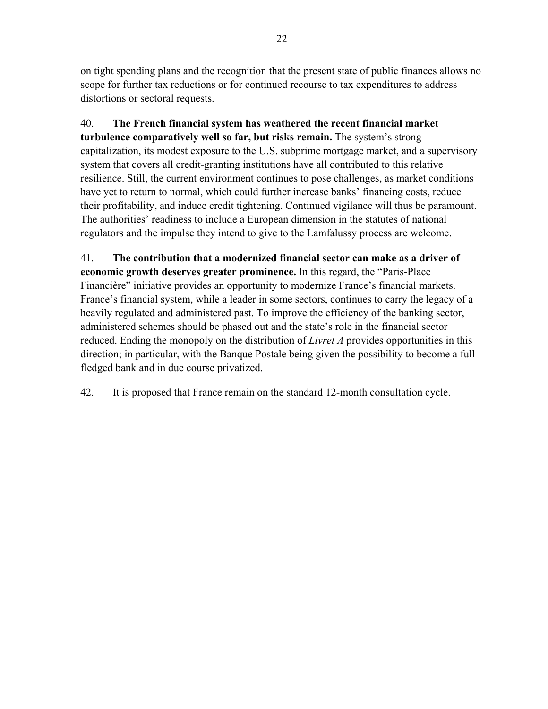on tight spending plans and the recognition that the present state of public finances allows no scope for further tax reductions or for continued recourse to tax expenditures to address distortions or sectoral requests.

40. **The French financial system has weathered the recent financial market turbulence comparatively well so far, but risks remain.** The system's strong capitalization, its modest exposure to the U.S. subprime mortgage market, and a supervisory system that covers all credit-granting institutions have all contributed to this relative resilience. Still, the current environment continues to pose challenges, as market conditions have yet to return to normal, which could further increase banks' financing costs, reduce their profitability, and induce credit tightening. Continued vigilance will thus be paramount. The authorities' readiness to include a European dimension in the statutes of national regulators and the impulse they intend to give to the Lamfalussy process are welcome.

41. **The contribution that a modernized financial sector can make as a driver of economic growth deserves greater prominence.** In this regard, the "Paris-Place Financière" initiative provides an opportunity to modernize France's financial markets. France's financial system, while a leader in some sectors, continues to carry the legacy of a heavily regulated and administered past. To improve the efficiency of the banking sector, administered schemes should be phased out and the state's role in the financial sector reduced. Ending the monopoly on the distribution of *Livret A* provides opportunities in this direction; in particular, with the Banque Postale being given the possibility to become a fullfledged bank and in due course privatized.

42. It is proposed that France remain on the standard 12-month consultation cycle.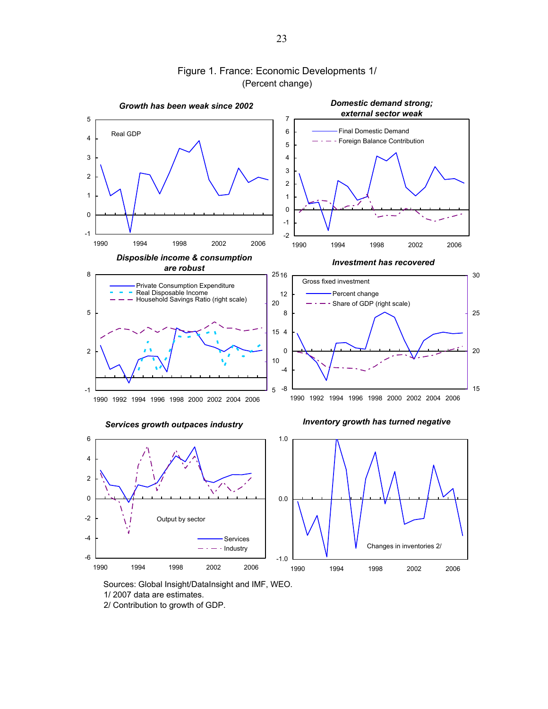

# Figure 1. France: Economic Developments 1/ (Percent change)

Sources: Global Insight/DataInsight and IMF, WEO.

1/ 2007 data are estimates.

2/ Contribution to growth of GDP.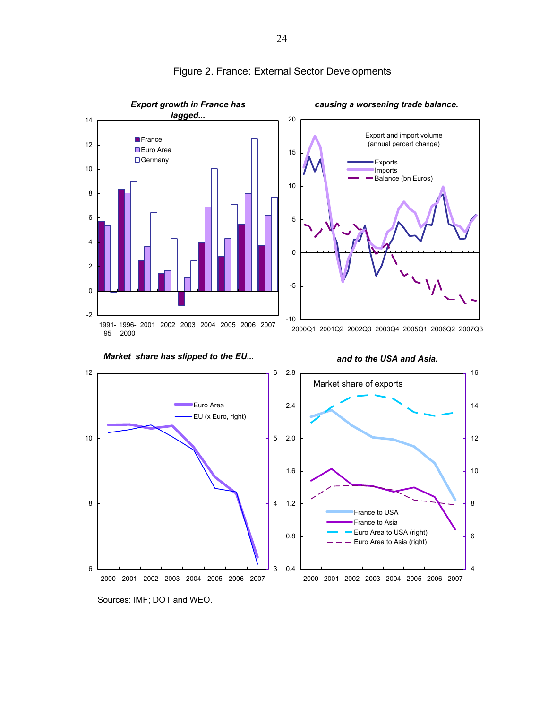

# Figure 2. France: External Sector Developments

Sources: IMF; DOT and WEO.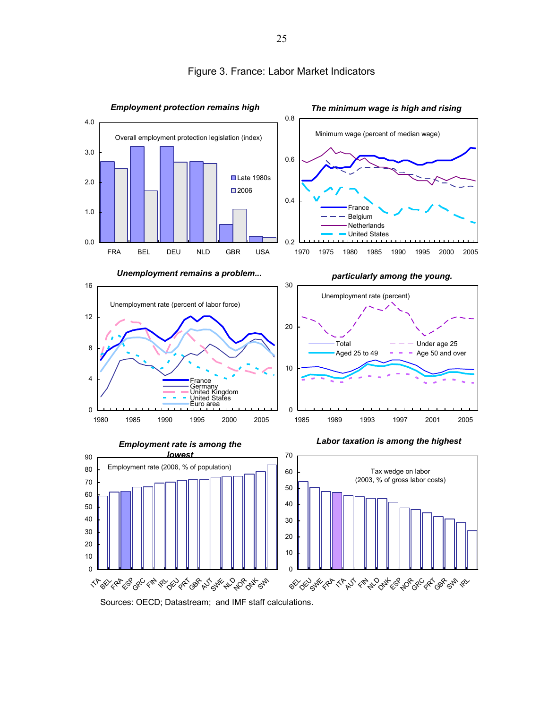

### Figure 3. France: Labor Market Indicators

Sources: OECD; Datastream; and IMF staff calculations.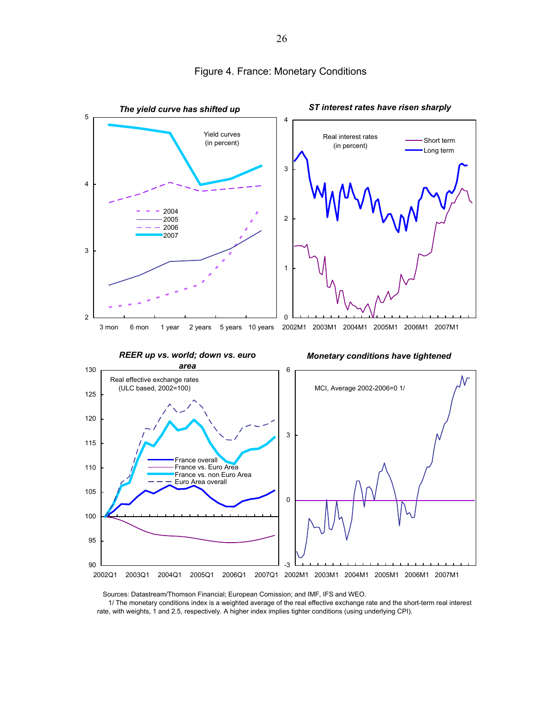

#### Figure 4. France: Monetary Conditions

Sources: Datastream/Thomson Financial; European Comission; and IMF, IFS and WEO.

 1/ The monetary conditions index is a weighted average of the real effective exchange rate and the short-term real interest rate, with weights, 1 and 2.5, respectively. A higher index implies tighter conditions (using underlying CPI).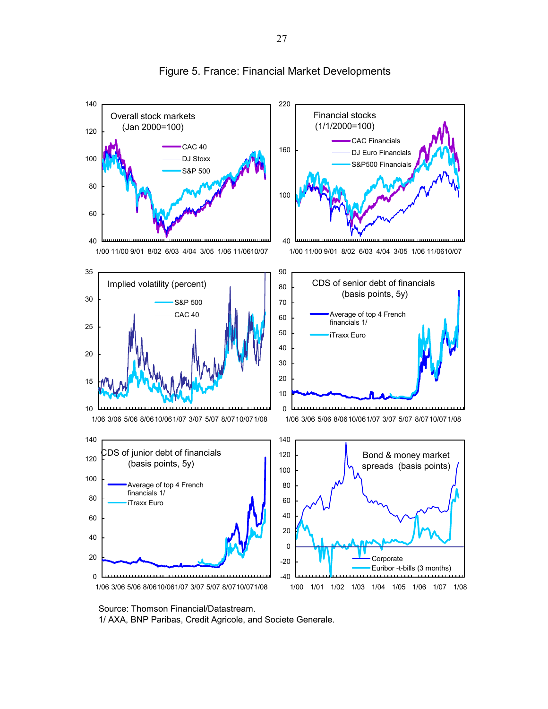

### Figure 5. France: Financial Market Developments

Source: Thomson Financial/Datastream. 1/ AXA, BNP Paribas, Credit Agricole, and Societe Generale.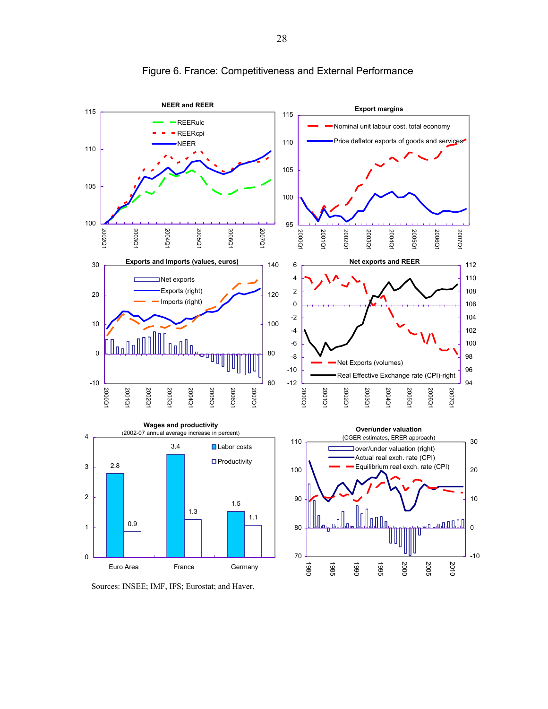

Figure 6. France: Competitiveness and External Performance

Sources: INSEE; IMF, IFS; Eurostat; and Haver.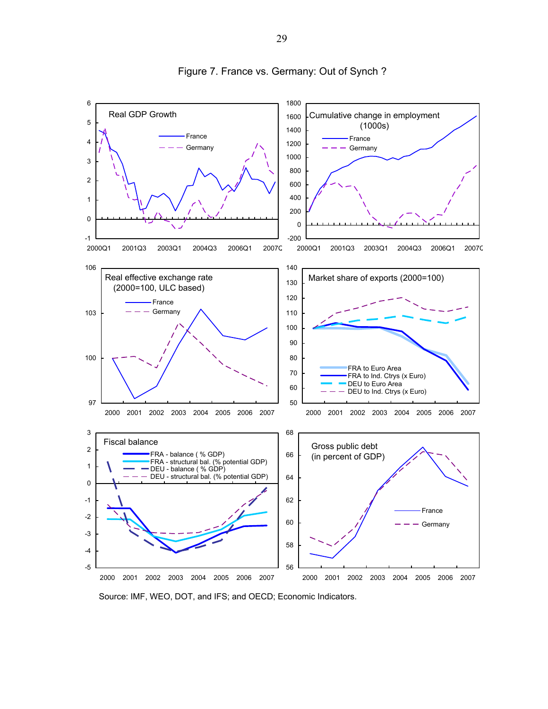

Figure 7. France vs. Germany: Out of Synch ?

Source: IMF, WEO, DOT, and IFS; and OECD; Economic Indicators.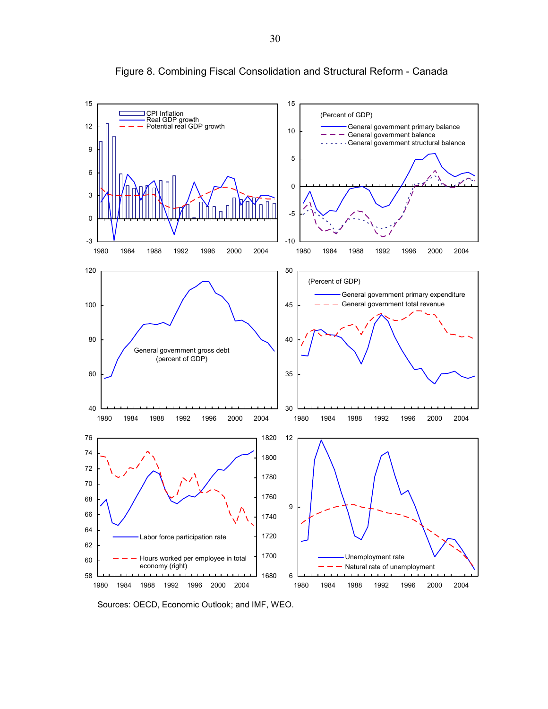

Figure 8. Combining Fiscal Consolidation and Structural Reform - Canada

Sources: OECD, Economic Outlook; and IMF, WEO.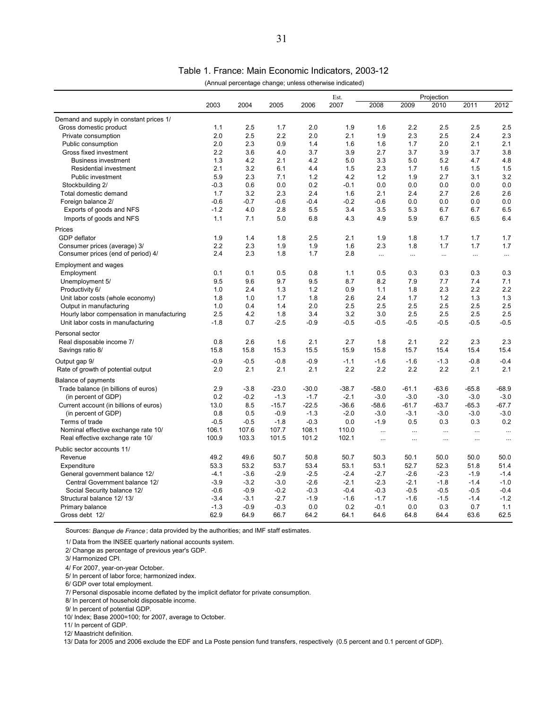Table 1. France: Main Economic Indicators, 2003-12

|                                            |        |        |         |         | (Annual percentage change; unless otherwise indicated) |           |          |            |          |          |
|--------------------------------------------|--------|--------|---------|---------|--------------------------------------------------------|-----------|----------|------------|----------|----------|
|                                            |        |        |         |         | Est.                                                   |           |          | Projection |          |          |
|                                            | 2003   | 2004   | 2005    | 2006    | 2007                                                   | 2008      | 2009     | 2010       | 2011     | 2012     |
| Demand and supply in constant prices 1/    |        |        |         |         |                                                        |           |          |            |          |          |
| Gross domestic product                     | 1.1    | 2.5    | 1.7     | 2.0     | 1.9                                                    | 1.6       | 2.2      | 2.5        | 2.5      | 2.5      |
| Private consumption                        | 2.0    | 2.5    | 2.2     | 2.0     | 2.1                                                    | 1.9       | 2.3      | 2.5        | 2.4      | 2.3      |
| Public consumption                         | 2.0    | 2.3    | 0.9     | 1.4     | 1.6                                                    | 1.6       | 1.7      | 2.0        | 2.1      | 2.1      |
| Gross fixed investment                     | 2.2    | 3.6    | 4.0     | 3.7     | 3.9                                                    | 2.7       | 3.7      | 3.9        | 3.7      | 3.8      |
| <b>Business investment</b>                 | 1.3    | 4.2    | 2.1     | 4.2     | 5.0                                                    | 3.3       | 5.0      | 5.2        | 4.7      | 4.8      |
| Residential investment                     | 2.1    | 3.2    | 6.1     | 4.4     | 1.5                                                    | 2.3       | 1.7      | 1.6        | 1.5      | 1.5      |
| Public investment                          | 5.9    | 2.3    | 7.1     | 1.2     | 4.2                                                    | 1.2       | 1.9      | 2.7        | 3.1      | 3.2      |
| Stockbuilding 2/                           | $-0.3$ | 0.6    | 0.0     | 0.2     | $-0.1$                                                 | 0.0       | 0.0      | 0.0        | 0.0      | 0.0      |
| Total domestic demand                      | 1.7    | 3.2    | 2.3     | 2.4     | 1.6                                                    | 2.1       | 2.4      | 2.7        | 2.6      | 2.6      |
| Foreign balance 2/                         | $-0.6$ | $-0.7$ | $-0.6$  | $-0.4$  | $-0.2$                                                 | $-0.6$    | 0.0      | 0.0        | 0.0      | 0.0      |
| Exports of goods and NFS                   | $-1.2$ | 4.0    | 2.8     | 5.5     | 3.4                                                    | 3.5       | 5.3      | 6.7        | 6.7      | 6.5      |
| Imports of goods and NFS                   | 1.1    | 7.1    | 5.0     | 6.8     | 4.3                                                    | 4.9       | 5.9      | 6.7        | 6.5      | 6.4      |
|                                            |        |        |         |         |                                                        |           |          |            |          |          |
| Prices                                     |        |        |         |         |                                                        |           |          |            |          |          |
| GDP deflator                               | 1.9    | 1.4    | 1.8     | 2.5     | 2.1                                                    | 1.9       | 1.8      | 1.7        | 1.7      | 1.7      |
| Consumer prices (average) 3/               | 2.2    | 2.3    | 1.9     | 1.9     | 1.6                                                    | 2.3       | 1.8      | 1.7        | 1.7      | 1.7      |
| Consumer prices (end of period) 4/         | 2.4    | 2.3    | 1.8     | 1.7     | 2.8                                                    | $\cdots$  | $\cdots$ | $\ldots$   | $\cdots$ | $\cdots$ |
| <b>Employment and wages</b>                |        |        |         |         |                                                        |           |          |            |          |          |
| Employment                                 | 0.1    | 0.1    | 0.5     | 0.8     | 1.1                                                    | 0.5       | 0.3      | 0.3        | 0.3      | 0.3      |
| Unemployment 5/                            | 9.5    | 9.6    | 9.7     | 9.5     | 8.7                                                    | 8.2       | 7.9      | 7.7        | 7.4      | 7.1      |
| Productivity 6/                            | 1.0    | 2.4    | 1.3     | 1.2     | 0.9                                                    | 1.1       | 1.8      | 2.3        | 2.2      | 2.2      |
| Unit labor costs (whole economy)           | 1.8    | 1.0    | 1.7     | 1.8     | 2.6                                                    | 2.4       | 1.7      | 1.2        | 1.3      | 1.3      |
| Output in manufacturing                    | 1.0    | 0.4    | 1.4     | 2.0     | 2.5                                                    | 2.5       | 2.5      | 2.5        | 2.5      | 2.5      |
| Hourly labor compensation in manufacturing | 2.5    | 4.2    | 1.8     | 3.4     | 3.2                                                    | 3.0       | 2.5      | 2.5        | 2.5      | 2.5      |
| Unit labor costs in manufacturing          | $-1.8$ | 0.7    | $-2.5$  | $-0.9$  | $-0.5$                                                 | $-0.5$    | $-0.5$   | $-0.5$     | $-0.5$   | $-0.5$   |
|                                            |        |        |         |         |                                                        |           |          |            |          |          |
| Personal sector                            |        |        |         |         |                                                        |           |          |            |          |          |
| Real disposable income 7/                  | 0.8    | 2.6    | 1.6     | 2.1     | 2.7                                                    | 1.8       | 2.1      | 2.2        | 2.3      | 2.3      |
| Savings ratio 8/                           | 15.8   | 15.8   | 15.3    | 15.5    | 15.9                                                   | 15.8      | 15.7     | 15.4       | 15.4     | 15.4     |
| Output gap 9/                              | $-0.9$ | $-0.5$ | $-0.8$  | $-0.9$  | $-1.1$                                                 | $-1.6$    | $-1.6$   | $-1.3$     | $-0.8$   | $-0.4$   |
| Rate of growth of potential output         | 2.0    | 2.1    | 2.1     | 2.1     | 2.2                                                    | 2.2       | 2.2      | 2.2        | 2.1      | 2.1      |
|                                            |        |        |         |         |                                                        |           |          |            |          |          |
| Balance of payments                        |        |        |         |         |                                                        |           |          |            |          |          |
| Trade balance (in billions of euros)       | 2.9    | $-3.8$ | $-23.0$ | $-30.0$ | $-38.7$                                                | $-58.0$   | $-61.1$  | $-63.6$    | $-65.8$  | $-68.9$  |
| (in percent of GDP)                        | 0.2    | $-0.2$ | $-1.3$  | $-1.7$  | $-2.1$                                                 | $-3.0$    | $-3.0$   | $-3.0$     | $-3.0$   | $-3.0$   |
| Current account (in billions of euros)     | 13.0   | 8.5    | $-15.7$ | $-22.5$ | $-36.6$                                                | $-58.6$   | $-61.7$  | $-63.7$    | $-65.3$  | $-67.7$  |
| (in percent of GDP)                        | 0.8    | 0.5    | $-0.9$  | $-1.3$  | $-2.0$                                                 | $-3.0$    | $-3.1$   | $-3.0$     | $-3.0$   | $-3.0$   |
| Terms of trade                             | $-0.5$ | $-0.5$ | $-1.8$  | $-0.3$  | 0.0                                                    | $-1.9$    | 0.5      | 0.3        | 0.3      | 0.2      |
| Nominal effective exchange rate 10/        | 106.1  | 107.6  | 107.7   | 108.1   | 110.0                                                  | $\ddotsc$ | $\cdots$ | $\cdots$   | $\cdots$ | $\cdots$ |
| Real effective exchange rate 10/           | 100.9  | 103.3  | 101.5   | 101.2   | 102.1                                                  | $\ddotsc$ | $\cdots$ | $\cdots$   | $\cdots$ | $\cdots$ |
| Public sector accounts 11/                 |        |        |         |         |                                                        |           |          |            |          |          |
| Revenue                                    | 49.2   | 49.6   | 50.7    | 50.8    | 50.7                                                   | 50.3      | 50.1     | 50.0       | 50.0     | 50.0     |
| Expenditure                                | 53.3   | 53.2   | 53.7    | 53.4    | 53.1                                                   | 53.1      | 52.7     | 52.3       | 51.8     | 51.4     |
| General government balance 12/             | $-4.1$ | $-3.6$ | $-2.9$  | $-2.5$  | $-2.4$                                                 | $-2.7$    | $-2.6$   | $-2.3$     | $-1.9$   | $-1.4$   |
| Central Government balance 12/             | $-3.9$ | $-3.2$ | $-3.0$  | $-2.6$  | $-2.1$                                                 | $-2.3$    | $-2.1$   | $-1.8$     | $-1.4$   | $-1.0$   |
| Social Security balance 12/                | $-0.6$ | $-0.9$ | $-0.2$  | $-0.3$  | $-0.4$                                                 | $-0.3$    | $-0.5$   | $-0.5$     | $-0.5$   | $-0.4$   |
| Structural balance 12/13/                  | $-3.4$ | $-3.1$ | $-2.7$  | $-1.9$  | $-1.6$                                                 | $-1.7$    | $-1.6$   | $-1.5$     | $-1.4$   | $-1.2$   |
| Primary balance                            | $-1.3$ | $-0.9$ | $-0.3$  | 0.0     | 0.2                                                    | $-0.1$    | 0.0      | 0.3        | 0.7      | 1.1      |
| Gross debt 12/                             | 62.9   | 64.9   | 66.7    | 64.2    | 64.1                                                   | 64.6      | 64.8     | 64.4       | 63.6     | 62.5     |
|                                            |        |        |         |         |                                                        |           |          |            |          |          |

Sources: *Banque de France* ; data provided by the authorities; and IMF staff estimates.

1/ Data from the INSEE quarterly national accounts system.

2/ Change as percentage of previous year's GDP.

4/ For 2007, year-on-year October.

5/ In percent of labor force; harmonized index.

6/ GDP over total employment.

7/ Personal disposable income deflated by the implicit deflator for private consumption.

8/ In percent of household disposable income.

9/ In percent of potential GDP.

10/ Index; Base 2000=100; for 2007, average to October.

11/ In percent of GDP.

12/ Maastricht definition.

13/ Data for 2005 and 2006 exclude the EDF and La Poste pension fund transfers, respectively (0.5 percent and 0.1 percent of GDP).

 <sup>3/</sup> Harmonized CPI.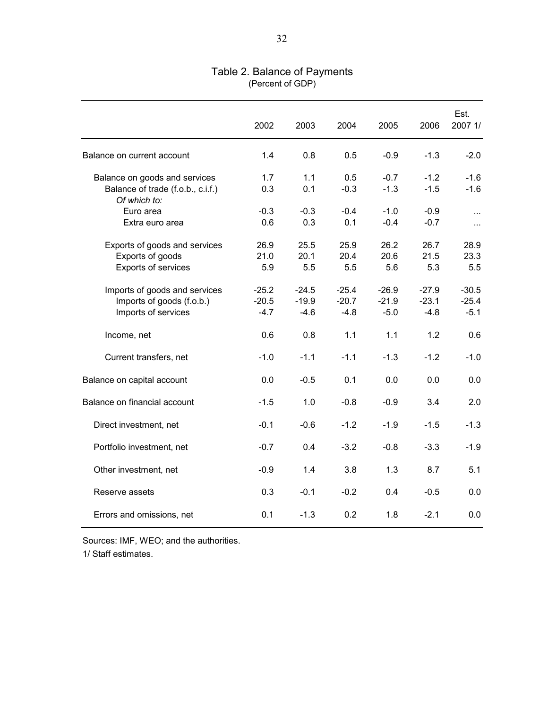|                                                                                    | 2002                         | 2003                         | 2004                         | 2005                         | 2006                         | Est.<br>2007 1/              |
|------------------------------------------------------------------------------------|------------------------------|------------------------------|------------------------------|------------------------------|------------------------------|------------------------------|
| Balance on current account                                                         | 1.4                          | 0.8                          | 0.5                          | $-0.9$                       | $-1.3$                       | $-2.0$                       |
| Balance on goods and services<br>Balance of trade (f.o.b., c.i.f.)<br>Of which to: | 1.7<br>0.3                   | 1.1<br>0.1                   | 0.5<br>$-0.3$                | $-0.7$<br>$-1.3$             | $-1.2$<br>$-1.5$             | $-1.6$<br>$-1.6$             |
| Euro area<br>Extra euro area                                                       | $-0.3$<br>0.6                | $-0.3$<br>0.3                | $-0.4$<br>0.1                | $-1.0$<br>$-0.4$             | $-0.9$<br>$-0.7$             | $\cdots$<br>$\cdots$         |
| Exports of goods and services<br>Exports of goods<br>Exports of services           | 26.9<br>21.0<br>5.9          | 25.5<br>20.1<br>5.5          | 25.9<br>20.4<br>5.5          | 26.2<br>20.6<br>5.6          | 26.7<br>21.5<br>5.3          | 28.9<br>23.3<br>5.5          |
| Imports of goods and services<br>Imports of goods (f.o.b.)<br>Imports of services  | $-25.2$<br>$-20.5$<br>$-4.7$ | $-24.5$<br>$-19.9$<br>$-4.6$ | $-25.4$<br>$-20.7$<br>$-4.8$ | $-26.9$<br>$-21.9$<br>$-5.0$ | $-27.9$<br>$-23.1$<br>$-4.8$ | $-30.5$<br>$-25.4$<br>$-5.1$ |
| Income, net                                                                        | 0.6                          | 0.8                          | 1.1                          | 1.1                          | 1.2                          | 0.6                          |
| Current transfers, net                                                             | $-1.0$                       | $-1.1$                       | $-1.1$                       | $-1.3$                       | $-1.2$                       | $-1.0$                       |
| Balance on capital account                                                         | 0.0                          | $-0.5$                       | 0.1                          | 0.0                          | 0.0                          | 0.0                          |
| Balance on financial account                                                       | $-1.5$                       | 1.0                          | $-0.8$                       | $-0.9$                       | 3.4                          | 2.0                          |
| Direct investment, net                                                             | $-0.1$                       | $-0.6$                       | $-1.2$                       | $-1.9$                       | $-1.5$                       | $-1.3$                       |
| Portfolio investment, net                                                          | $-0.7$                       | 0.4                          | $-3.2$                       | $-0.8$                       | $-3.3$                       | $-1.9$                       |
| Other investment, net                                                              | $-0.9$                       | 1.4                          | 3.8                          | 1.3                          | 8.7                          | 5.1                          |
| Reserve assets                                                                     | 0.3                          | $-0.1$                       | $-0.2$                       | 0.4                          | $-0.5$                       | 0.0                          |
| Errors and omissions, net                                                          | 0.1                          | $-1.3$                       | 0.2                          | 1.8                          | $-2.1$                       | 0.0                          |

# Table 2. Balance of Payments (Percent of GDP)

Sources: IMF, WEO; and the authorities.

1/ Staff estimates.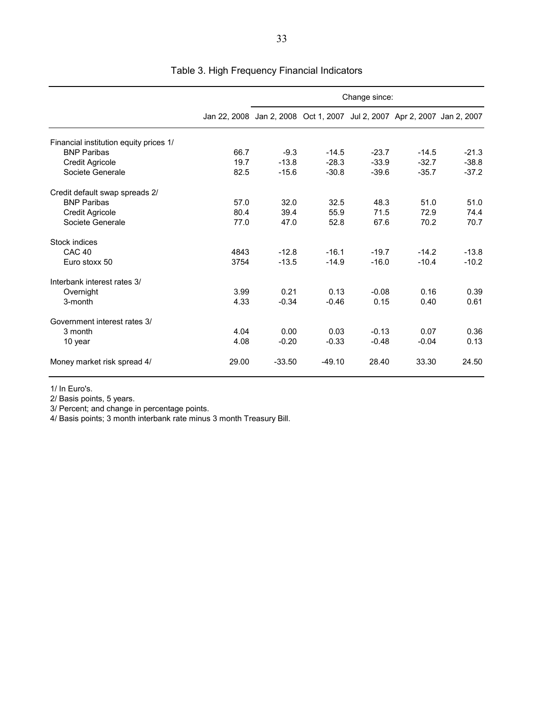|                                        |                                                                          | Change since: |          |         |         |         |  |  |
|----------------------------------------|--------------------------------------------------------------------------|---------------|----------|---------|---------|---------|--|--|
|                                        | Jan 22, 2008 Jan 2, 2008 Oct 1, 2007 Jul 2, 2007 Apr 2, 2007 Jan 2, 2007 |               |          |         |         |         |  |  |
| Financial institution equity prices 1/ |                                                                          |               |          |         |         |         |  |  |
| <b>BNP Paribas</b>                     | 66.7                                                                     | $-9.3$        | $-14.5$  | $-23.7$ | $-14.5$ | $-21.3$ |  |  |
| Credit Agricole                        | 19.7                                                                     | $-13.8$       | $-28.3$  | $-33.9$ | $-32.7$ | $-38.8$ |  |  |
| Societe Generale                       | 82.5                                                                     | $-15.6$       | $-30.8$  | $-39.6$ | $-35.7$ | $-37.2$ |  |  |
| Credit default swap spreads 2/         |                                                                          |               |          |         |         |         |  |  |
| <b>BNP Paribas</b>                     | 57.0                                                                     | 32.0          | 32.5     | 48.3    | 51.0    | 51.0    |  |  |
| <b>Credit Agricole</b>                 | 80.4                                                                     | 39.4          | 55.9     | 71.5    | 72.9    | 74.4    |  |  |
| Societe Generale                       | 77.0                                                                     | 47.0          | 52.8     | 67.6    | 70.2    | 70.7    |  |  |
| Stock indices                          |                                                                          |               |          |         |         |         |  |  |
| CAC <sub>40</sub>                      | 4843                                                                     | $-12.8$       | $-16.1$  | $-19.7$ | $-14.2$ | $-13.8$ |  |  |
| Euro stoxx 50                          | 3754                                                                     | $-13.5$       | $-14.9$  | $-16.0$ | $-10.4$ | $-10.2$ |  |  |
| Interbank interest rates 3/            |                                                                          |               |          |         |         |         |  |  |
| Overnight                              | 3.99                                                                     | 0.21          | 0.13     | $-0.08$ | 0.16    | 0.39    |  |  |
| 3-month                                | 4.33                                                                     | $-0.34$       | $-0.46$  | 0.15    | 0.40    | 0.61    |  |  |
| Government interest rates 3/           |                                                                          |               |          |         |         |         |  |  |
| 3 month                                | 4.04                                                                     | 0.00          | 0.03     | $-0.13$ | 0.07    | 0.36    |  |  |
| 10 year                                | 4.08                                                                     | $-0.20$       | $-0.33$  | $-0.48$ | $-0.04$ | 0.13    |  |  |
| Money market risk spread 4/            | 29.00                                                                    | $-33.50$      | $-49.10$ | 28.40   | 33.30   | 24.50   |  |  |

Table 3. High Frequency Financial Indicators

1/ In Euro's.

2/ Basis points, 5 years.

3/ Percent; and change in percentage points.

4/ Basis points; 3 month interbank rate minus 3 month Treasury Bill.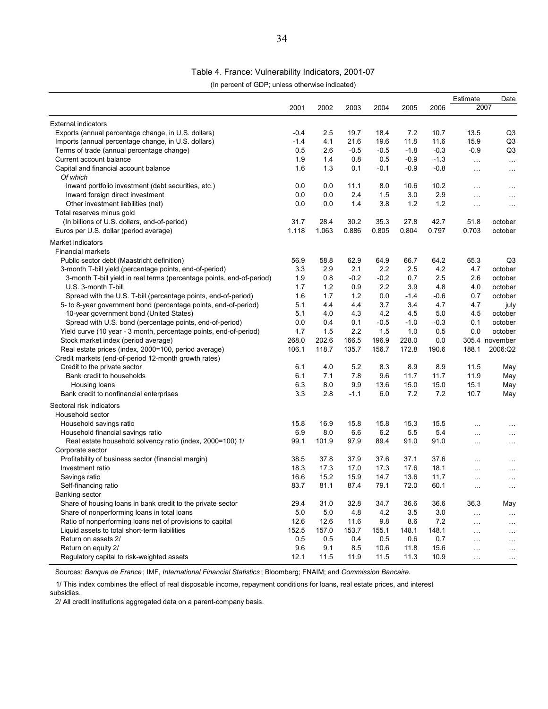#### Table 4. France: Vulnerability Indicators, 2001-07

(In percent of GDP; unless otherwise indicated)

|                                                                       |        |       |        |        |        |        | Estimate  | Date           |
|-----------------------------------------------------------------------|--------|-------|--------|--------|--------|--------|-----------|----------------|
|                                                                       | 2001   | 2002  | 2003   | 2004   | 2005   | 2006   | 2007      |                |
| <b>External indicators</b>                                            |        |       |        |        |        |        |           |                |
| Exports (annual percentage change, in U.S. dollars)                   | $-0.4$ | 2.5   | 19.7   | 18.4   | 7.2    | 10.7   | 13.5      | Q3             |
| Imports (annual percentage change, in U.S. dollars)                   | $-1.4$ | 4.1   | 21.6   | 19.6   | 11.8   | 11.6   | 15.9      | Q <sub>3</sub> |
| Terms of trade (annual percentage change)                             | 0.5    | 2.6   | $-0.5$ | $-0.5$ | $-1.8$ | $-0.3$ | $-0.9$    | Q3             |
| Current account balance                                               | 1.9    | 1.4   | 0.8    | 0.5    | $-0.9$ | $-1.3$ | .         | $\ldots$       |
| Capital and financial account balance                                 | 1.6    | 1.3   | 0.1    | $-0.1$ | $-0.9$ | $-0.8$ | $\cdots$  | $\cdots$       |
| Of which                                                              |        |       |        |        |        |        |           |                |
| Inward portfolio investment (debt securities, etc.)                   | 0.0    | 0.0   | 11.1   | 8.0    | 10.6   | 10.2   | .         | $\ddotsc$      |
| Inward foreign direct investment                                      | 0.0    | 0.0   | 2.4    | 1.5    | 3.0    | 2.9    | $\ddotsc$ | $\ddotsc$      |
| Other investment liabilities (net)                                    | 0.0    | 0.0   | 1.4    | 3.8    | 1.2    | 1.2    | .         | $\ddotsc$      |
| Total reserves minus gold                                             |        |       |        |        |        |        |           |                |
| (In billions of U.S. dollars, end-of-period)                          | 31.7   | 28.4  | 30.2   | 35.3   | 27.8   | 42.7   | 51.8      | october        |
| Euros per U.S. dollar (period average)                                | 1.118  | 1.063 | 0.886  | 0.805  | 0.804  | 0.797  | 0.703     | october        |
| Market indicators                                                     |        |       |        |        |        |        |           |                |
| <b>Financial markets</b>                                              |        |       |        |        |        |        |           |                |
| Public sector debt (Maastricht definition)                            | 56.9   | 58.8  | 62.9   | 64.9   | 66.7   | 64.2   | 65.3      | Q <sub>3</sub> |
| 3-month T-bill yield (percentage points, end-of-period)               | 3.3    | 2.9   | 2.1    | 2.2    | 2.5    | 4.2    | 4.7       | october        |
| 3-month T-bill yield in real terms (percentage points, end-of-period) | 1.9    | 0.8   | $-0.2$ | $-0.2$ | 0.7    | 2.5    | 2.6       | october        |
| U.S. 3-month T-bill                                                   | 1.7    | 1.2   | 0.9    | 2.2    | 3.9    | 4.8    | 4.0       | october        |
| Spread with the U.S. T-bill (percentage points, end-of-period)        | 1.6    | 1.7   | 1.2    | 0.0    | $-1.4$ | $-0.6$ | 0.7       | october        |
| 5- to 8-year government bond (percentage points, end-of-period)       | 5.1    | 4.4   | 4.4    | 3.7    | 3.4    | 4.7    | 4.7       | july           |
| 10-year government bond (United States)                               | 5.1    | 4.0   | 4.3    | 4.2    | 4.5    | 5.0    | 4.5       | october        |
| Spread with U.S. bond (percentage points, end-of-period)              | 0.0    | 0.4   | 0.1    | $-0.5$ | $-1.0$ | $-0.3$ | 0.1       | october        |
| Yield curve (10 year - 3 month, percentage points, end-of-period)     | 1.7    | 1.5   | 2.2    | 1.5    | 1.0    | 0.5    | 0.0       | october        |
| Stock market index (period average)                                   | 268.0  | 202.6 | 166.5  | 196.9  | 228.0  | 0.0    |           | 305.4 november |
| Real estate prices (index, 2000=100, period average)                  | 106.1  | 118.7 | 135.7  | 156.7  | 172.8  | 190.6  | 188.1     | 2006:Q2        |
| Credit markets (end-of-period 12-month growth rates)                  |        |       |        |        |        |        |           |                |
| Credit to the private sector                                          | 6.1    | 4.0   | 5.2    | 8.3    | 8.9    | 8.9    | 11.5      | May            |
| Bank credit to households                                             | 6.1    | 7.1   | 7.8    | 9.6    | 11.7   | 11.7   | 11.9      | May            |
| Housing loans                                                         | 6.3    | 8.0   | 9.9    | 13.6   | 15.0   | 15.0   | 15.1      | May            |
| Bank credit to nonfinancial enterprises                               | 3.3    | 2.8   | $-1.1$ | 6.0    | 7.2    | 7.2    | 10.7      | May            |
| Sectoral risk indicators                                              |        |       |        |        |        |        |           |                |
| Household sector                                                      |        |       |        |        |        |        |           |                |
| Household savings ratio                                               | 15.8   | 16.9  | 15.8   | 15.8   | 15.3   | 15.5   | $\ddotsc$ | .              |
| Household financial savings ratio                                     | 6.9    | 8.0   | 6.6    | 6.2    | 5.5    | 5.4    | $\ddotsc$ | $\ddotsc$      |
| Real estate household solvency ratio (index, 2000=100) 1/             | 99.1   | 101.9 | 97.9   | 89.4   | 91.0   | 91.0   | $\ddotsc$ | $\ddotsc$      |
| Corporate sector                                                      |        |       |        |        |        |        |           |                |
| Profitability of business sector (financial margin)                   | 38.5   | 37.8  | 37.9   | 37.6   | 37.1   | 37.6   | $\cdots$  | $\cdots$       |
| Investment ratio                                                      | 18.3   | 17.3  | 17.0   | 17.3   | 17.6   | 18.1   | $\ddotsc$ | .              |
| Savings ratio                                                         | 16.6   | 15.2  | 15.9   | 14.7   | 13.6   | 11.7   | $\ddotsc$ | $\ddotsc$      |
| Self-financing ratio                                                  | 83.7   | 81.1  | 87.4   | 79.1   | 72.0   | 60.1   | $\ddotsc$ | $\cdots$       |
| <b>Banking sector</b>                                                 |        |       |        |        |        |        |           |                |
| Share of housing loans in bank credit to the private sector           | 29.4   | 31.0  | 32.8   | 34.7   | 36.6   | 36.6   | 36.3      | May            |
| Share of nonperforming loans in total loans                           | 5.0    | 5.0   | 4.8    | 4.2    | 3.5    | 3.0    | $\ddotsc$ | $\cdots$       |
| Ratio of nonperforming loans net of provisions to capital             | 12.6   | 12.6  | 11.6   | 9.8    | 8.6    | 7.2    | $\ldots$  | $\ddotsc$      |
| Liquid assets to total short-term liabilities                         | 152.5  | 157.0 | 153.7  | 155.1  | 148.1  | 148.1  | .         | .              |
| Return on assets 2/                                                   | 0.5    | 0.5   | 0.4    | 0.5    | 0.6    | 0.7    | $\ddotsc$ | $\ddotsc$      |
| Return on equity 2/                                                   | 9.6    | 9.1   | 8.5    | 10.6   | 11.8   | 15.6   | $\ddotsc$ | $\ddotsc$      |
| Regulatory capital to risk-weighted assets                            | 12.1   | 11.5  | 11.9   | 11.5   | 11.3   | 10.9   | .         | $\ddotsc$      |

Sources: *Banque de France* ; IMF, *International Financial Statistics* ; Bloomberg; FNAIM; and *Commission Bancaire.*

1/ This index combines the effect of real disposable income, repayment conditions for loans, real estate prices, and interest

subsidies.

2/ All credit institutions aggregated data on a parent-company basis.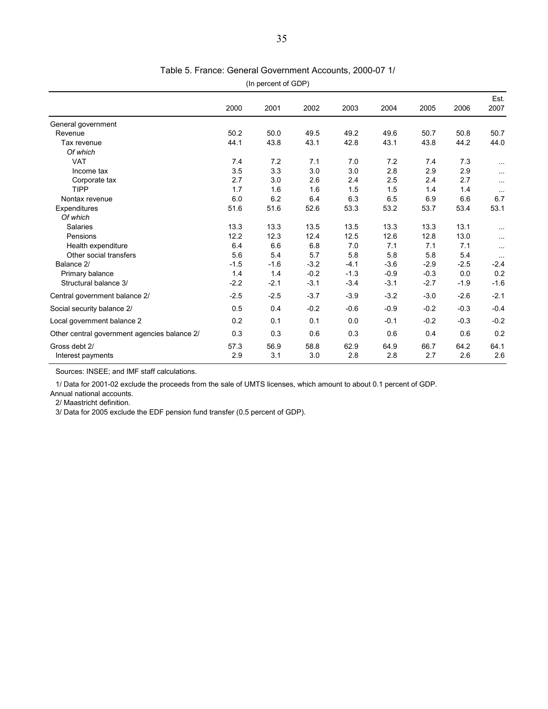| (In percent of GDP)                          |             |             |             |             |             |             |             |              |
|----------------------------------------------|-------------|-------------|-------------|-------------|-------------|-------------|-------------|--------------|
|                                              | 2000        | 2001        | 2002        | 2003        | 2004        | 2005        | 2006        | Est.<br>2007 |
| General government                           |             |             |             |             |             |             |             |              |
| Revenue                                      | 50.2        | 50.0        | 49.5        | 49.2        | 49.6        | 50.7        | 50.8        | 50.7         |
| Tax revenue                                  | 44.1        | 43.8        | 43.1        | 42.8        | 43.1        | 43.8        | 44.2        | 44.0         |
| Of which                                     |             |             |             |             |             |             |             |              |
| <b>VAT</b>                                   | 7.4         | 7.2         | 7.1         | 7.0         | 7.2         | 7.4         | 7.3         | $\cdots$     |
| Income tax                                   | 3.5         | 3.3         | 3.0         | 3.0         | 2.8         | 2.9         | 2.9         | $\cdots$     |
| Corporate tax                                | 2.7         | 3.0         | 2.6         | 2.4         | 2.5         | 2.4         | 2.7         | $\cdots$     |
| <b>TIPP</b>                                  | 1.7         | 1.6         | 1.6         | 1.5         | 1.5         | 1.4         | 1.4         | $\cdots$     |
| Nontax revenue                               | 6.0         | 6.2         | 6.4         | 6.3         | 6.5         | 6.9         | 6.6         | 6.7          |
| Expenditures                                 | 51.6        | 51.6        | 52.6        | 53.3        | 53.2        | 53.7        | 53.4        | 53.1         |
| Of which                                     |             |             |             |             |             |             |             |              |
| Salaries                                     | 13.3        | 13.3        | 13.5        | 13.5        | 13.3        | 13.3        | 13.1        | $\cdots$     |
| Pensions                                     | 12.2        | 12.3        | 12.4        | 12.5        | 12.6        | 12.8        | 13.0        | $\cdots$     |
| Health expenditure                           | 6.4         | 6.6         | 6.8         | 7.0         | 7.1         | 7.1         | 7.1         | $\cdots$     |
| Other social transfers                       | 5.6         | 5.4         | 5.7         | 5.8         | 5.8         | 5.8         | 5.4         | $\cdots$     |
| Balance 2/                                   | $-1.5$      | $-1.6$      | $-3.2$      | $-4.1$      | $-3.6$      | $-2.9$      | $-2.5$      | $-2.4$       |
| Primary balance                              | 1.4         | 1.4         | $-0.2$      | $-1.3$      | $-0.9$      | $-0.3$      | 0.0         | 0.2          |
| Structural balance 3/                        | $-2.2$      | $-2.1$      | $-3.1$      | $-3.4$      | $-3.1$      | $-2.7$      | $-1.9$      | $-1.6$       |
| Central government balance 2/                | $-2.5$      | $-2.5$      | $-3.7$      | $-3.9$      | $-3.2$      | $-3.0$      | $-2.6$      | $-2.1$       |
| Social security balance 2/                   | 0.5         | 0.4         | $-0.2$      | $-0.6$      | $-0.9$      | $-0.2$      | $-0.3$      | $-0.4$       |
| Local government balance 2                   | 0.2         | 0.1         | 0.1         | 0.0         | $-0.1$      | $-0.2$      | $-0.3$      | $-0.2$       |
| Other central government agencies balance 2/ | 0.3         | 0.3         | 0.6         | 0.3         | 0.6         | 0.4         | 0.6         | 0.2          |
| Gross debt 2/<br>Interest payments           | 57.3<br>2.9 | 56.9<br>3.1 | 58.8<br>3.0 | 62.9<br>2.8 | 64.9<br>2.8 | 66.7<br>2.7 | 64.2<br>2.6 | 64.1<br>2.6  |

#### Table 5. France: General Government Accounts, 2000-07 1/

Sources: INSEE; and IMF staff calculations.

1/ Data for 2001-02 exclude the proceeds from the sale of UMTS licenses, which amount to about 0.1 percent of GDP.

Annual national accounts.

2/ Maastricht definition.

3/ Data for 2005 exclude the EDF pension fund transfer (0.5 percent of GDP).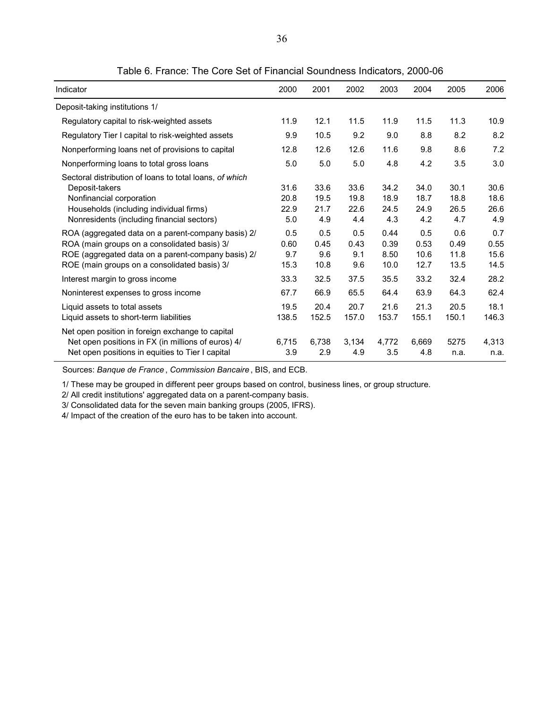| Indicator                                                                                                                                                                                                | 2000                        | 2001                        | 2002                        | 2003                         | 2004                        | 2005                        | 2006                        |
|----------------------------------------------------------------------------------------------------------------------------------------------------------------------------------------------------------|-----------------------------|-----------------------------|-----------------------------|------------------------------|-----------------------------|-----------------------------|-----------------------------|
| Deposit-taking institutions 1/                                                                                                                                                                           |                             |                             |                             |                              |                             |                             |                             |
| Regulatory capital to risk-weighted assets                                                                                                                                                               | 11.9                        | 12.1                        | 11.5                        | 11.9                         | 11.5                        | 11.3                        | 10.9                        |
| Regulatory Tier I capital to risk-weighted assets                                                                                                                                                        | 9.9                         | 10.5                        | 9.2                         | 9.0                          | 8.8                         | 8.2                         | 8.2                         |
| Nonperforming loans net of provisions to capital                                                                                                                                                         | 12.8                        | 12.6                        | 12.6                        | 11.6                         | 9.8                         | 8.6                         | 7.2                         |
| Nonperforming loans to total gross loans                                                                                                                                                                 | 5.0                         | 5.0                         | 5.0                         | 4.8                          | 4.2                         | 3.5                         | 3.0                         |
| Sectoral distribution of loans to total loans, of which<br>Deposit-takers<br>Nonfinancial corporation<br>Households (including individual firms)<br>Nonresidents (including financial sectors)           | 31.6<br>20.8<br>22.9<br>5.0 | 33.6<br>19.5<br>21.7<br>4.9 | 33.6<br>19.8<br>22.6<br>4.4 | 34.2<br>18.9<br>24.5<br>4.3  | 34.0<br>18.7<br>24.9<br>4.2 | 30.1<br>18.8<br>26.5<br>4.7 | 30.6<br>18.6<br>26.6<br>4.9 |
| ROA (aggregated data on a parent-company basis) 2/<br>ROA (main groups on a consolidated basis) 3/<br>ROE (aggregated data on a parent-company basis) 2/<br>ROE (main groups on a consolidated basis) 3/ | 0.5<br>0.60<br>9.7<br>15.3  | 0.5<br>0.45<br>9.6<br>10.8  | 0.5<br>0.43<br>9.1<br>9.6   | 0.44<br>0.39<br>8.50<br>10.0 | 0.5<br>0.53<br>10.6<br>12.7 | 0.6<br>0.49<br>11.8<br>13.5 | 0.7<br>0.55<br>15.6<br>14.5 |
| Interest margin to gross income                                                                                                                                                                          | 33.3                        | 32.5                        | 37.5                        | 35.5                         | 33.2                        | 32.4                        | 28.2                        |
| Noninterest expenses to gross income                                                                                                                                                                     | 67.7                        | 66.9                        | 65.5                        | 64.4                         | 63.9                        | 64.3                        | 62.4                        |
| Liquid assets to total assets<br>Liquid assets to short-term liabilities                                                                                                                                 | 19.5<br>138.5               | 20.4<br>152.5               | 20.7<br>157.0               | 21.6<br>153.7                | 21.3<br>155.1               | 20.5<br>150.1               | 18.1<br>146.3               |
| Net open position in foreign exchange to capital<br>Net open positions in FX (in millions of euros) 4/<br>Net open positions in equities to Tier I capital                                               | 6,715<br>3.9                | 6,738<br>2.9                | 3,134<br>4.9                | 4,772<br>3.5                 | 6,669<br>4.8                | 5275<br>n.a.                | 4,313<br>n.a.               |

Table 6. France: The Core Set of Financial Soundness Indicators, 2000-06

Sources: *Banque de France* , *Commission Bancaire* , BIS, and ECB.

1/ These may be grouped in different peer groups based on control, business lines, or group structure.

2/ All credit institutions' aggregated data on a parent-company basis.

3/ Consolidated data for the seven main banking groups (2005, IFRS).

4/ Impact of the creation of the euro has to be taken into account.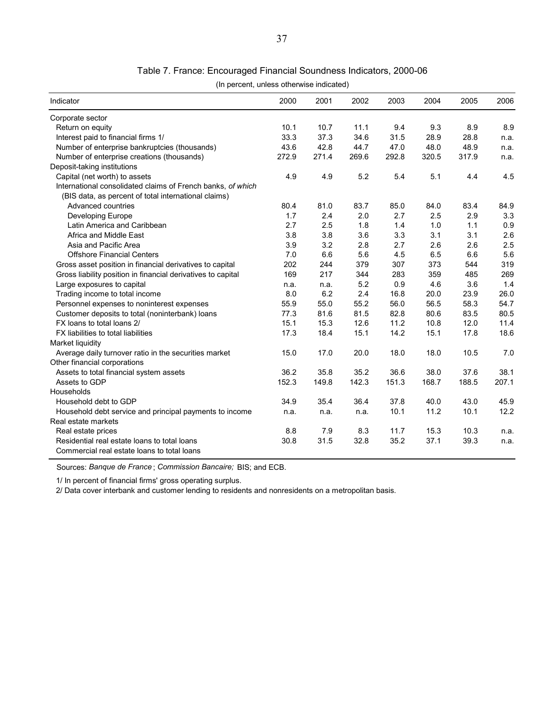| Table 7. France: Encouraged Financial Soundness Indicators, 2000-06 |  |  |  |  |  |  |  |
|---------------------------------------------------------------------|--|--|--|--|--|--|--|
|---------------------------------------------------------------------|--|--|--|--|--|--|--|

(In percent, unless otherwise indicated)

| Indicator                                                    | 2000  | 2001  | 2002  | 2003  | 2004  | 2005  | 2006  |
|--------------------------------------------------------------|-------|-------|-------|-------|-------|-------|-------|
| Corporate sector                                             |       |       |       |       |       |       |       |
| Return on equity                                             | 10.1  | 10.7  | 11.1  | 9.4   | 9.3   | 8.9   | 8.9   |
| Interest paid to financial firms 1/                          | 33.3  | 37.3  | 34.6  | 31.5  | 28.9  | 28.8  | n.a.  |
| Number of enterprise bankruptcies (thousands)                | 43.6  | 42.8  | 44.7  | 47.0  | 48.0  | 48.9  | n.a.  |
| Number of enterprise creations (thousands)                   | 272.9 | 271.4 | 269.6 | 292.8 | 320.5 | 317.9 | n.a.  |
| Deposit-taking institutions                                  |       |       |       |       |       |       |       |
| Capital (net worth) to assets                                | 4.9   | 4.9   | 5.2   | 5.4   | 5.1   | 4.4   | 4.5   |
| International consolidated claims of French banks, of which  |       |       |       |       |       |       |       |
| (BIS data, as percent of total international claims)         |       |       |       |       |       |       |       |
| Advanced countries                                           | 80.4  | 81.0  | 83.7  | 85.0  | 84.0  | 83.4  | 84.9  |
| Developing Europe                                            | 1.7   | 2.4   | 2.0   | 2.7   | 2.5   | 2.9   | 3.3   |
| Latin America and Caribbean                                  | 2.7   | 2.5   | 1.8   | 1.4   | 1.0   | 1.1   | 0.9   |
| Africa and Middle East                                       | 3.8   | 3.8   | 3.6   | 3.3   | 3.1   | 3.1   | 2.6   |
| Asia and Pacific Area                                        | 3.9   | 3.2   | 2.8   | 2.7   | 2.6   | 2.6   | 2.5   |
| <b>Offshore Financial Centers</b>                            | 7.0   | 6.6   | 5.6   | 4.5   | 6.5   | 6.6   | 5.6   |
| Gross asset position in financial derivatives to capital     | 202   | 244   | 379   | 307   | 373   | 544   | 319   |
| Gross liability position in financial derivatives to capital | 169   | 217   | 344   | 283   | 359   | 485   | 269   |
| Large exposures to capital                                   | n.a.  | n.a.  | 5.2   | 0.9   | 4.6   | 3.6   | 1.4   |
| Trading income to total income                               | 8.0   | 6.2   | 2.4   | 16.8  | 20.0  | 23.9  | 26.0  |
| Personnel expenses to noninterest expenses                   | 55.9  | 55.0  | 55.2  | 56.0  | 56.5  | 58.3  | 54.7  |
| Customer deposits to total (noninterbank) loans              | 77.3  | 81.6  | 81.5  | 82.8  | 80.6  | 83.5  | 80.5  |
| FX loans to total loans 2/                                   | 15.1  | 15.3  | 12.6  | 11.2  | 10.8  | 12.0  | 11.4  |
| FX liabilities to total liabilities                          | 17.3  | 18.4  | 15.1  | 14.2  | 15.1  | 17.8  | 18.6  |
| Market liquidity                                             |       |       |       |       |       |       |       |
| Average daily turnover ratio in the securities market        | 15.0  | 17.0  | 20.0  | 18.0  | 18.0  | 10.5  | 7.0   |
| Other financial corporations                                 |       |       |       |       |       |       |       |
| Assets to total financial system assets                      | 36.2  | 35.8  | 35.2  | 36.6  | 38.0  | 37.6  | 38.1  |
| Assets to GDP                                                | 152.3 | 149.8 | 142.3 | 151.3 | 168.7 | 188.5 | 207.1 |
| Households                                                   |       |       |       |       |       |       |       |
| Household debt to GDP                                        | 34.9  | 35.4  | 36.4  | 37.8  | 40.0  | 43.0  | 45.9  |
| Household debt service and principal payments to income      | n.a.  | n.a.  | n.a.  | 10.1  | 11.2  | 10.1  | 12.2  |
| Real estate markets                                          |       |       |       |       |       |       |       |
| Real estate prices                                           | 8.8   | 7.9   | 8.3   | 11.7  | 15.3  | 10.3  | n.a.  |
| Residential real estate loans to total loans                 | 30.8  | 31.5  | 32.8  | 35.2  | 37.1  | 39.3  | n.a.  |
| Commercial real estate loans to total loans                  |       |       |       |       |       |       |       |

Sources: *Banque de France* ; *Commission Bancaire;* BIS; and ECB.

1/ In percent of financial firms' gross operating surplus.

2/ Data cover interbank and customer lending to residents and nonresidents on a metropolitan basis.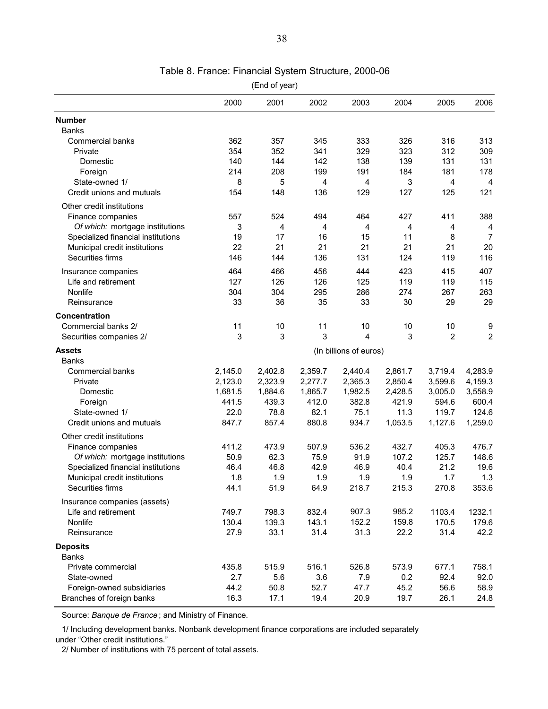|                                    |                        | (End of year) |         |         |         |                |                |
|------------------------------------|------------------------|---------------|---------|---------|---------|----------------|----------------|
|                                    | 2000                   | 2001          | 2002    | 2003    | 2004    | 2005           | 2006           |
| <b>Number</b>                      |                        |               |         |         |         |                |                |
| <b>Banks</b>                       |                        |               |         |         |         |                |                |
| Commercial banks                   | 362                    | 357           | 345     | 333     | 326     | 316            | 313            |
| Private                            | 354                    | 352           | 341     | 329     | 323     | 312            | 309            |
| Domestic                           | 140                    | 144           | 142     | 138     | 139     | 131            | 131            |
| Foreign                            | 214                    | 208           | 199     | 191     | 184     | 181            | 178            |
| State-owned 1/                     | 8                      | 5             | 4       | 4       | 3       | 4              | 4              |
| Credit unions and mutuals          | 154                    | 148           | 136     | 129     | 127     | 125            | 121            |
| Other credit institutions          |                        |               |         |         |         |                |                |
| Finance companies                  | 557                    | 524           | 494     | 464     | 427     | 411            | 388            |
| Of which: mortgage institutions    | 3                      | 4             | 4       | 4       | 4       | 4              | 4              |
| Specialized financial institutions | 19                     | 17            | 16      | 15      | 11      | 8              | 7              |
| Municipal credit institutions      | 22                     | 21            | 21      | 21      | 21      | 21             | 20             |
| Securities firms                   | 146                    | 144           | 136     | 131     | 124     | 119            | 116            |
| Insurance companies                | 464                    | 466           | 456     | 444     | 423     | 415            | 407            |
| Life and retirement                | 127                    | 126           | 126     | 125     | 119     | 119            | 115            |
| Nonlife                            | 304                    | 304           | 295     | 286     | 274     | 267            | 263            |
| Reinsurance                        | 33                     | 36            | 35      | 33      | 30      | 29             | 29             |
| Concentration                      |                        |               |         |         |         |                |                |
| Commercial banks 2/                | 11                     | 10            | 11      | 10      | 10      | 10             | 9              |
| Securities companies 2/            | 3                      | 3             | 3       | 4       | 3       | $\overline{2}$ | $\overline{2}$ |
| <b>Assets</b>                      | (In billions of euros) |               |         |         |         |                |                |
| <b>Banks</b>                       |                        |               |         |         |         |                |                |
| Commercial banks                   | 2,145.0                | 2,402.8       | 2,359.7 | 2,440.4 | 2,861.7 | 3,719.4        | 4,283.9        |
| Private                            | 2,123.0                | 2,323.9       | 2,277.7 | 2,365.3 | 2,850.4 | 3,599.6        | 4,159.3        |
| Domestic                           | 1,681.5                | 1,884.6       | 1,865.7 | 1,982.5 | 2,428.5 | 3,005.0        | 3,558.9        |
| Foreign                            | 441.5                  | 439.3         | 412.0   | 382.8   | 421.9   | 594.6          | 600.4          |
| State-owned 1/                     | 22.0                   | 78.8          | 82.1    | 75.1    | 11.3    | 119.7          | 124.6          |
| Credit unions and mutuals          | 847.7                  | 857.4         | 880.8   | 934.7   | 1,053.5 | 1,127.6        | 1,259.0        |
| Other credit institutions          |                        |               |         |         |         |                |                |
| Finance companies                  | 411.2                  | 473.9         | 507.9   | 536.2   | 432.7   | 405.3          | 476.7          |
| Of which: mortgage institutions    | 50.9                   | 62.3          | 75.9    | 91.9    | 107.2   | 125.7          | 148.6          |
| Specialized financial institutions | 46.4                   | 46.8          | 42.9    | 46.9    | 40.4    | 21.2           | 19.6           |
| Municipal credit institutions      | 1.8                    | 1.9           | 1.9     | 1.9     | 1.9     | 1.7            | 1.3            |
| Securities firms                   | 44.1                   | 51.9          | 64.9    | 218.7   | 215.3   | 270.8          | 353.6          |
| Insurance companies (assets)       |                        |               |         |         |         |                |                |
| Life and retirement                | 749.7                  | 798.3         | 832.4   | 907.3   | 985.2   | 1103.4         | 1232.1         |
| Nonlife                            | 130.4                  | 139.3         | 143.1   | 152.2   | 159.8   | 170.5          | 179.6          |
| Reinsurance                        | 27.9                   | 33.1          | 31.4    | 31.3    | 22.2    | 31.4           | 42.2           |
| <b>Deposits</b>                    |                        |               |         |         |         |                |                |
| <b>Banks</b>                       |                        |               |         |         |         |                |                |
| Private commercial                 | 435.8                  | 515.9         | 516.1   | 526.8   | 573.9   | 677.1          | 758.1          |
| State-owned                        | 2.7                    | 5.6           | 3.6     | 7.9     | 0.2     | 92.4           | 92.0           |
| Foreign-owned subsidiaries         | 44.2                   | 50.8          | 52.7    | 47.7    | 45.2    | 56.6           | 58.9           |
| Branches of foreign banks          | 16.3                   | 17.1          | 19.4    | 20.9    | 19.7    | 26.1           | 24.8           |

# Table 8. France: Financial System Structure, 2000-06

Source: *Banque de France* ; and Ministry of Finance.

1/ Including development banks. Nonbank development finance corporations are included separately under "Other credit institutions."

2/ Number of institutions with 75 percent of total assets.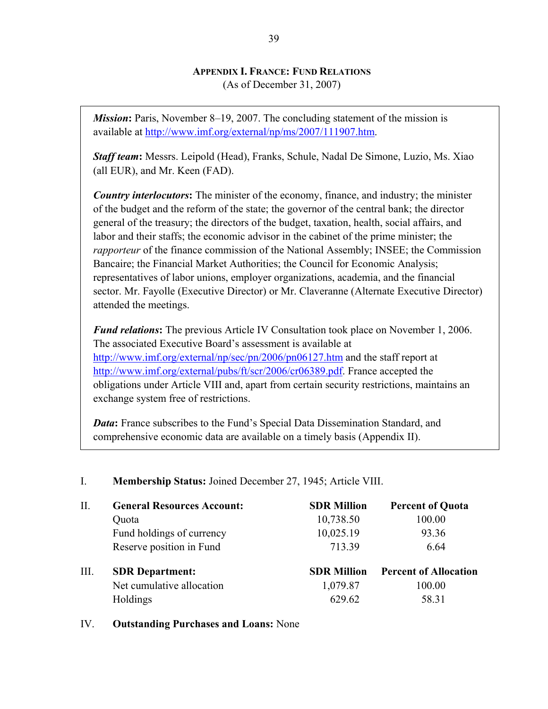# **APPENDIX I. FRANCE: FUND RELATIONS**

(As of December 31, 2007)

*Mission***:** Paris, November 8–19, 2007. The concluding statement of the mission is available at http://www.imf.org/external/np/ms/2007/111907.htm.

*Staff team***:** Messrs. Leipold (Head), Franks, Schule, Nadal De Simone, Luzio, Ms. Xiao (all EUR), and Mr. Keen (FAD).

*Country interlocutors***:** The minister of the economy, finance, and industry; the minister of the budget and the reform of the state; the governor of the central bank; the director general of the treasury; the directors of the budget, taxation, health, social affairs, and labor and their staffs; the economic advisor in the cabinet of the prime minister; the *rapporteur* of the finance commission of the National Assembly; INSEE; the Commission Bancaire; the Financial Market Authorities; the Council for Economic Analysis; representatives of labor unions, employer organizations, academia, and the financial sector. Mr. Fayolle (Executive Director) or Mr. Claveranne (Alternate Executive Director) attended the meetings.

*Fund relations***:** The previous Article IV Consultation took place on November 1, 2006. The associated Executive Board's assessment is available at http://www.imf.org/external/np/sec/pn/2006/pn06127.htm and the staff report at http://www.imf.org/external/pubs/ft/scr/2006/cr06389.pdf. France accepted the obligations under Article VIII and, apart from certain security restrictions, maintains an exchange system free of restrictions.

*Data*: France subscribes to the Fund's Special Data Dissemination Standard, and comprehensive economic data are available on a timely basis (Appendix II).

| П.   | <b>General Resources Account:</b> | <b>SDR Million</b> | <b>Percent of Quota</b>      |
|------|-----------------------------------|--------------------|------------------------------|
|      | Quota                             | 10,738.50          | 100.00                       |
|      | Fund holdings of currency         | 10,025.19          | 93.36                        |
|      | Reserve position in Fund          | 713.39             | 6.64                         |
| III. | <b>SDR</b> Department:            | <b>SDR Million</b> | <b>Percent of Allocation</b> |
|      | Net cumulative allocation         | 1,079.87           | 100.00                       |
|      | Holdings                          | 629.62             | 58.31                        |

# I. **Membership Status:** Joined December 27, 1945; Article VIII.

## IV. **Outstanding Purchases and Loans:** None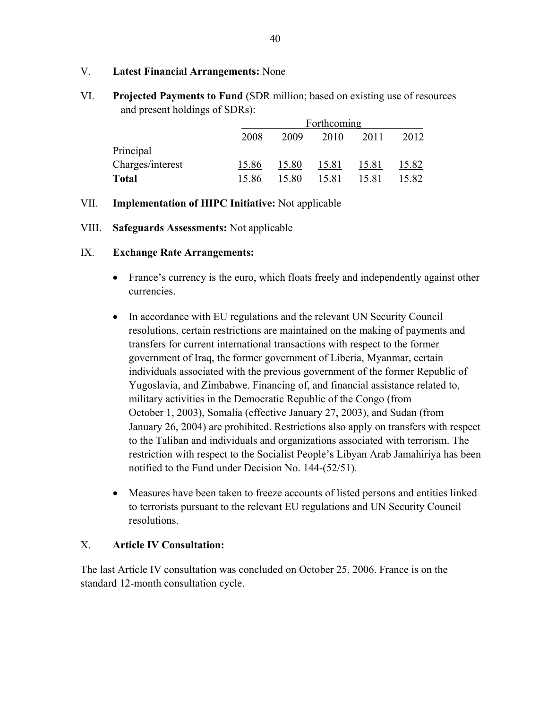# V. **Latest Financial Arrangements:** None

VI. **Projected Payments to Fund** (SDR million; based on existing use of resources and present holdings of SDRs):

|                  | Forthcoming |       |       |       |       |  |  |  |
|------------------|-------------|-------|-------|-------|-------|--|--|--|
|                  | 2008        | 2009  | 2010  | 2011  |       |  |  |  |
| Principal        |             |       |       |       |       |  |  |  |
| Charges/interest | 15.86       | 15.80 | 15.81 | 15.81 | 15.82 |  |  |  |
| <b>Total</b>     | 15.86       | 15.80 | 15.81 | 15.81 | 15.82 |  |  |  |

## VII. **Implementation of HIPC Initiative:** Not applicable

## VIII. **Safeguards Assessments:** Not applicable

## IX. **Exchange Rate Arrangements:**

- France's currency is the euro, which floats freely and independently against other currencies.
- In accordance with EU regulations and the relevant UN Security Council resolutions, certain restrictions are maintained on the making of payments and transfers for current international transactions with respect to the former government of Iraq, the former government of Liberia, Myanmar, certain individuals associated with the previous government of the former Republic of Yugoslavia, and Zimbabwe. Financing of, and financial assistance related to, military activities in the Democratic Republic of the Congo (from October 1, 2003), Somalia (effective January 27, 2003), and Sudan (from January 26, 2004) are prohibited. Restrictions also apply on transfers with respect to the Taliban and individuals and organizations associated with terrorism. The restriction with respect to the Socialist People's Libyan Arab Jamahiriya has been notified to the Fund under Decision No. 144-(52/51).
- Measures have been taken to freeze accounts of listed persons and entities linked to terrorists pursuant to the relevant EU regulations and UN Security Council resolutions.

## X. **Article IV Consultation:**

The last Article IV consultation was concluded on October 25, 2006. France is on the standard 12-month consultation cycle.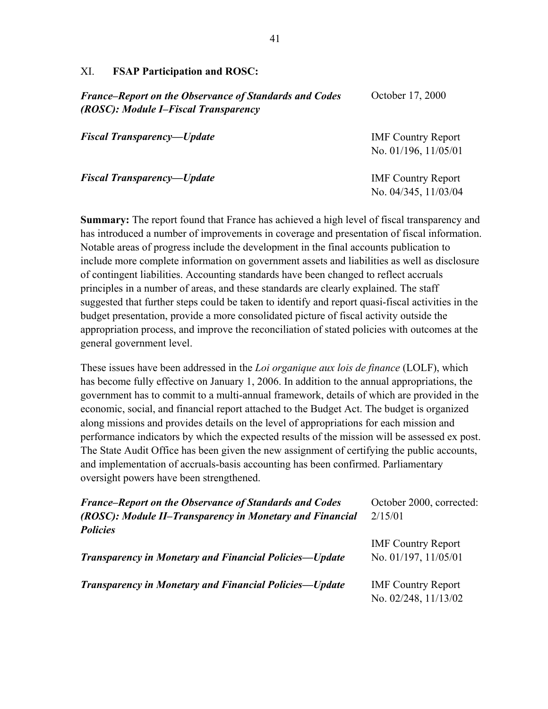#### XI. **FSAP Participation and ROSC:**

*France–Report on the Observance of Standards and Codes (ROSC): Module I–Fiscal Transparency Fiscal Transparency—Update*  October 17, 2000 IMF Country Report No. 01/196, 11/05/01

*Fiscal Transparency—Update* 

IMF Country Report No. 04/345, 11/03/04

**Summary:** The report found that France has achieved a high level of fiscal transparency and has introduced a number of improvements in coverage and presentation of fiscal information. Notable areas of progress include the development in the final accounts publication to include more complete information on government assets and liabilities as well as disclosure of contingent liabilities. Accounting standards have been changed to reflect accruals principles in a number of areas, and these standards are clearly explained. The staff suggested that further steps could be taken to identify and report quasi-fiscal activities in the budget presentation, provide a more consolidated picture of fiscal activity outside the appropriation process, and improve the reconciliation of stated policies with outcomes at the general government level.

These issues have been addressed in the *Loi organique aux lois de finance* (LOLF), which has become fully effective on January 1, 2006. In addition to the annual appropriations, the government has to commit to a multi-annual framework, details of which are provided in the economic, social, and financial report attached to the Budget Act. The budget is organized along missions and provides details on the level of appropriations for each mission and performance indicators by which the expected results of the mission will be assessed ex post. The State Audit Office has been given the new assignment of certifying the public accounts, and implementation of accruals-basis accounting has been confirmed. Parliamentary oversight powers have been strengthened.

| <b>France–Report on the Observance of Standards and Codes</b> | October 2000, corrected:  |
|---------------------------------------------------------------|---------------------------|
| (ROSC): Module II-Transparency in Monetary and Financial      | 2/15/01                   |
| <b>Policies</b>                                               |                           |
|                                                               | <b>IMF Country Report</b> |
| <b>Transparency in Monetary and Financial Policies—Update</b> | No. 01/197, 11/05/01      |
| <b>Transparency in Monetary and Financial Policies—Update</b> | <b>IMF Country Report</b> |
|                                                               | No. 02/248, 11/13/02      |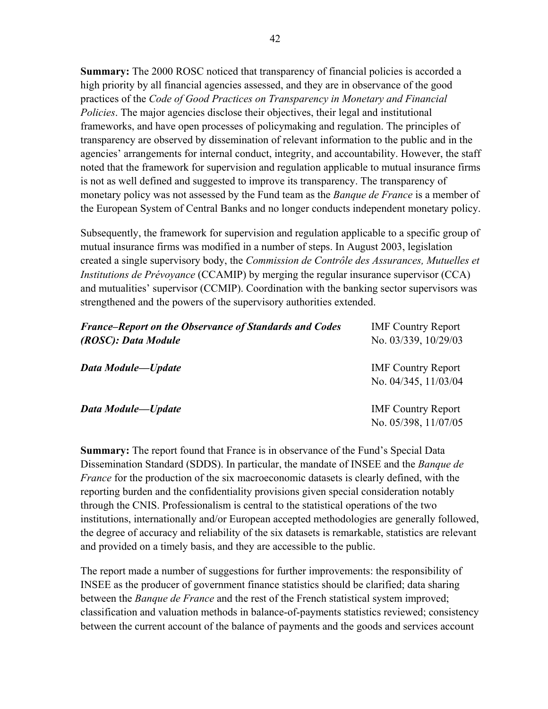**Summary:** The 2000 ROSC noticed that transparency of financial policies is accorded a high priority by all financial agencies assessed, and they are in observance of the good practices of the *Code of Good Practices on Transparency in Monetary and Financial Policies*. The major agencies disclose their objectives, their legal and institutional frameworks, and have open processes of policymaking and regulation. The principles of transparency are observed by dissemination of relevant information to the public and in the agencies' arrangements for internal conduct, integrity, and accountability. However, the staff noted that the framework for supervision and regulation applicable to mutual insurance firms is not as well defined and suggested to improve its transparency. The transparency of monetary policy was not assessed by the Fund team as the *Banque de France* is a member of the European System of Central Banks and no longer conducts independent monetary policy.

Subsequently, the framework for supervision and regulation applicable to a specific group of mutual insurance firms was modified in a number of steps. In August 2003, legislation created a single supervisory body, the *Commission de Contrôle des Assurances, Mutuelles et Institutions de Prévoyance* (CCAMIP) by merging the regular insurance supervisor (CCA) and mutualities' supervisor (CCMIP). Coordination with the banking sector supervisors was strengthened and the powers of the supervisory authorities extended.

| <b>France–Report on the Observance of Standards and Codes</b> | <b>IMF Country Report</b>                         |
|---------------------------------------------------------------|---------------------------------------------------|
| (ROSC): Data Module                                           | No. 03/339, 10/29/03                              |
| Data Module-Update                                            | <b>IMF</b> Country Report<br>No. 04/345, 11/03/04 |
| Data Module-Update                                            | <b>IMF Country Report</b>                         |
|                                                               | No. 05/398, 11/07/05                              |

**Summary:** The report found that France is in observance of the Fund's Special Data Dissemination Standard (SDDS). In particular, the mandate of INSEE and the *Banque de France* for the production of the six macroeconomic datasets is clearly defined, with the reporting burden and the confidentiality provisions given special consideration notably through the CNIS. Professionalism is central to the statistical operations of the two institutions, internationally and/or European accepted methodologies are generally followed, the degree of accuracy and reliability of the six datasets is remarkable, statistics are relevant and provided on a timely basis, and they are accessible to the public.

The report made a number of suggestions for further improvements: the responsibility of INSEE as the producer of government finance statistics should be clarified; data sharing between the *Banque de France* and the rest of the French statistical system improved; classification and valuation methods in balance-of-payments statistics reviewed; consistency between the current account of the balance of payments and the goods and services account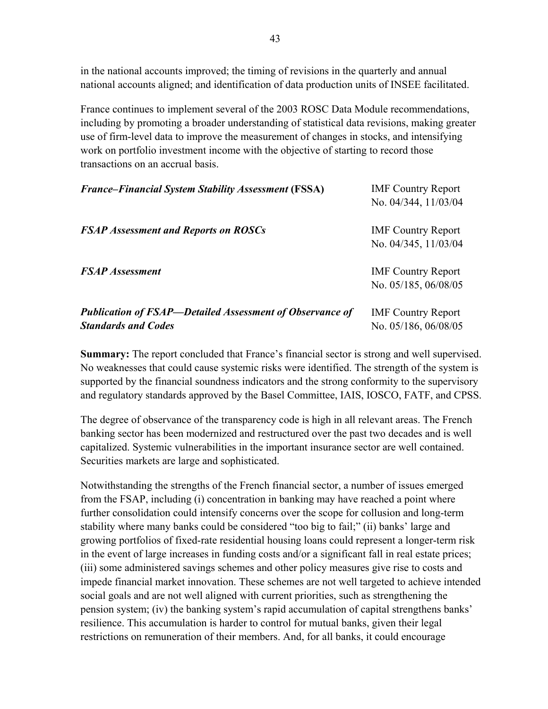in the national accounts improved; the timing of revisions in the quarterly and annual national accounts aligned; and identification of data production units of INSEE facilitated.

France continues to implement several of the 2003 ROSC Data Module recommendations, including by promoting a broader understanding of statistical data revisions, making greater use of firm-level data to improve the measurement of changes in stocks, and intensifying work on portfolio investment income with the objective of starting to record those transactions on an accrual basis.

| <b>France–Financial System Stability Assessment (FSSA)</b>                                    | <b>IMF</b> Country Report<br>No. 04/344, 11/03/04 |
|-----------------------------------------------------------------------------------------------|---------------------------------------------------|
| <b>FSAP Assessment and Reports on ROSCs</b>                                                   | <b>IMF</b> Country Report<br>No. 04/345, 11/03/04 |
| <b>FSAP</b> Assessment                                                                        | <b>IMF</b> Country Report<br>No. 05/185, 06/08/05 |
| <b>Publication of FSAP—Detailed Assessment of Observance of</b><br><b>Standards and Codes</b> | <b>IMF</b> Country Report<br>No. 05/186, 06/08/05 |

**Summary:** The report concluded that France's financial sector is strong and well supervised. No weaknesses that could cause systemic risks were identified. The strength of the system is supported by the financial soundness indicators and the strong conformity to the supervisory and regulatory standards approved by the Basel Committee, IAIS, IOSCO, FATF, and CPSS.

The degree of observance of the transparency code is high in all relevant areas. The French banking sector has been modernized and restructured over the past two decades and is well capitalized. Systemic vulnerabilities in the important insurance sector are well contained. Securities markets are large and sophisticated.

Notwithstanding the strengths of the French financial sector, a number of issues emerged from the FSAP, including (i) concentration in banking may have reached a point where further consolidation could intensify concerns over the scope for collusion and long-term stability where many banks could be considered "too big to fail;" (ii) banks' large and growing portfolios of fixed-rate residential housing loans could represent a longer-term risk in the event of large increases in funding costs and/or a significant fall in real estate prices; (iii) some administered savings schemes and other policy measures give rise to costs and impede financial market innovation. These schemes are not well targeted to achieve intended social goals and are not well aligned with current priorities, such as strengthening the pension system; (iv) the banking system's rapid accumulation of capital strengthens banks' resilience. This accumulation is harder to control for mutual banks, given their legal restrictions on remuneration of their members. And, for all banks, it could encourage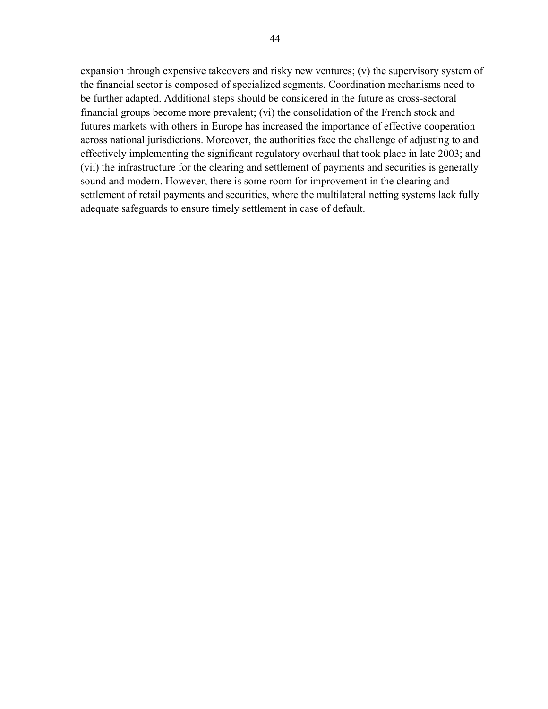expansion through expensive takeovers and risky new ventures; (v) the supervisory system of the financial sector is composed of specialized segments. Coordination mechanisms need to be further adapted. Additional steps should be considered in the future as cross-sectoral financial groups become more prevalent; (vi) the consolidation of the French stock and futures markets with others in Europe has increased the importance of effective cooperation across national jurisdictions. Moreover, the authorities face the challenge of adjusting to and effectively implementing the significant regulatory overhaul that took place in late 2003; and (vii) the infrastructure for the clearing and settlement of payments and securities is generally sound and modern. However, there is some room for improvement in the clearing and settlement of retail payments and securities, where the multilateral netting systems lack fully adequate safeguards to ensure timely settlement in case of default.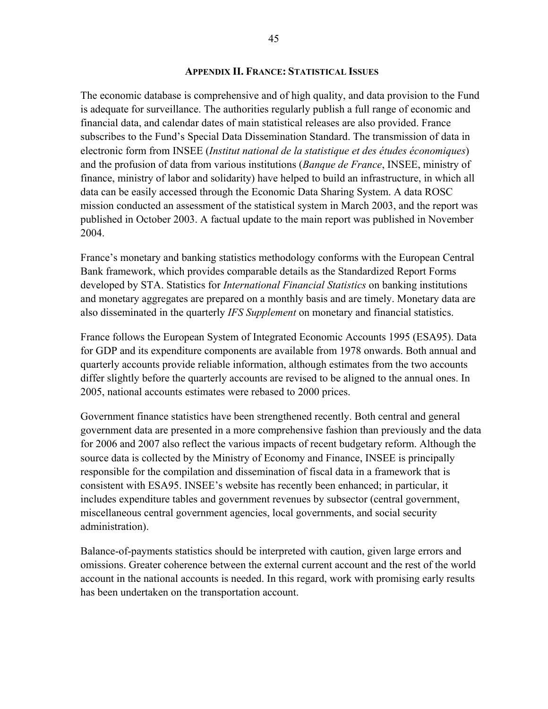#### **APPENDIX II. FRANCE: STATISTICAL ISSUES**

The economic database is comprehensive and of high quality, and data provision to the Fund is adequate for surveillance. The authorities regularly publish a full range of economic and financial data, and calendar dates of main statistical releases are also provided. France subscribes to the Fund's Special Data Dissemination Standard. The transmission of data in electronic form from INSEE (*Institut national de la statistique et des études économiques*) and the profusion of data from various institutions (*Banque de France*, INSEE, ministry of finance, ministry of labor and solidarity) have helped to build an infrastructure, in which all data can be easily accessed through the Economic Data Sharing System. A data ROSC mission conducted an assessment of the statistical system in March 2003, and the report was published in October 2003. A factual update to the main report was published in November 2004.

France's monetary and banking statistics methodology conforms with the European Central Bank framework, which provides comparable details as the Standardized Report Forms developed by STA. Statistics for *International Financial Statistics* on banking institutions and monetary aggregates are prepared on a monthly basis and are timely. Monetary data are also disseminated in the quarterly *IFS Supplement* on monetary and financial statistics.

France follows the European System of Integrated Economic Accounts 1995 (ESA95). Data for GDP and its expenditure components are available from 1978 onwards. Both annual and quarterly accounts provide reliable information, although estimates from the two accounts differ slightly before the quarterly accounts are revised to be aligned to the annual ones. In 2005, national accounts estimates were rebased to 2000 prices.

Government finance statistics have been strengthened recently. Both central and general government data are presented in a more comprehensive fashion than previously and the data for 2006 and 2007 also reflect the various impacts of recent budgetary reform. Although the source data is collected by the Ministry of Economy and Finance, INSEE is principally responsible for the compilation and dissemination of fiscal data in a framework that is consistent with ESA95. INSEE's website has recently been enhanced; in particular, it includes expenditure tables and government revenues by subsector (central government, miscellaneous central government agencies, local governments, and social security administration).

Balance-of-payments statistics should be interpreted with caution, given large errors and omissions. Greater coherence between the external current account and the rest of the world account in the national accounts is needed. In this regard, work with promising early results has been undertaken on the transportation account.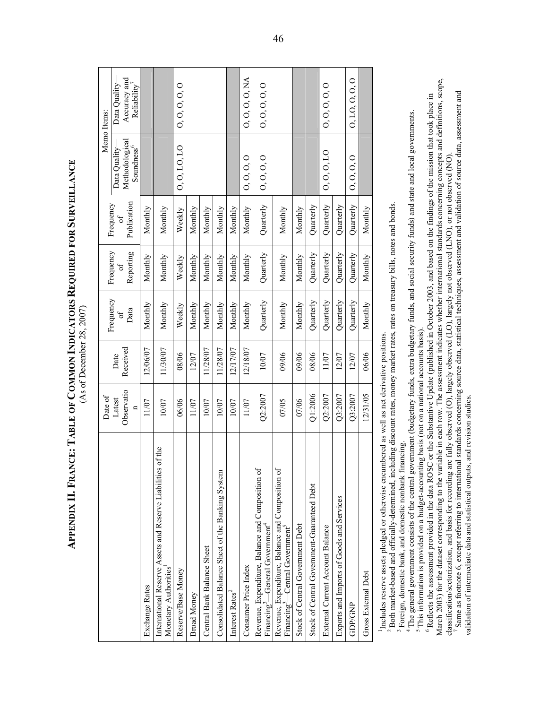|                                                                                                             | Date of                              |                  |                         |                             |                                      |                                                           | Memo Items:                                               |
|-------------------------------------------------------------------------------------------------------------|--------------------------------------|------------------|-------------------------|-----------------------------|--------------------------------------|-----------------------------------------------------------|-----------------------------------------------------------|
|                                                                                                             | Observatio<br>Latest<br>$\mathbf{a}$ | Received<br>Date | Frequency<br>Data<br>5, | Frequency<br>Reporting<br>ď | Publication<br>Frequency<br>$\sigma$ | Methodological<br>Soundness <sup>6</sup><br>Data Quality- | Accuracy and<br>Data Quality-<br>Reliability <sup>7</sup> |
| Exchange Rates                                                                                              | 11/07                                | 12/06/07         | Monthly                 | Monthly                     | Monthly                              |                                                           |                                                           |
| of the<br>International Reserve Assets and Reserve Liabilities<br>Monetary Authorities'                     | 10/07                                | 11/30/07         | Monthly                 | Monthly                     | Monthly                              |                                                           |                                                           |
| Reserve/Base Money                                                                                          | 06/06                                | 08/06            | Weekly                  | Weekly                      | Weekly                               | 0, 0, 10, 10                                              | 0, 0, 0, 0, 0                                             |
| <b>Broad Money</b>                                                                                          | 11/07                                | 12/07            | Monthly                 | Monthly                     | Monthly                              |                                                           |                                                           |
| Central Bank Balance Sheet                                                                                  | 10/07                                | 11/28/07         | Monthly                 | Monthly                     | Monthly                              |                                                           |                                                           |
| Consolidated Balance Sheet of the Banking System                                                            | 10/07                                | 11/28/07         | Monthly                 | Monthly                     | Monthly                              |                                                           |                                                           |
| Interest Rates <sup>2</sup>                                                                                 | 10/07                                | 12/17/07         | Monthly                 | Monthly                     | Monthly                              |                                                           |                                                           |
| Consumer Price Index                                                                                        | 11/07                                | 12/18/07         | Monthly                 | Monthly                     | Monthly                              | 0, 0, 0, 0                                                | 0, 0, 0, 0, NA                                            |
| Revenue, Expenditure, Balance and Composition of<br>Financing <sup>3</sup> -General Government <sup>4</sup> | Q2:2007                              | 10/07            | Quarterly               | Quarterly                   | Quarterly                            | 0, 0, 0, 0                                                | 0,0,0,0,0                                                 |
| Revenue, Expenditure, Balance and Composition of<br>Financing <sup>3</sup> —Central Government <sup>5</sup> | 07/05                                | 09/06            | Monthly                 | Monthly                     | Monthly                              |                                                           |                                                           |
| Stock of Central Government Debt                                                                            | 07/06                                | 09/06            | Monthly                 | Monthly                     | Monthly                              |                                                           |                                                           |
| Stock of Central Government-Guaranteed Debt                                                                 | Q1:2006                              | 08/06            | Quarterly               | Quarterly                   | Quarterly                            |                                                           |                                                           |
| External Current Account Balance                                                                            | Q2:2007                              | 11/07            | Quarterly               | Quarterly                   | Quarterly                            | 0.0,0,10                                                  | 0, 0, 0, 0, 0                                             |
| Exports and Imports of Goods and Services                                                                   | Q3:2007                              | 12/07            | Quarterly               | Quarterly                   | Quarterly                            |                                                           |                                                           |
| <b>GDP/GNP</b>                                                                                              | Q3:2007                              | 12/07            | Quarterly               | Quarterly                   | Quarterly                            | 0, 0, 0, 0                                                | 0, 10, 0, 0, 0                                            |
| Gross External Debt                                                                                         | 12/31/05                             | 06/06            | Monthly                 | Monthly                     | Monthly                              |                                                           |                                                           |
|                                                                                                             |                                      |                  |                         |                             |                                      |                                                           |                                                           |

APPENDIX II. FRANCE: TABLE OF COMMON INDICATORS REQUIRED FOR SURVEILLANCE **SURVEILLANCE REQUIRED FOR COMMON INDICATORS**  (As of December 28, 2007) (As of December 28, 2007) **FRANCE: TABLE OF APPENDIX II.**

Includes reserve assets pledged or otherwise encumbered as well as net derivative positions. 1Includes reserve assets pledged or otherwise encumbered as well as net derivative positions.

 2 Both market-based and officially-determined, including discount rates, money market rates, rates on treasury bills, notes and bonds. Both market-based and officially-determined, including discount rates, money market rates, rates on treasury bills, notes and bonds.

<sup>3</sup> Foreign, domestic bank, and domestic nonbank financing. <sup>3</sup> Foreign, domestic bank, and domestic nonbank financing.

<sup>4</sup>The general government consists of the central government (budgetary funds, extra budgetary funds, and social security funds) and state and local governments.<br><sup>5</sup> This information is provided on a budget-accounting basi 4 The general government consists of the central government (budgetary funds, extra budgetary funds, and social security funds) and state and local governments. <sup>5</sup> This information is provided on a budget-accounting basis (not on a national accounts basis).

March 2003) for the dataset corresponding to the variable in each row. The assessment indicates whether international standards concerning concepts and definitions, scope, March 2003) for the dataset corresponding to the variable in each row. The assessment indicates whether international standards concerning concepts and definitions, scope, <sup>6</sup> Reflects the assessment provided in the data ROSC or the Substantive Update (published in October 2003, and based on the findings of the mission that took place in  $\degree$  Reflects the assessment provided in the data ROSC or the Substantive Update (published in October 2003, and based on the findings of the mission that took place in

Same as footnote 6, except referring to international standards concerning source data, statistical techniques, assessment and validation of source data, assessment and 7 Same as footnote 6, except referring to international standards concerning source data, statistical techniques, assessment and validation of source data, assessment and classification/sectorization, and basis for recording are fully observed (O), largely observed (LO), largely not observed (LNO), or not observed (NO). classification/sectorization, and basis for recording are fully observed (O), largely observed (LO), largely not observed (LNO), or not observed (NO) validation of intermediate data and statistical outputs, and revision studies. validation of intermediate data and statistical outputs, and revision studies.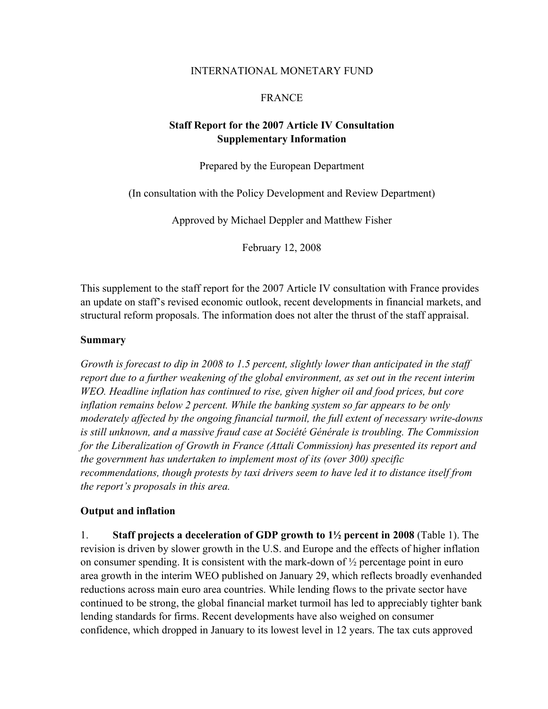### INTERNATIONAL MONETARY FUND

# FRANCE

# **Staff Report for the 2007 Article IV Consultation Supplementary Information**

Prepared by the European Department

(In consultation with the Policy Development and Review Department)

Approved by Michael Deppler and Matthew Fisher

February 12, 2008

This supplement to the staff report for the 2007 Article IV consultation with France provides an update on staff's revised economic outlook, recent developments in financial markets, and structural reform proposals. The information does not alter the thrust of the staff appraisal.

#### **Summary**

*Growth is forecast to dip in 2008 to 1.5 percent, slightly lower than anticipated in the staff report due to a further weakening of the global environment, as set out in the recent interim WEO. Headline inflation has continued to rise, given higher oil and food prices, but core inflation remains below 2 percent. While the banking system so far appears to be only moderately affected by the ongoing financial turmoil, the full extent of necessary write-downs is still unknown, and a massive fraud case at Société Générale is troubling. The Commission for the Liberalization of Growth in France (Attali Commission) has presented its report and the government has undertaken to implement most of its (over 300) specific recommendations, though protests by taxi drivers seem to have led it to distance itself from the report's proposals in this area.* 

## **Output and inflation**

1. **Staff projects a deceleration of GDP growth to 1½ percent in 2008** (Table 1). The revision is driven by slower growth in the U.S. and Europe and the effects of higher inflation on consumer spending. It is consistent with the mark-down of  $\frac{1}{2}$  percentage point in euro area growth in the interim WEO published on January 29, which reflects broadly evenhanded reductions across main euro area countries. While lending flows to the private sector have continued to be strong, the global financial market turmoil has led to appreciably tighter bank lending standards for firms. Recent developments have also weighed on consumer confidence, which dropped in January to its lowest level in 12 years. The tax cuts approved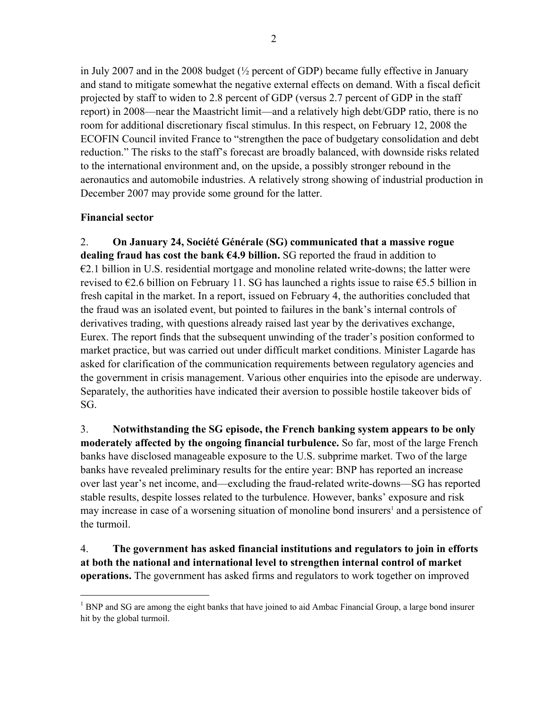in July 2007 and in the 2008 budget  $\frac{1}{2}$  percent of GDP) became fully effective in January and stand to mitigate somewhat the negative external effects on demand. With a fiscal deficit projected by staff to widen to 2.8 percent of GDP (versus 2.7 percent of GDP in the staff report) in 2008—near the Maastricht limit—and a relatively high debt/GDP ratio, there is no room for additional discretionary fiscal stimulus. In this respect, on February 12, 2008 the ECOFIN Council invited France to "strengthen the pace of budgetary consolidation and debt reduction." The risks to the staff's forecast are broadly balanced, with downside risks related to the international environment and, on the upside, a possibly stronger rebound in the aeronautics and automobile industries. A relatively strong showing of industrial production in December 2007 may provide some ground for the latter.

# **Financial sector**

 $\overline{a}$ 

2. **On January 24, Société Générale (SG) communicated that a massive rogue dealing fraud has cost the bank €4.9 billion.** SG reported the fraud in addition to  $\epsilon$ 2.1 billion in U.S. residential mortgage and monoline related write-downs; the latter were revised to  $\epsilon$ 2.6 billion on February 11. SG has launched a rights issue to raise  $\epsilon$ 5.5 billion in fresh capital in the market. In a report, issued on February 4, the authorities concluded that the fraud was an isolated event, but pointed to failures in the bank's internal controls of derivatives trading, with questions already raised last year by the derivatives exchange, Eurex. The report finds that the subsequent unwinding of the trader's position conformed to market practice, but was carried out under difficult market conditions. Minister Lagarde has asked for clarification of the communication requirements between regulatory agencies and the government in crisis management. Various other enquiries into the episode are underway. Separately, the authorities have indicated their aversion to possible hostile takeover bids of SG.

3. **Notwithstanding the SG episode, the French banking system appears to be only moderately affected by the ongoing financial turbulence.** So far, most of the large French banks have disclosed manageable exposure to the U.S. subprime market. Two of the large banks have revealed preliminary results for the entire year: BNP has reported an increase over last year's net income, and––excluding the fraud-related write-downs––SG has reported stable results, despite losses related to the turbulence. However, banks' exposure and risk may increase in case of a worsening situation of monoline bond insurers<sup>1</sup> and a persistence of the turmoil.

4. **The government has asked financial institutions and regulators to join in efforts at both the national and international level to strengthen internal control of market operations.** The government has asked firms and regulators to work together on improved

<sup>&</sup>lt;sup>1</sup> BNP and SG are among the eight banks that have joined to aid Ambac Financial Group, a large bond insurer hit by the global turmoil.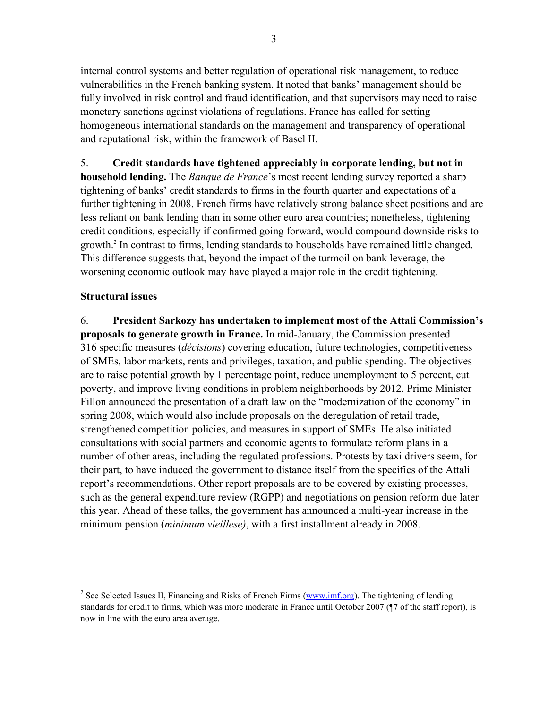internal control systems and better regulation of operational risk management, to reduce vulnerabilities in the French banking system. It noted that banks' management should be fully involved in risk control and fraud identification, and that supervisors may need to raise monetary sanctions against violations of regulations. France has called for setting homogeneous international standards on the management and transparency of operational and reputational risk, within the framework of Basel II.

5. **Credit standards have tightened appreciably in corporate lending, but not in household lending.** The *Banque de France*'s most recent lending survey reported a sharp tightening of banks' credit standards to firms in the fourth quarter and expectations of a further tightening in 2008. French firms have relatively strong balance sheet positions and are less reliant on bank lending than in some other euro area countries; nonetheless, tightening credit conditions, especially if confirmed going forward, would compound downside risks to growth.2 In contrast to firms, lending standards to households have remained little changed. This difference suggests that, beyond the impact of the turmoil on bank leverage, the worsening economic outlook may have played a major role in the credit tightening.

# **Structural issues**

 $\overline{a}$ 

6. **President Sarkozy has undertaken to implement most of the Attali Commission's proposals to generate growth in France.** In mid-January, the Commission presented 316 specific measures (*décisions*) covering education, future technologies, competitiveness of SMEs, labor markets, rents and privileges, taxation, and public spending. The objectives are to raise potential growth by 1 percentage point, reduce unemployment to 5 percent, cut poverty, and improve living conditions in problem neighborhoods by 2012. Prime Minister Fillon announced the presentation of a draft law on the "modernization of the economy" in spring 2008, which would also include proposals on the deregulation of retail trade, strengthened competition policies, and measures in support of SMEs. He also initiated consultations with social partners and economic agents to formulate reform plans in a number of other areas, including the regulated professions. Protests by taxi drivers seem, for their part, to have induced the government to distance itself from the specifics of the Attali report's recommendations. Other report proposals are to be covered by existing processes, such as the general expenditure review (RGPP) and negotiations on pension reform due later this year. Ahead of these talks, the government has announced a multi-year increase in the minimum pension (*minimum vieillese)*, with a first installment already in 2008.

<sup>&</sup>lt;sup>2</sup> See Selected Issues II, Financing and Risks of French Firms (www.imf.org). The tightening of lending standards for credit to firms, which was more moderate in France until October 2007 (¶7 of the staff report), is now in line with the euro area average.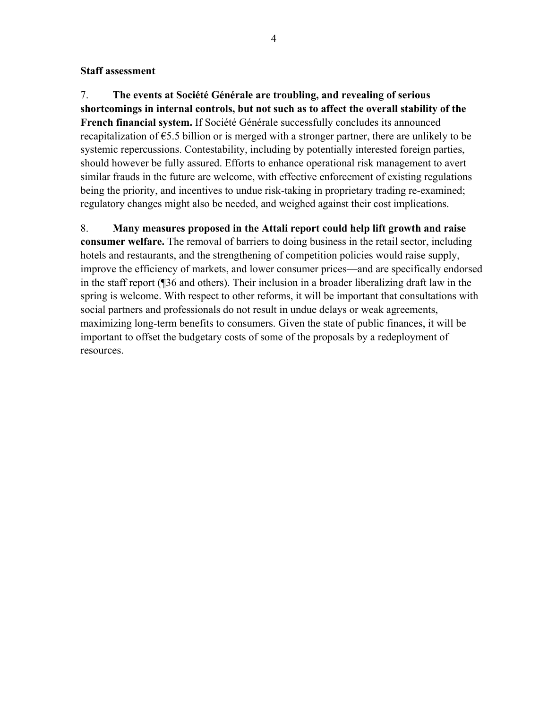#### **Staff assessment**

7. **The events at Société Générale are troubling, and revealing of serious shortcomings in internal controls, but not such as to affect the overall stability of the French financial system.** If Société Générale successfully concludes its announced recapitalization of  $\epsilon$ 5.5 billion or is merged with a stronger partner, there are unlikely to be systemic repercussions. Contestability, including by potentially interested foreign parties, should however be fully assured. Efforts to enhance operational risk management to avert similar frauds in the future are welcome, with effective enforcement of existing regulations being the priority, and incentives to undue risk-taking in proprietary trading re-examined; regulatory changes might also be needed, and weighed against their cost implications.

8. **Many measures proposed in the Attali report could help lift growth and raise consumer welfare.** The removal of barriers to doing business in the retail sector, including hotels and restaurants, and the strengthening of competition policies would raise supply, improve the efficiency of markets, and lower consumer prices—and are specifically endorsed in the staff report (¶36 and others). Their inclusion in a broader liberalizing draft law in the spring is welcome. With respect to other reforms, it will be important that consultations with social partners and professionals do not result in undue delays or weak agreements, maximizing long-term benefits to consumers. Given the state of public finances, it will be important to offset the budgetary costs of some of the proposals by a redeployment of resources.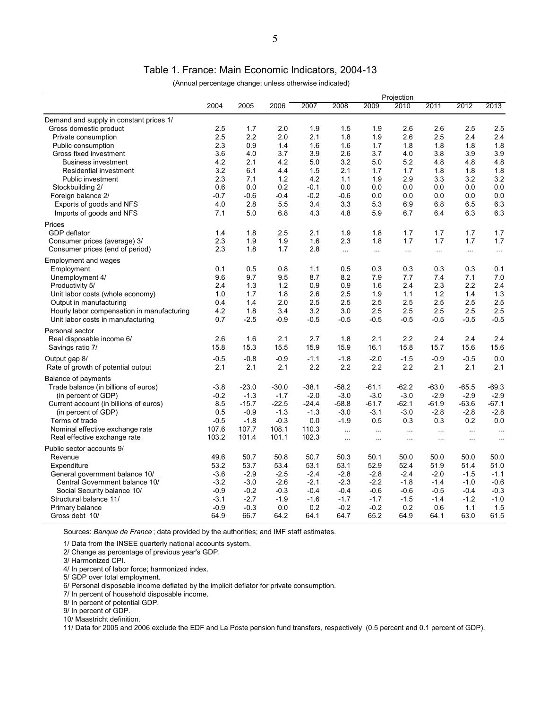Table 1. France: Main Economic Indicators, 2004-13

|  | (Annual percentage change; unless otherwise indicated) |
|--|--------------------------------------------------------|
|  |                                                        |

|                                            |        |         |         | Projection |           |          |          |           |           |           |
|--------------------------------------------|--------|---------|---------|------------|-----------|----------|----------|-----------|-----------|-----------|
|                                            | 2004   | 2005    | 2006    | 2007       | 2008      | 2009     | 2010     | 2011      | 2012      | 2013      |
| Demand and supply in constant prices 1/    |        |         |         |            |           |          |          |           |           |           |
| Gross domestic product                     | 2.5    | 1.7     | 2.0     | 1.9        | 1.5       | 1.9      | 2.6      | 2.6       | 2.5       | 2.5       |
| Private consumption                        | 2.5    | 2.2     | 2.0     | 2.1        | 1.8       | 1.9      | 2.6      | 2.5       | 2.4       | 2.4       |
| Public consumption                         | 2.3    | 0.9     | 1.4     | 1.6        | 1.6       | 1.7      | 1.8      | 1.8       | 1.8       | 1.8       |
| Gross fixed investment                     | 3.6    | 4.0     | 3.7     | 3.9        | 2.6       | 3.7      | 4.0      | 3.8       | 3.9       | 3.9       |
| <b>Business investment</b>                 | 4.2    | 2.1     | 4.2     | 5.0        | 3.2       | 5.0      | 5.2      | 4.8       | 4.8       | 4.8       |
| Residential investment                     | 3.2    | 6.1     | 4.4     | 1.5        | 2.1       | 1.7      | 1.7      | 1.8       | 1.8       | 1.8       |
| Public investment                          | 2.3    | 7.1     | 1.2     | 4.2        | 1.1       | 1.9      | 2.9      | 3.3       | 3.2       | 3.2       |
| Stockbuilding 2/                           | 0.6    | 0.0     | 0.2     | $-0.1$     | 0.0       | 0.0      | 0.0      | 0.0       | 0.0       | 0.0       |
| Foreign balance 2/                         | $-0.7$ | $-0.6$  | $-0.4$  | $-0.2$     | $-0.6$    | 0.0      | 0.0      | 0.0       | 0.0       | 0.0       |
| Exports of goods and NFS                   | 4.0    | 2.8     | 5.5     | 3.4        | 3.3       | 5.3      | 6.9      | 6.8       | 6.5       | 6.3       |
| Imports of goods and NFS                   | 7.1    | 5.0     | 6.8     | 4.3        | 4.8       | 5.9      | 6.7      | 6.4       | 6.3       | 6.3       |
| Prices                                     |        |         |         |            |           |          |          |           |           |           |
| GDP deflator                               | 1.4    | 1.8     | 2.5     | 2.1        | 1.9       | 1.8      | 1.7      | 1.7       | 1.7       | 1.7       |
| Consumer prices (average) 3/               | 2.3    | 1.9     | 1.9     | 1.6        | 2.3       | 1.8      | 1.7      | 1.7       | 1.7       | 1.7       |
| Consumer prices (end of period)            | 2.3    | 1.8     | 1.7     | 2.8        | $\cdots$  | $\ldots$ | $\ldots$ | $\ddotsc$ | $\ddotsc$ | $\sim$    |
| Employment and wages                       |        |         |         |            |           |          |          |           |           |           |
| Employment                                 | 0.1    | 0.5     | 0.8     | 1.1        | 0.5       | 0.3      | 0.3      | 0.3       | 0.3       | 0.1       |
| Unemployment 4/                            | 9.6    | 9.7     | 9.5     | 8.7        | 8.2       | 7.9      | 7.7      | 7.4       | 7.1       | 7.0       |
| Productivity 5/                            | 2.4    | 1.3     | 1.2     | 0.9        | 0.9       | 1.6      | 2.4      | 2.3       | 2.2       | 2.4       |
| Unit labor costs (whole economy)           | 1.0    | 1.7     | 1.8     | 2.6        | 2.5       | 1.9      | 1.1      | 1.2       | 1.4       | 1.3       |
| Output in manufacturing                    | 0.4    | 1.4     | 2.0     | 2.5        | 2.5       | 2.5      | 2.5      | 2.5       | 2.5       | 2.5       |
| Hourly labor compensation in manufacturing | 4.2    | 1.8     | 3.4     | 3.2        | 3.0       | 2.5      | 2.5      | 2.5       | 2.5       | 2.5       |
| Unit labor costs in manufacturing          | 0.7    | $-2.5$  | $-0.9$  | $-0.5$     | $-0.5$    | $-0.5$   | $-0.5$   | $-0.5$    | $-0.5$    | $-0.5$    |
| Personal sector                            |        |         |         |            |           |          |          |           |           |           |
| Real disposable income 6/                  | 2.6    | 1.6     | 2.1     | 2.7        | 1.8       | 2.1      | 2.2      | 2.4       | 2.4       | 2.4       |
| Savings ratio 7/                           | 15.8   | 15.3    | 15.5    | 15.9       | 15.9      | 16.1     | 15.8     | 15.7      | 15.6      | 15.6      |
| Output gap 8/                              | $-0.5$ | $-0.8$  | $-0.9$  | $-1.1$     | $-1.8$    | $-2.0$   | $-1.5$   | $-0.9$    | $-0.5$    | 0.0       |
| Rate of growth of potential output         | 2.1    | 2.1     | 2.1     | 2.2        | 2.2       | 2.2      | 2.2      | 2.1       | 2.1       | 2.1       |
| <b>Balance of payments</b>                 |        |         |         |            |           |          |          |           |           |           |
| Trade balance (in billions of euros)       | $-3.8$ | $-23.0$ | $-30.0$ | $-38.1$    | $-58.2$   | $-61.1$  | $-62.2$  | $-63.0$   | $-65.5$   | $-69.3$   |
| (in percent of GDP)                        | $-0.2$ | $-1.3$  | $-1.7$  | $-2.0$     | $-3.0$    | $-3.0$   | $-3.0$   | $-2.9$    | $-2.9$    | $-2.9$    |
| Current account (in billions of euros)     | 8.5    | $-15.7$ | $-22.5$ | $-24.4$    | $-58.8$   | $-61.7$  | $-62.1$  | $-61.9$   | $-63.6$   | $-67.1$   |
| (in percent of GDP)                        | 0.5    | $-0.9$  | $-1.3$  | $-1.3$     | $-3.0$    | $-3.1$   | $-3.0$   | $-2.8$    | $-2.8$    | $-2.8$    |
| Terms of trade                             | $-0.5$ | $-1.8$  | $-0.3$  | 0.0        | $-1.9$    | 0.5      | 0.3      | 0.3       | 0.2       | 0.0       |
| Nominal effective exchange rate            | 107.6  | 107.7   | 108.1   | 110.3      | $\ddotsc$ | $\ldots$ | $\ldots$ | $\ddotsc$ | $\ldots$  | $\ddotsc$ |
| Real effective exchange rate               | 103.2  | 101.4   | 101.1   | 102.3      | $\sim$    | $\sim$   | $\ldots$ | $\ldots$  | $\ldots$  | $\ddotsc$ |
| Public sector accounts 9/                  |        |         |         |            |           |          |          |           |           |           |
| Revenue                                    | 49.6   | 50.7    | 50.8    | 50.7       | 50.3      | 50.1     | 50.0     | 50.0      | 50.0      | 50.0      |
| Expenditure                                | 53.2   | 53.7    | 53.4    | 53.1       | 53.1      | 52.9     | 52.4     | 51.9      | 51.4      | 51.0      |
| General government balance 10/             | $-3.6$ | $-2.9$  | $-2.5$  | $-2.4$     | $-2.8$    | $-2.8$   | $-2.4$   | $-2.0$    | $-1.5$    | $-1.1$    |
| Central Government balance 10/             | $-3.2$ | $-3.0$  | $-2.6$  | $-2.1$     | $-2.3$    | $-2.2$   | $-1.8$   | $-1.4$    | $-1.0$    | $-0.6$    |
| Social Security balance 10/                | $-0.9$ | $-0.2$  | $-0.3$  | $-0.4$     | $-0.4$    | $-0.6$   | $-0.6$   | $-0.5$    | $-0.4$    | $-0.3$    |
| Structural balance 11/                     | $-3.1$ | $-2.7$  | $-1.9$  | $-1.6$     | $-1.7$    | $-1.7$   | $-1.5$   | $-1.4$    | $-1.2$    | $-1.0$    |
| Primary balance                            | $-0.9$ | $-0.3$  | 0.0     | 0.2        | $-0.2$    | $-0.2$   | 0.2      | 0.6       | 1.1       | 1.5       |
| Gross debt 10/                             | 64.9   | 66.7    | 64.2    | 64.1       | 64.7      | 65.2     | 64.9     | 64.1      | 63.0      | 61.5      |
|                                            |        |         |         |            |           |          |          |           |           |           |

Sources: *Banque de France* ; data provided by the authorities; and IMF staff estimates.

1/ Data from the INSEE quarterly national accounts system.

2/ Change as percentage of previous year's GDP.

3/ Harmonized CPI.

4/ In percent of labor force; harmonized index.

5/ GDP over total employment.

6/ Personal disposable income deflated by the implicit deflator for private consumption.

7/ In percent of household disposable income.

8/ In percent of potential GDP.

9/ In percent of GDP.

10/ Maastricht definition.

11/ Data for 2005 and 2006 exclude the EDF and La Poste pension fund transfers, respectively (0.5 percent and 0.1 percent of GDP).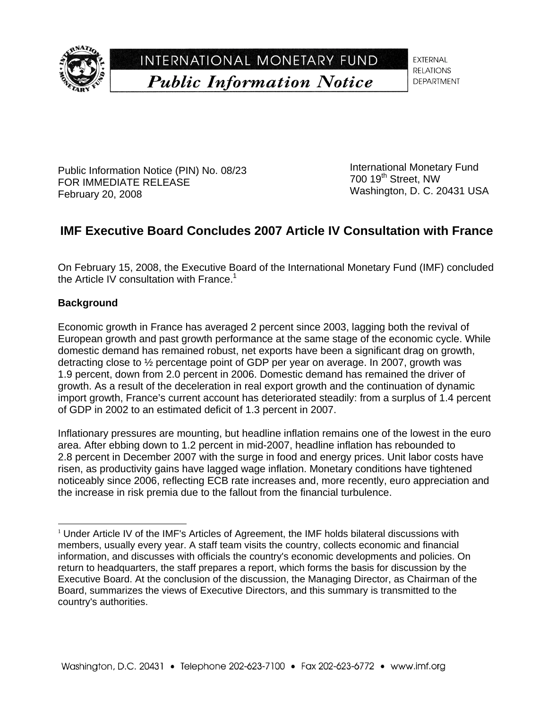

INTERNATIONAL MONETARY FUND **Public Information Notice** 

**EXTERNAL RELATIONS DEPARTMENT** 

Public Information Notice (PIN) No. 08/23 FOR IMMEDIATE RELEASE February 20, 2008

International Monetary Fund 700 19<sup>th</sup> Street, NW Washington, D. C. 20431 USA

# **IMF Executive Board Concludes 2007 Article IV Consultation with France**

On February 15, 2008, the Executive Board of the International Monetary Fund (IMF) concluded the Article IV consultation with France.<sup>1</sup>

# **Background**

l

Economic growth in France has averaged 2 percent since 2003, lagging both the revival of European growth and past growth performance at the same stage of the economic cycle. While domestic demand has remained robust, net exports have been a significant drag on growth, detracting close to  $\frac{1}{2}$  percentage point of GDP per year on average. In 2007, growth was 1.9 percent, down from 2.0 percent in 2006. Domestic demand has remained the driver of growth. As a result of the deceleration in real export growth and the continuation of dynamic import growth, France's current account has deteriorated steadily: from a surplus of 1.4 percent of GDP in 2002 to an estimated deficit of 1.3 percent in 2007.

Inflationary pressures are mounting, but headline inflation remains one of the lowest in the euro area. After ebbing down to 1.2 percent in mid-2007, headline inflation has rebounded to 2.8 percent in December 2007 with the surge in food and energy prices. Unit labor costs have risen, as productivity gains have lagged wage inflation. Monetary conditions have tightened noticeably since 2006, reflecting ECB rate increases and, more recently, euro appreciation and the increase in risk premia due to the fallout from the financial turbulence.

 $1$  Under Article IV of the IMF's Articles of Agreement, the IMF holds bilateral discussions with members, usually every year. A staff team visits the country, collects economic and financial information, and discusses with officials the country's economic developments and policies. On return to headquarters, the staff prepares a report, which forms the basis for discussion by the Executive Board. At the conclusion of the discussion, the Managing Director, as Chairman of the Board, summarizes the views of Executive Directors, and this summary is transmitted to the country's authorities.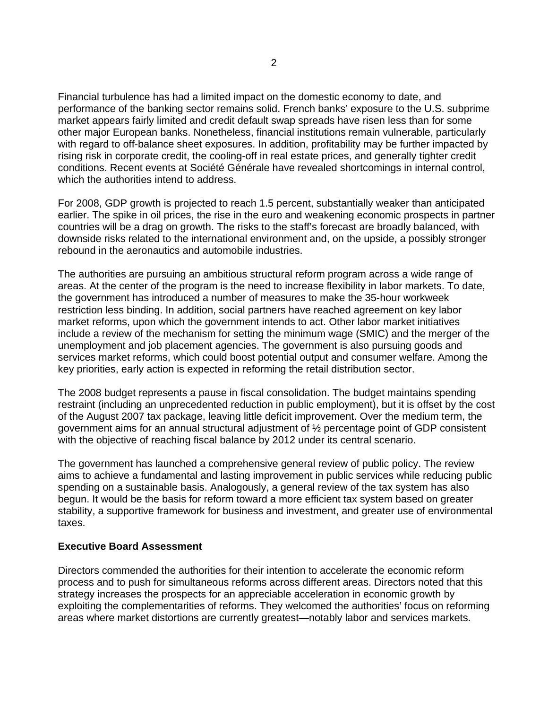Financial turbulence has had a limited impact on the domestic economy to date, and performance of the banking sector remains solid. French banks' exposure to the U.S. subprime market appears fairly limited and credit default swap spreads have risen less than for some other major European banks. Nonetheless, financial institutions remain vulnerable, particularly with regard to off-balance sheet exposures. In addition, profitability may be further impacted by rising risk in corporate credit, the cooling-off in real estate prices, and generally tighter credit conditions. Recent events at Société Générale have revealed shortcomings in internal control, which the authorities intend to address.

For 2008, GDP growth is projected to reach 1.5 percent, substantially weaker than anticipated earlier. The spike in oil prices, the rise in the euro and weakening economic prospects in partner countries will be a drag on growth. The risks to the staff's forecast are broadly balanced, with downside risks related to the international environment and, on the upside, a possibly stronger rebound in the aeronautics and automobile industries.

The authorities are pursuing an ambitious structural reform program across a wide range of areas. At the center of the program is the need to increase flexibility in labor markets. To date, the government has introduced a number of measures to make the 35-hour workweek restriction less binding. In addition, social partners have reached agreement on key labor market reforms, upon which the government intends to act. Other labor market initiatives include a review of the mechanism for setting the minimum wage (SMIC) and the merger of the unemployment and job placement agencies. The government is also pursuing goods and services market reforms, which could boost potential output and consumer welfare. Among the key priorities, early action is expected in reforming the retail distribution sector.

The 2008 budget represents a pause in fiscal consolidation. The budget maintains spending restraint (including an unprecedented reduction in public employment), but it is offset by the cost of the August 2007 tax package, leaving little deficit improvement. Over the medium term, the government aims for an annual structural adjustment of ½ percentage point of GDP consistent with the objective of reaching fiscal balance by 2012 under its central scenario.

The government has launched a comprehensive general review of public policy. The review aims to achieve a fundamental and lasting improvement in public services while reducing public spending on a sustainable basis. Analogously, a general review of the tax system has also begun. It would be the basis for reform toward a more efficient tax system based on greater stability, a supportive framework for business and investment, and greater use of environmental taxes.

## **Executive Board Assessment**

Directors commended the authorities for their intention to accelerate the economic reform process and to push for simultaneous reforms across different areas. Directors noted that this strategy increases the prospects for an appreciable acceleration in economic growth by exploiting the complementarities of reforms. They welcomed the authorities' focus on reforming areas where market distortions are currently greatest—notably labor and services markets.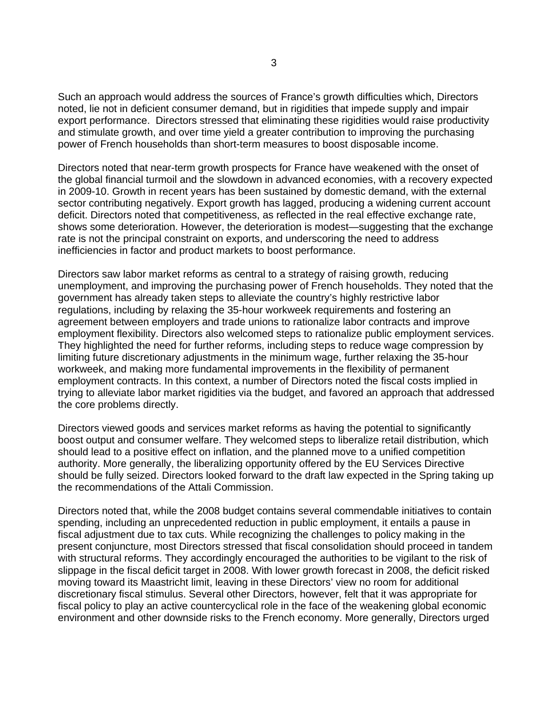Such an approach would address the sources of France's growth difficulties which, Directors noted, lie not in deficient consumer demand, but in rigidities that impede supply and impair export performance. Directors stressed that eliminating these rigidities would raise productivity and stimulate growth, and over time yield a greater contribution to improving the purchasing power of French households than short-term measures to boost disposable income.

Directors noted that near-term growth prospects for France have weakened with the onset of the global financial turmoil and the slowdown in advanced economies, with a recovery expected in 2009-10. Growth in recent years has been sustained by domestic demand, with the external sector contributing negatively. Export growth has lagged, producing a widening current account deficit. Directors noted that competitiveness, as reflected in the real effective exchange rate, shows some deterioration. However, the deterioration is modest—suggesting that the exchange rate is not the principal constraint on exports, and underscoring the need to address inefficiencies in factor and product markets to boost performance.

Directors saw labor market reforms as central to a strategy of raising growth, reducing unemployment, and improving the purchasing power of French households. They noted that the government has already taken steps to alleviate the country's highly restrictive labor regulations, including by relaxing the 35-hour workweek requirements and fostering an agreement between employers and trade unions to rationalize labor contracts and improve employment flexibility. Directors also welcomed steps to rationalize public employment services. They highlighted the need for further reforms, including steps to reduce wage compression by limiting future discretionary adjustments in the minimum wage, further relaxing the 35-hour workweek, and making more fundamental improvements in the flexibility of permanent employment contracts. In this context, a number of Directors noted the fiscal costs implied in trying to alleviate labor market rigidities via the budget, and favored an approach that addressed the core problems directly.

Directors viewed goods and services market reforms as having the potential to significantly boost output and consumer welfare. They welcomed steps to liberalize retail distribution, which should lead to a positive effect on inflation, and the planned move to a unified competition authority. More generally, the liberalizing opportunity offered by the EU Services Directive should be fully seized. Directors looked forward to the draft law expected in the Spring taking up the recommendations of the Attali Commission.

Directors noted that, while the 2008 budget contains several commendable initiatives to contain spending, including an unprecedented reduction in public employment, it entails a pause in fiscal adjustment due to tax cuts. While recognizing the challenges to policy making in the present conjuncture, most Directors stressed that fiscal consolidation should proceed in tandem with structural reforms. They accordingly encouraged the authorities to be vigilant to the risk of slippage in the fiscal deficit target in 2008. With lower growth forecast in 2008, the deficit risked moving toward its Maastricht limit, leaving in these Directors' view no room for additional discretionary fiscal stimulus. Several other Directors, however, felt that it was appropriate for fiscal policy to play an active countercyclical role in the face of the weakening global economic environment and other downside risks to the French economy. More generally, Directors urged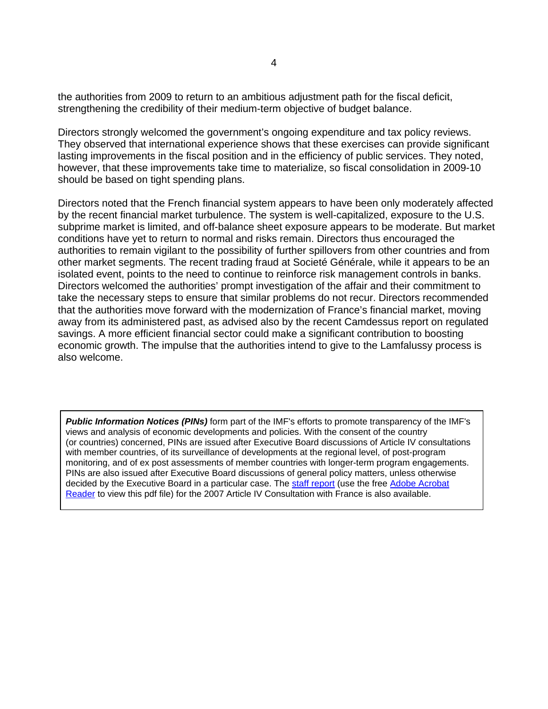the authorities from 2009 to return to an ambitious adjustment path for the fiscal deficit, strengthening the credibility of their medium-term objective of budget balance.

Directors strongly welcomed the government's ongoing expenditure and tax policy reviews. They observed that international experience shows that these exercises can provide significant lasting improvements in the fiscal position and in the efficiency of public services. They noted, however, that these improvements take time to materialize, so fiscal consolidation in 2009-10 should be based on tight spending plans.

Directors noted that the French financial system appears to have been only moderately affected by the recent financial market turbulence. The system is well-capitalized, exposure to the U.S. subprime market is limited, and off-balance sheet exposure appears to be moderate. But market conditions have yet to return to normal and risks remain. Directors thus encouraged the authorities to remain vigilant to the possibility of further spillovers from other countries and from other market segments. The recent trading fraud at Societé Générale, while it appears to be an isolated event, points to the need to continue to reinforce risk management controls in banks. Directors welcomed the authorities' prompt investigation of the affair and their commitment to take the necessary steps to ensure that similar problems do not recur. Directors recommended that the authorities move forward with the modernization of France's financial market, moving away from its administered past, as advised also by the recent Camdessus report on regulated savings. A more efficient financial sector could make a significant contribution to boosting economic growth. The impulse that the authorities intend to give to the Lamfalussy process is also welcome.

*Public Information Notices (PINs)* form part of the IMF's efforts to promote transparency of the IMF's views and analysis of economic developments and policies. With the consent of the country (or countries) concerned, PINs are issued after Executive Board discussions of Article IV consultations with member countries, of its surveillance of developments at the regional level, of post-program monitoring, and of ex post assessments of member countries with longer-term program engagements. PINs are also issued after Executive Board discussions of general policy matters, unless otherwise decided by the Executive Board in a particular case. The staff report (use the free Adobe Acrobat Reader to view this pdf file) for the 2007 Article IV Consultation with France is also available.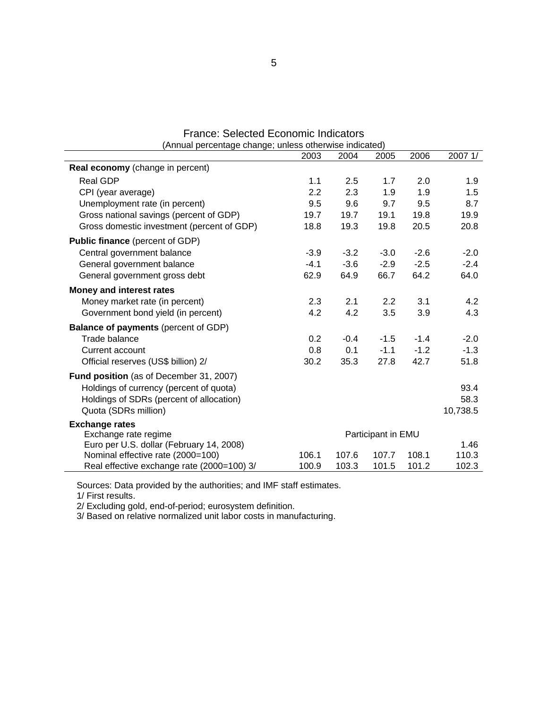| (Annual percentage change; unless otherwise indicated) |        |        |                    |        |          |
|--------------------------------------------------------|--------|--------|--------------------|--------|----------|
|                                                        | 2003   | 2004   | 2005               | 2006   | 2007 1/  |
| Real economy (change in percent)                       |        |        |                    |        |          |
| <b>Real GDP</b>                                        | 1.1    | 2.5    | 1.7                | 2.0    | 1.9      |
| CPI (year average)                                     | 2.2    | 2.3    | 1.9                | 1.9    | 1.5      |
| Unemployment rate (in percent)                         | 9.5    | 9.6    | 9.7                | 9.5    | 8.7      |
| Gross national savings (percent of GDP)                | 19.7   | 19.7   | 19.1               | 19.8   | 19.9     |
| Gross domestic investment (percent of GDP)             | 18.8   | 19.3   | 19.8               | 20.5   | 20.8     |
| <b>Public finance</b> (percent of GDP)                 |        |        |                    |        |          |
| Central government balance                             | $-3.9$ | $-3.2$ | $-3.0$             | $-2.6$ | $-2.0$   |
| General government balance                             | $-4.1$ | $-3.6$ | $-2.9$             | $-2.5$ | $-2.4$   |
| General government gross debt                          | 62.9   | 64.9   | 66.7               | 64.2   | 64.0     |
| Money and interest rates                               |        |        |                    |        |          |
| Money market rate (in percent)                         | 2.3    | 2.1    | 2.2                | 3.1    | 4.2      |
| Government bond yield (in percent)                     | 4.2    | 4.2    | 3.5                | 3.9    | 4.3      |
| <b>Balance of payments (percent of GDP)</b>            |        |        |                    |        |          |
| Trade balance                                          | 0.2    | $-0.4$ | $-1.5$             | $-1.4$ | $-2.0$   |
| Current account                                        | 0.8    | 0.1    | $-1.1$             | $-1.2$ | $-1.3$   |
| Official reserves (US\$ billion) 2/                    | 30.2   | 35.3   | 27.8               | 42.7   | 51.8     |
| Fund position (as of December 31, 2007)                |        |        |                    |        |          |
| Holdings of currency (percent of quota)                |        |        |                    |        | 93.4     |
| Holdings of SDRs (percent of allocation)               |        |        |                    |        | 58.3     |
| Quota (SDRs million)                                   |        |        |                    |        | 10,738.5 |
| <b>Exchange rates</b>                                  |        |        |                    |        |          |
| Exchange rate regime                                   |        |        | Participant in EMU |        |          |
| Euro per U.S. dollar (February 14, 2008)               |        |        |                    |        | 1.46     |
| Nominal effective rate (2000=100)                      | 106.1  | 107.6  | 107.7              | 108.1  | 110.3    |
| Real effective exchange rate (2000=100) 3/             | 100.9  | 103.3  | 101.5              | 101.2  | 102.3    |

# France: Selected Economic Indicators

Sources: Data provided by the authorities; and IMF staff estimates.

1/ First results.

2/ Excluding gold, end-of-period; eurosystem definition.

3/ Based on relative normalized unit labor costs in manufacturing.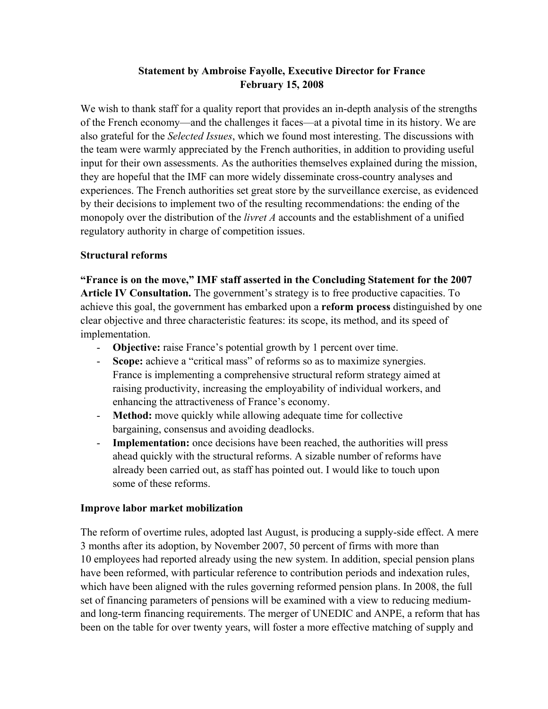# **Statement by Ambroise Fayolle, Executive Director for France February 15, 2008**

We wish to thank staff for a quality report that provides an in-depth analysis of the strengths of the French economy—and the challenges it faces—at a pivotal time in its history. We are also grateful for the *Selected Issues*, which we found most interesting. The discussions with the team were warmly appreciated by the French authorities, in addition to providing useful input for their own assessments. As the authorities themselves explained during the mission, they are hopeful that the IMF can more widely disseminate cross-country analyses and experiences. The French authorities set great store by the surveillance exercise, as evidenced by their decisions to implement two of the resulting recommendations: the ending of the monopoly over the distribution of the *livret A* accounts and the establishment of a unified regulatory authority in charge of competition issues.

# **Structural reforms**

**"France is on the move," IMF staff asserted in the Concluding Statement for the 2007 Article IV Consultation.** The government's strategy is to free productive capacities. To achieve this goal, the government has embarked upon a **reform process** distinguished by one clear objective and three characteristic features: its scope, its method, and its speed of implementation.

- **Objective:** raise France's potential growth by 1 percent over time.
- **Scope:** achieve a "critical mass" of reforms so as to maximize synergies. France is implementing a comprehensive structural reform strategy aimed at raising productivity, increasing the employability of individual workers, and enhancing the attractiveness of France's economy.
- **Method:** move quickly while allowing adequate time for collective bargaining, consensus and avoiding deadlocks.
- **Implementation:** once decisions have been reached, the authorities will press ahead quickly with the structural reforms. A sizable number of reforms have already been carried out, as staff has pointed out. I would like to touch upon some of these reforms.

# **Improve labor market mobilization**

The reform of overtime rules, adopted last August, is producing a supply-side effect. A mere 3 months after its adoption, by November 2007, 50 percent of firms with more than 10 employees had reported already using the new system. In addition, special pension plans have been reformed, with particular reference to contribution periods and indexation rules, which have been aligned with the rules governing reformed pension plans. In 2008, the full set of financing parameters of pensions will be examined with a view to reducing mediumand long-term financing requirements. The merger of UNEDIC and ANPE, a reform that has been on the table for over twenty years, will foster a more effective matching of supply and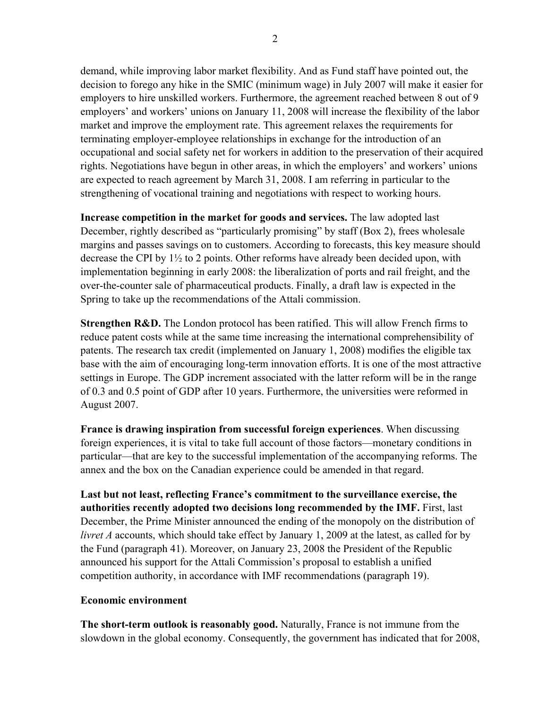demand, while improving labor market flexibility. And as Fund staff have pointed out, the decision to forego any hike in the SMIC (minimum wage) in July 2007 will make it easier for employers to hire unskilled workers. Furthermore, the agreement reached between 8 out of 9 employers' and workers' unions on January 11, 2008 will increase the flexibility of the labor market and improve the employment rate. This agreement relaxes the requirements for terminating employer-employee relationships in exchange for the introduction of an occupational and social safety net for workers in addition to the preservation of their acquired rights. Negotiations have begun in other areas, in which the employers' and workers' unions are expected to reach agreement by March 31, 2008. I am referring in particular to the strengthening of vocational training and negotiations with respect to working hours.

**Increase competition in the market for goods and services.** The law adopted last December, rightly described as "particularly promising" by staff (Box 2), frees wholesale margins and passes savings on to customers. According to forecasts, this key measure should decrease the CPI by 1½ to 2 points. Other reforms have already been decided upon, with implementation beginning in early 2008: the liberalization of ports and rail freight, and the over-the-counter sale of pharmaceutical products. Finally, a draft law is expected in the Spring to take up the recommendations of the Attali commission.

**Strengthen R&D.** The London protocol has been ratified. This will allow French firms to reduce patent costs while at the same time increasing the international comprehensibility of patents. The research tax credit (implemented on January 1, 2008) modifies the eligible tax base with the aim of encouraging long-term innovation efforts. It is one of the most attractive settings in Europe. The GDP increment associated with the latter reform will be in the range of 0.3 and 0.5 point of GDP after 10 years. Furthermore, the universities were reformed in August 2007.

**France is drawing inspiration from successful foreign experiences**. When discussing foreign experiences, it is vital to take full account of those factors—monetary conditions in particular—that are key to the successful implementation of the accompanying reforms. The annex and the box on the Canadian experience could be amended in that regard.

**Last but not least, reflecting France's commitment to the surveillance exercise, the authorities recently adopted two decisions long recommended by the IMF.** First, last December, the Prime Minister announced the ending of the monopoly on the distribution of *livret A* accounts, which should take effect by January 1, 2009 at the latest, as called for by the Fund (paragraph 41). Moreover, on January 23, 2008 the President of the Republic announced his support for the Attali Commission's proposal to establish a unified competition authority, in accordance with IMF recommendations (paragraph 19).

# **Economic environment**

**The short-term outlook is reasonably good.** Naturally, France is not immune from the slowdown in the global economy. Consequently, the government has indicated that for 2008,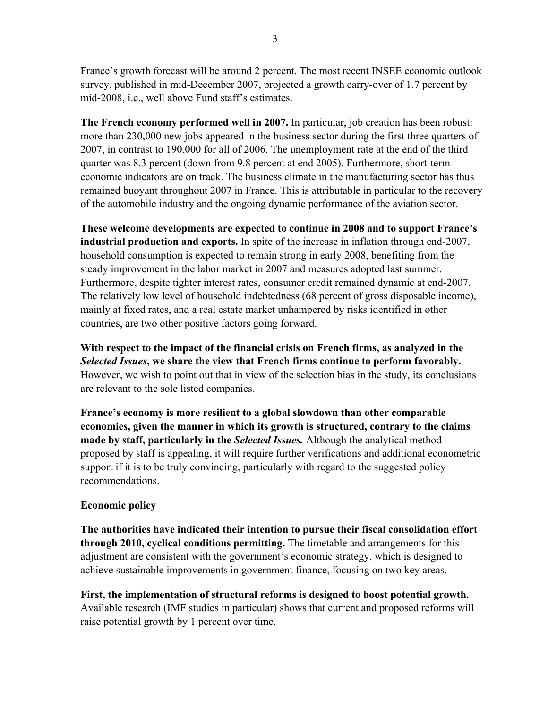France's growth forecast will be around 2 percent. The most recent INSEE economic outlook survey, published in mid-December 2007, projected a growth carry-over of 1.7 percent by mid-2008, i.e., well above Fund staff's estimates.

**The French economy performed well in 2007.** In particular, job creation has been robust: more than 230,000 new jobs appeared in the business sector during the first three quarters of 2007, in contrast to 190,000 for all of 2006. The unemployment rate at the end of the third quarter was 8.3 percent (down from 9.8 percent at end 2005). Furthermore, short-term economic indicators are on track. The business climate in the manufacturing sector has thus remained buoyant throughout 2007 in France. This is attributable in particular to the recovery of the automobile industry and the ongoing dynamic performance of the aviation sector.

**These welcome developments are expected to continue in 2008 and to support France's industrial production and exports.** In spite of the increase in inflation through end-2007, household consumption is expected to remain strong in early 2008, benefiting from the steady improvement in the labor market in 2007 and measures adopted last summer. Furthermore, despite tighter interest rates, consumer credit remained dynamic at end-2007. The relatively low level of household indebtedness (68 percent of gross disposable income), mainly at fixed rates, and a real estate market unhampered by risks identified in other countries, are two other positive factors going forward.

**With respect to the impact of the financial crisis on French firms, as analyzed in the**  *Selected Issues***, we share the view that French firms continue to perform favorably.** However, we wish to point out that in view of the selection bias in the study, its conclusions are relevant to the sole listed companies.

**France's economy is more resilient to a global slowdown than other comparable economies, given the manner in which its growth is structured, contrary to the claims made by staff, particularly in the** *Selected Issues.* Although the analytical method proposed by staff is appealing, it will require further verifications and additional econometric support if it is to be truly convincing, particularly with regard to the suggested policy recommendations.

# **Economic policy**

**The authorities have indicated their intention to pursue their fiscal consolidation effort through 2010, cyclical conditions permitting.** The timetable and arrangements for this adjustment are consistent with the government's economic strategy, which is designed to achieve sustainable improvements in government finance, focusing on two key areas.

**First, the implementation of structural reforms is designed to boost potential growth.** Available research (IMF studies in particular) shows that current and proposed reforms will raise potential growth by 1 percent over time.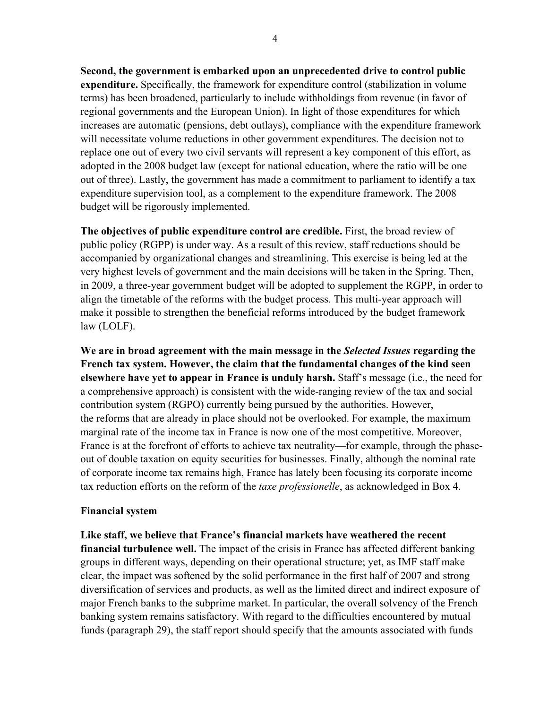**Second, the government is embarked upon an unprecedented drive to control public expenditure.** Specifically, the framework for expenditure control (stabilization in volume terms) has been broadened, particularly to include withholdings from revenue (in favor of regional governments and the European Union). In light of those expenditures for which increases are automatic (pensions, debt outlays), compliance with the expenditure framework will necessitate volume reductions in other government expenditures. The decision not to replace one out of every two civil servants will represent a key component of this effort, as adopted in the 2008 budget law (except for national education, where the ratio will be one out of three). Lastly, the government has made a commitment to parliament to identify a tax expenditure supervision tool, as a complement to the expenditure framework. The 2008 budget will be rigorously implemented.

**The objectives of public expenditure control are credible.** First, the broad review of public policy (RGPP) is under way. As a result of this review, staff reductions should be accompanied by organizational changes and streamlining. This exercise is being led at the very highest levels of government and the main decisions will be taken in the Spring. Then, in 2009, a three-year government budget will be adopted to supplement the RGPP, in order to align the timetable of the reforms with the budget process. This multi-year approach will make it possible to strengthen the beneficial reforms introduced by the budget framework law (LOLF).

**We are in broad agreement with the main message in the** *Selected Issues* **regarding the French tax system. However, the claim that the fundamental changes of the kind seen elsewhere have yet to appear in France is unduly harsh.** Staff's message (i.e., the need for a comprehensive approach) is consistent with the wide-ranging review of the tax and social contribution system (RGPO) currently being pursued by the authorities. However, the reforms that are already in place should not be overlooked. For example, the maximum marginal rate of the income tax in France is now one of the most competitive. Moreover, France is at the forefront of efforts to achieve tax neutrality—for example, through the phaseout of double taxation on equity securities for businesses. Finally, although the nominal rate of corporate income tax remains high, France has lately been focusing its corporate income tax reduction efforts on the reform of the *taxe professionelle*, as acknowledged in Box 4.

## **Financial system**

**Like staff, we believe that France's financial markets have weathered the recent financial turbulence well.** The impact of the crisis in France has affected different banking groups in different ways, depending on their operational structure; yet, as IMF staff make clear, the impact was softened by the solid performance in the first half of 2007 and strong diversification of services and products, as well as the limited direct and indirect exposure of major French banks to the subprime market. In particular, the overall solvency of the French banking system remains satisfactory. With regard to the difficulties encountered by mutual funds (paragraph 29), the staff report should specify that the amounts associated with funds